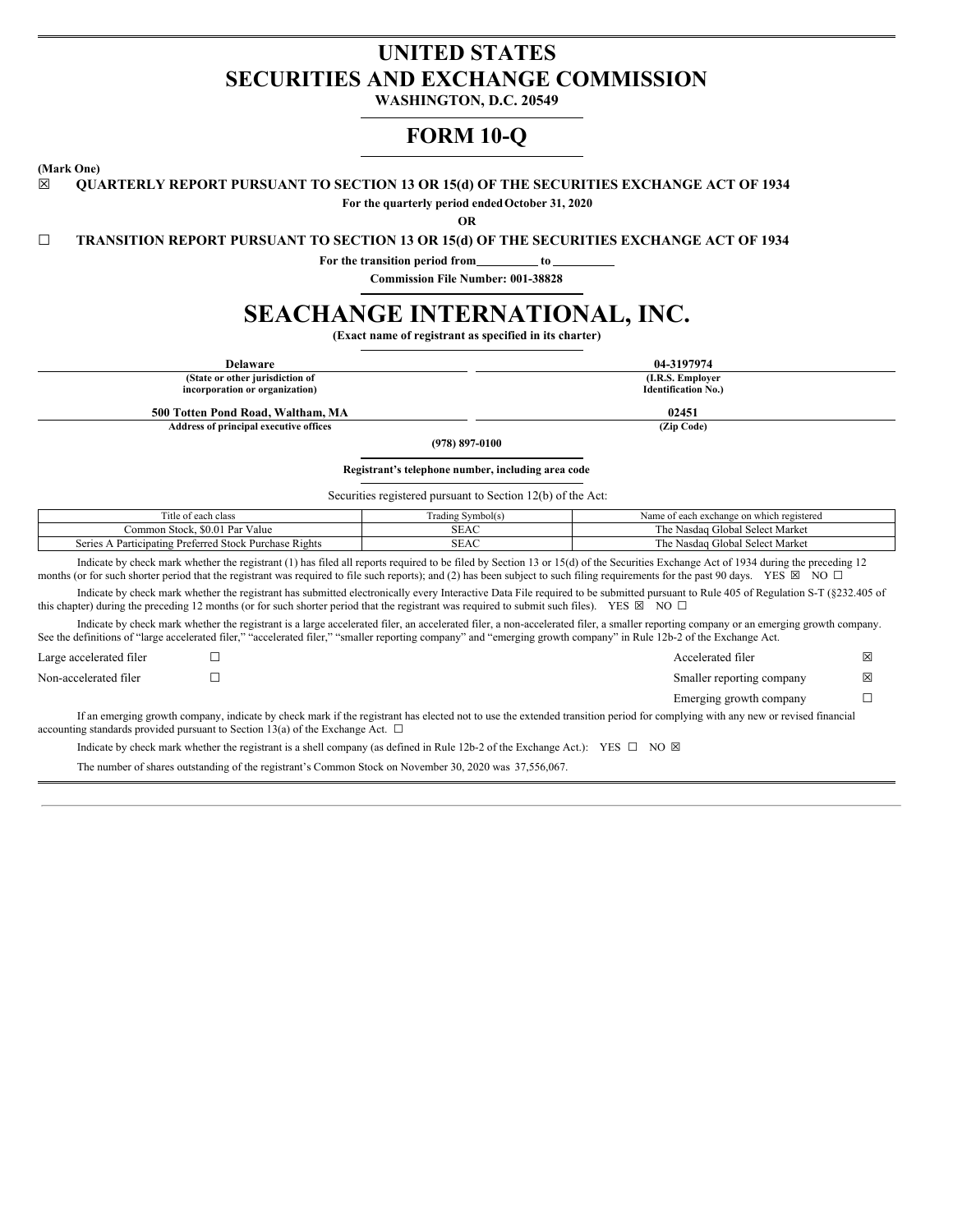# **UNITED STATES SECURITIES AND EXCHANGE COMMISSION**

**WASHINGTON, D.C. 20549**

# **FORM 10-Q**

**(Mark One)**

☒ **QUARTERLY REPORT PURSUANT TO SECTION 13 OR 15(d) OF THE SECURITIES EXCHANGE ACT OF 1934**

**For the quarterly period endedOctober 31, 2020**

**OR**

☐ **TRANSITION REPORT PURSUANT TO SECTION 13 OR 15(d) OF THE SECURITIES EXCHANGE ACT OF 1934**

**For the transition period from to**

**Commission File Number: 001-38828**

# **SEACHANGE INTERNATIONAL, INC.**

**(Exact name of registrant as specified in its charter)**

| <b>Delaware</b>                                                                                                                                                                                                                                                                                                                                                                       |                                                             | 04-3197974                                     |   |
|---------------------------------------------------------------------------------------------------------------------------------------------------------------------------------------------------------------------------------------------------------------------------------------------------------------------------------------------------------------------------------------|-------------------------------------------------------------|------------------------------------------------|---|
| (State or other jurisdiction of<br>incorporation or organization)                                                                                                                                                                                                                                                                                                                     |                                                             | (I.R.S. Employer<br><b>Identification No.)</b> |   |
|                                                                                                                                                                                                                                                                                                                                                                                       |                                                             |                                                |   |
| 500 Totten Pond Road, Waltham, MA                                                                                                                                                                                                                                                                                                                                                     |                                                             | 02451                                          |   |
| Address of principal executive offices                                                                                                                                                                                                                                                                                                                                                |                                                             | (Zip Code)                                     |   |
|                                                                                                                                                                                                                                                                                                                                                                                       | $(978) 897 - 0100$                                          |                                                |   |
|                                                                                                                                                                                                                                                                                                                                                                                       | Registrant's telephone number, including area code          |                                                |   |
|                                                                                                                                                                                                                                                                                                                                                                                       | Securities registered pursuant to Section 12(b) of the Act: |                                                |   |
| Title of each class                                                                                                                                                                                                                                                                                                                                                                   | Trading Symbol(s)                                           | Name of each exchange on which registered      |   |
| Common Stock, \$0.01 Par Value                                                                                                                                                                                                                                                                                                                                                        | <b>SEAC</b>                                                 | The Nasdaq Global Select Market                |   |
| Series A Participating Preferred Stock Purchase Rights                                                                                                                                                                                                                                                                                                                                | <b>SEAC</b>                                                 | The Nasdaq Global Select Market                |   |
| Indicate by check mark whether the registrant (1) has filed all reports required to be filed by Section 13 or 15(d) of the Securities Exchange Act of 1934 during the preceding 12<br>months (or for such shorter period that the registrant was required to file such reports); and (2) has been subject to such filing requirements for the past 90 days. YES $\boxtimes$ NO $\Box$ |                                                             |                                                |   |
| Indicate by check mark whether the registrant has submitted electronically every Interactive Data File required to be submitted pursuant to Rule 405 of Regulation S-T (§232.405 of<br>this chapter) during the preceding 12 months (or for such shorter period that the registrant was required to submit such files). YES $\boxtimes$ NO $\Box$                                     |                                                             |                                                |   |
| Indicate by check mark whether the registrant is a large accelerated filer, an accelerated filer, a non-accelerated filer, a smaller reporting company or an emerging growth company.<br>See the definitions of "large accelerated filer," "accelerated filer," "smaller reporting company" and "emerging growth company" in Rule 12b-2 of the Exchange Act.                          |                                                             |                                                |   |
| Large accelerated filer                                                                                                                                                                                                                                                                                                                                                               |                                                             | Accelerated filer                              | ⊠ |
| Non-accelerated filer                                                                                                                                                                                                                                                                                                                                                                 |                                                             | Smaller reporting company                      | ⊠ |
|                                                                                                                                                                                                                                                                                                                                                                                       |                                                             | Emerging growth company                        | □ |
| If an emerging growth company, indicate by check mark if the registrant has elected not to use the extended transition period for complying with any new or revised financial<br>accounting standards provided pursuant to Section 13(a) of the Exchange Act. $\Box$                                                                                                                  |                                                             |                                                |   |
| Indicate by check mark whether the registrant is a shell company (as defined in Rule 12b-2 of the Exchange Act.): YES $\square$ NO $\boxtimes$                                                                                                                                                                                                                                        |                                                             |                                                |   |
| The number of shares outstanding of the registrant's Common Stock on November 30, 2020 was 37,556,067.                                                                                                                                                                                                                                                                                |                                                             |                                                |   |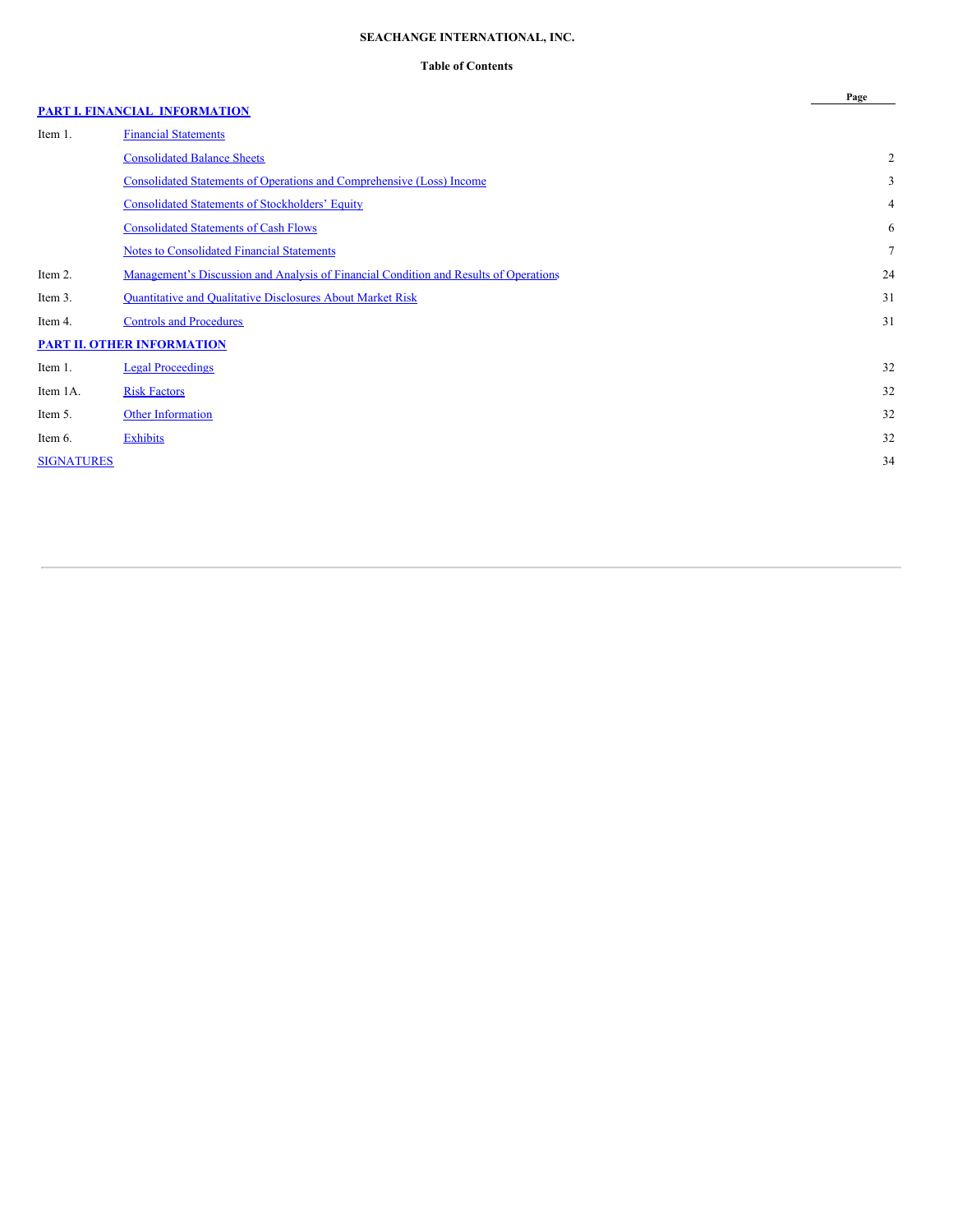# **SEACHANGE INTERNATIONAL, INC.**

#### **Table of Contents**

**Page**

# **PART I. FINANCIAL [INFORMATION](#page-2-0)**

| Item 1.           | <b>Financial Statements</b>                                                           |                |
|-------------------|---------------------------------------------------------------------------------------|----------------|
|                   | <b>Consolidated Balance Sheets</b>                                                    | $\overline{2}$ |
|                   | <b>Consolidated Statements of Operations and Comprehensive (Loss) Income</b>          | 3              |
|                   | <b>Consolidated Statements of Stockholders' Equity</b>                                | $\overline{4}$ |
|                   | <b>Consolidated Statements of Cash Flows</b>                                          | 6              |
|                   | <b>Notes to Consolidated Financial Statements</b>                                     | 7              |
| Item 2.           | Management's Discussion and Analysis of Financial Condition and Results of Operations | 24             |
| Item 3.           | <b>Quantitative and Qualitative Disclosures About Market Risk</b>                     | 31             |
| Item 4.           | <b>Controls and Procedures</b>                                                        | 31             |
|                   | <b>PART II. OTHER INFORMATION</b>                                                     |                |
| Item 1.           | <b>Legal Proceedings</b>                                                              | 32             |
| Item 1A.          | <b>Risk Factors</b>                                                                   | 32             |
| Item 5.           | <b>Other Information</b>                                                              | 32             |
| Item 6.           | <b>Exhibits</b>                                                                       | 32             |
| <b>SIGNATURES</b> |                                                                                       | 34             |
|                   |                                                                                       |                |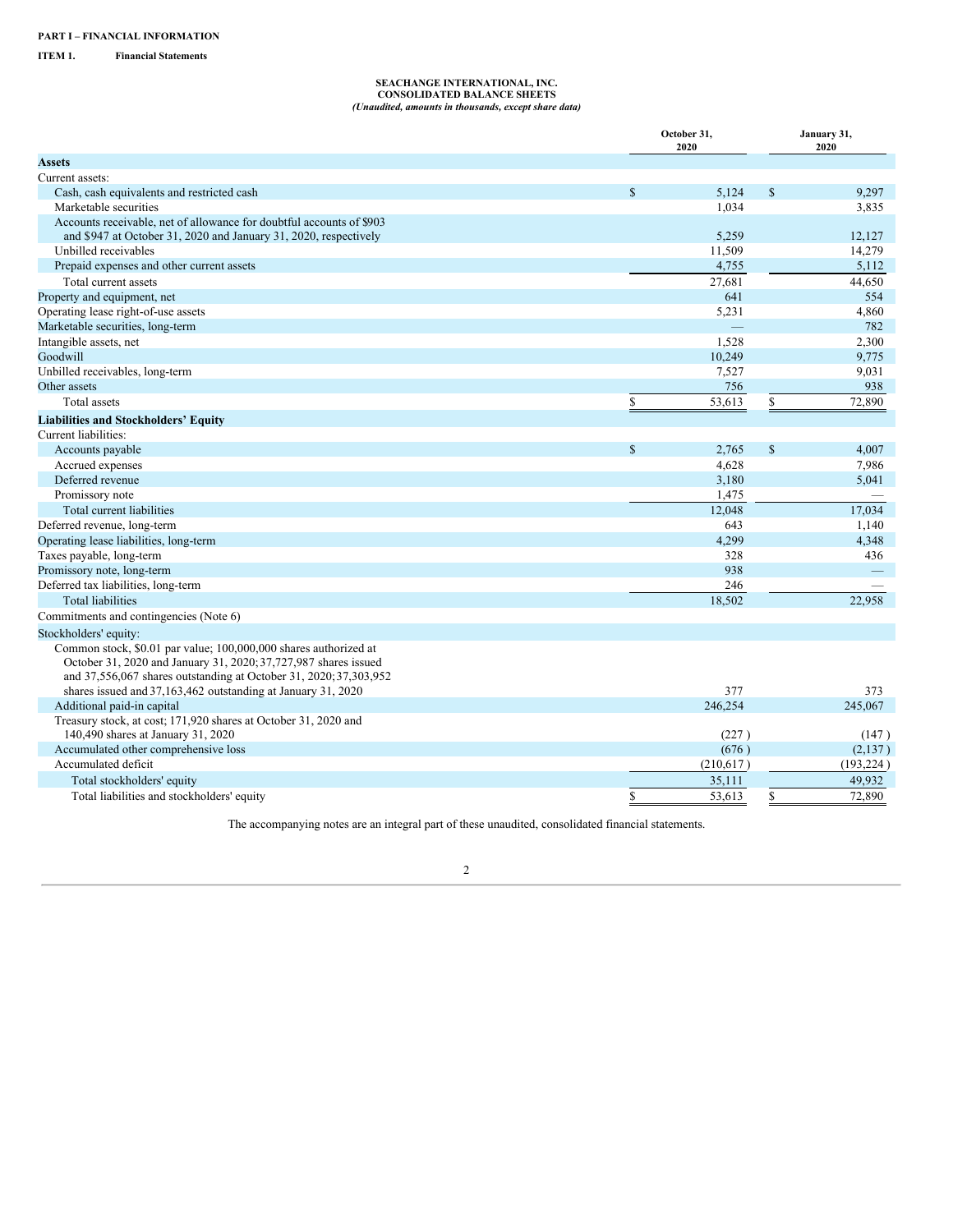#### <span id="page-2-1"></span><span id="page-2-0"></span>**ITEM 1. Financial Statements**

# **SEACHANGE INTERNATIONAL, INC. CONSOLIDATED BALANCE SHEETS** *(Unaudited, amounts in thousands, except share data)*

<span id="page-2-2"></span>

|                                                                                                                                                                                                            |              | October 31,<br>2020 | January 31,<br>2020 |
|------------------------------------------------------------------------------------------------------------------------------------------------------------------------------------------------------------|--------------|---------------------|---------------------|
| <b>Assets</b>                                                                                                                                                                                              |              |                     |                     |
| Current assets:                                                                                                                                                                                            |              |                     |                     |
| Cash, cash equivalents and restricted cash                                                                                                                                                                 | $\mathbb{S}$ | 5,124               | \$<br>9,297         |
| Marketable securities                                                                                                                                                                                      |              | 1,034               | 3,835               |
| Accounts receivable, net of allowance for doubtful accounts of \$903                                                                                                                                       |              |                     |                     |
| and \$947 at October 31, 2020 and January 31, 2020, respectively                                                                                                                                           |              | 5,259               | 12,127              |
| Unbilled receivables                                                                                                                                                                                       |              | 11,509              | 14,279              |
| Prepaid expenses and other current assets                                                                                                                                                                  |              | 4,755               | 5,112               |
| Total current assets                                                                                                                                                                                       |              | 27,681              | 44,650              |
| Property and equipment, net                                                                                                                                                                                |              | 641                 | 554                 |
| Operating lease right-of-use assets                                                                                                                                                                        |              | 5,231               | 4,860               |
| Marketable securities, long-term                                                                                                                                                                           |              |                     | 782                 |
| Intangible assets, net                                                                                                                                                                                     |              | 1,528               | 2,300               |
| Goodwill                                                                                                                                                                                                   |              | 10,249              | 9,775               |
| Unbilled receivables, long-term                                                                                                                                                                            |              | 7,527               | 9,031               |
| Other assets                                                                                                                                                                                               |              | 756                 | 938                 |
| Total assets                                                                                                                                                                                               | S            | 53,613              | \$<br>72,890        |
| <b>Liabilities and Stockholders' Equity</b>                                                                                                                                                                |              |                     |                     |
| Current liabilities:                                                                                                                                                                                       |              |                     |                     |
| Accounts payable                                                                                                                                                                                           | $\mathbb{S}$ | 2,765               | \$<br>4.007         |
| Accrued expenses                                                                                                                                                                                           |              | 4,628               | 7,986               |
| Deferred revenue                                                                                                                                                                                           |              | 3,180               | 5,041               |
| Promissory note                                                                                                                                                                                            |              | 1,475               |                     |
| Total current liabilities                                                                                                                                                                                  |              | 12,048              | 17,034              |
| Deferred revenue, long-term                                                                                                                                                                                |              | 643                 | 1,140               |
| Operating lease liabilities, long-term                                                                                                                                                                     |              | 4,299               | 4.348               |
| Taxes payable, long-term                                                                                                                                                                                   |              | 328                 | 436                 |
| Promissory note, long-term                                                                                                                                                                                 |              | 938                 |                     |
| Deferred tax liabilities, long-term                                                                                                                                                                        |              | 246                 |                     |
| <b>Total liabilities</b>                                                                                                                                                                                   |              | 18,502              | 22,958              |
| Commitments and contingencies (Note 6)                                                                                                                                                                     |              |                     |                     |
| Stockholders' equity:                                                                                                                                                                                      |              |                     |                     |
| Common stock, \$0.01 par value; 100,000,000 shares authorized at<br>October 31, 2020 and January 31, 2020; 37, 727, 987 shares issued<br>and 37,556,067 shares outstanding at October 31, 2020; 37,303,952 |              |                     |                     |
| shares issued and 37,163,462 outstanding at January 31, 2020                                                                                                                                               |              | 377                 | 373                 |
| Additional paid-in capital                                                                                                                                                                                 |              | 246,254             | 245,067             |
| Treasury stock, at cost; 171,920 shares at October 31, 2020 and<br>140,490 shares at January 31, 2020                                                                                                      |              | (227)               | (147)               |
| Accumulated other comprehensive loss                                                                                                                                                                       |              | (676)               | (2,137)             |
| Accumulated deficit                                                                                                                                                                                        |              | (210,617)           | (193, 224)          |
| Total stockholders' equity                                                                                                                                                                                 |              | 35,111              | 49,932              |
| Total liabilities and stockholders' equity                                                                                                                                                                 | S            | 53,613              | \$<br>72,890        |

The accompanying notes are an integral part of these unaudited, consolidated financial statements.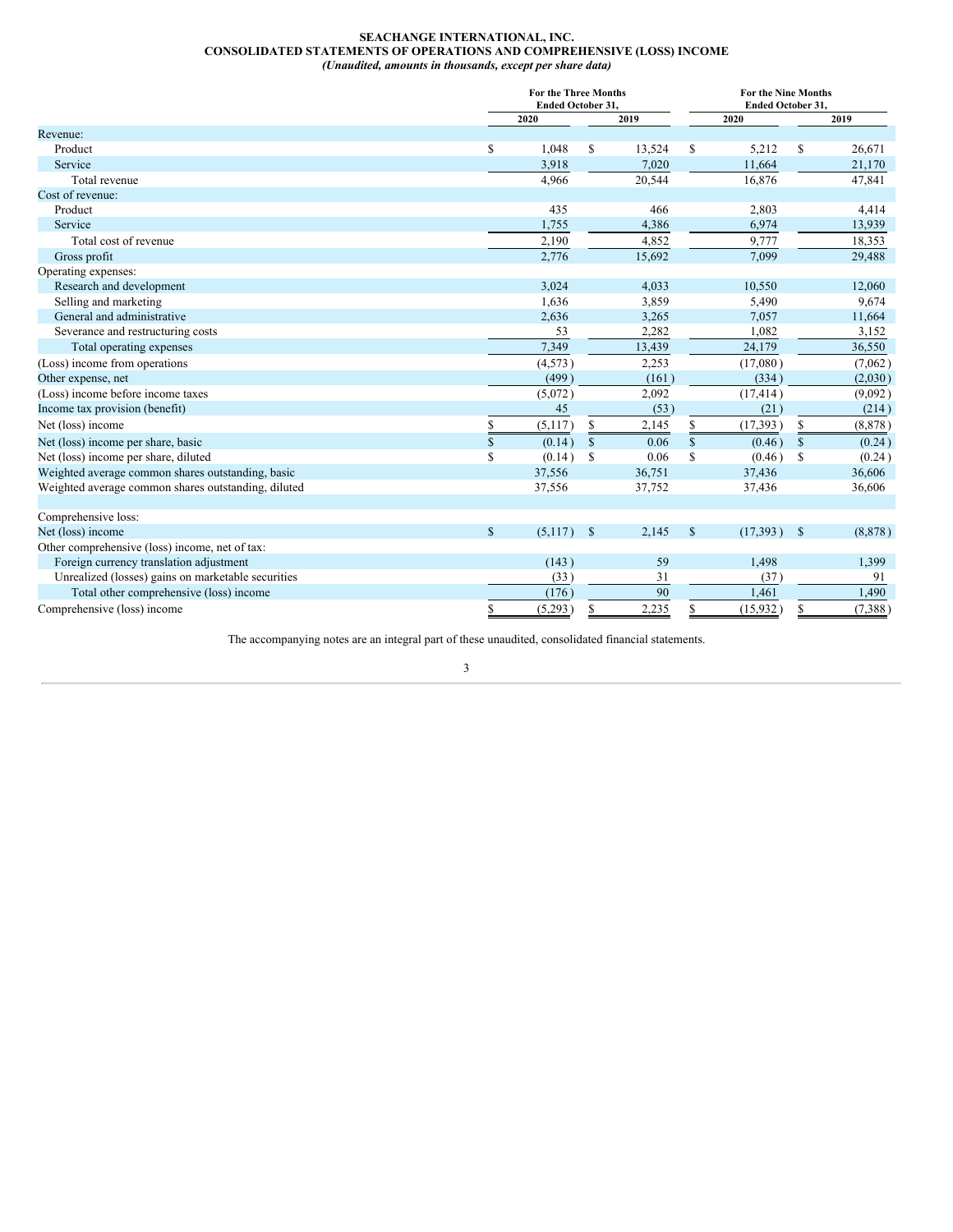#### **SEACHANGE INTERNATIONAL, INC. CONSOLIDATED STATEMENTS OF OPERATIONS AND COMPREHENSIVE (LOSS) INCOME** *(Unaudited, amounts in thousands, except per share data)*

<span id="page-3-0"></span>

|                                                     |              | For the Three Months<br><b>Ended October 31.</b> |               |          |              | <b>For the Nine Months</b><br><b>Ended October 31.</b> |               |             |
|-----------------------------------------------------|--------------|--------------------------------------------------|---------------|----------|--------------|--------------------------------------------------------|---------------|-------------|
|                                                     |              | 2020                                             |               | 2019     |              | 2020                                                   |               | 2019        |
| Revenue:                                            |              |                                                  |               |          |              |                                                        |               |             |
| Product                                             | \$           | 1,048                                            | \$            | 13,524   | \$           | 5,212                                                  | S             | 26,671      |
| Service                                             |              | 3,918                                            |               | 7,020    |              | 11,664                                                 |               | 21,170      |
| Total revenue                                       |              | 4,966                                            |               | 20,544   |              | 16,876                                                 |               | 47,841      |
| Cost of revenue:                                    |              |                                                  |               |          |              |                                                        |               |             |
| Product                                             |              | 435                                              |               | 466      |              | 2,803                                                  |               | 4,414       |
| Service                                             |              | 1,755                                            |               | 4,386    |              | 6,974                                                  |               | 13,939      |
| Total cost of revenue                               |              | 2,190                                            |               | 4,852    |              | 9,777                                                  |               | 18,353      |
| Gross profit                                        |              | 2,776                                            |               | 15,692   |              | 7,099                                                  |               | 29,488      |
| Operating expenses:                                 |              |                                                  |               |          |              |                                                        |               |             |
| Research and development                            |              | 3,024                                            |               | 4,033    |              | 10,550                                                 |               | 12,060      |
| Selling and marketing                               |              | 1,636                                            |               | 3,859    |              | 5,490                                                  |               | 9,674       |
| General and administrative                          |              | 2,636                                            |               | 3,265    |              | 7,057                                                  |               | 11,664      |
| Severance and restructuring costs                   |              | 53                                               |               | 2,282    |              | 1,082                                                  |               | 3,152       |
| Total operating expenses                            |              | 7,349                                            |               | 13,439   |              | 24,179                                                 |               | 36,550      |
| (Loss) income from operations                       |              | (4,573)                                          |               | 2,253    |              | (17,080)                                               |               | (7,062)     |
| Other expense, net                                  |              | (499)                                            |               | (161)    |              | (334)                                                  |               | (2,030)     |
| (Loss) income before income taxes                   |              | (5,072)                                          |               | 2,092    |              | (17, 414)                                              |               | (9,092)     |
| Income tax provision (benefit)                      |              | 45                                               |               | (53)     |              | (21)                                                   |               | (214)       |
| Net (loss) income                                   | S            | (5, 117)                                         | S             | 2,145    | \$           | (17, 393)                                              | S             | (8, 878)    |
| Net (loss) income per share, basic                  | $\mathbf S$  | (0.14)                                           | $\mathsf{\$}$ | 0.06     | $\mathbb{S}$ | (0.46)                                                 | <sup>\$</sup> | (0.24)      |
| Net (loss) income per share, diluted                | \$           | (0.14)                                           | \$            | 0.06     | \$           | (0.46)                                                 | S             | (0.24)      |
| Weighted average common shares outstanding, basic   |              | 37,556                                           |               | 36,751   |              | 37,436                                                 |               | 36,606      |
| Weighted average common shares outstanding, diluted |              | 37,556                                           |               | 37,752   |              | 37,436                                                 |               | 36,606      |
|                                                     |              |                                                  |               |          |              |                                                        |               |             |
| Comprehensive loss:<br>Net (loss) income            |              |                                                  |               |          |              |                                                        |               |             |
|                                                     | $\mathbb{S}$ | (5,117)                                          | <sup>\$</sup> | 2,145    | \$           | (17, 393)                                              | <sup>\$</sup> | (8, 878)    |
| Other comprehensive (loss) income, net of tax:      |              |                                                  |               |          |              |                                                        |               |             |
| Foreign currency translation adjustment             |              | (143)                                            |               | 59<br>31 |              | 1,498                                                  |               | 1,399<br>91 |
| Unrealized (losses) gains on marketable securities  |              | (33)                                             |               |          |              | (37)                                                   |               |             |
| Total other comprehensive (loss) income             |              | (176)                                            |               | 90       |              | 1,461                                                  |               | 1,490       |
| Comprehensive (loss) income                         | \$           | (5,293)                                          | \$            | 2,235    | \$           | (15, 932)                                              | S             | (7,388)     |

The accompanying notes are an integral part of these unaudited, consolidated financial statements.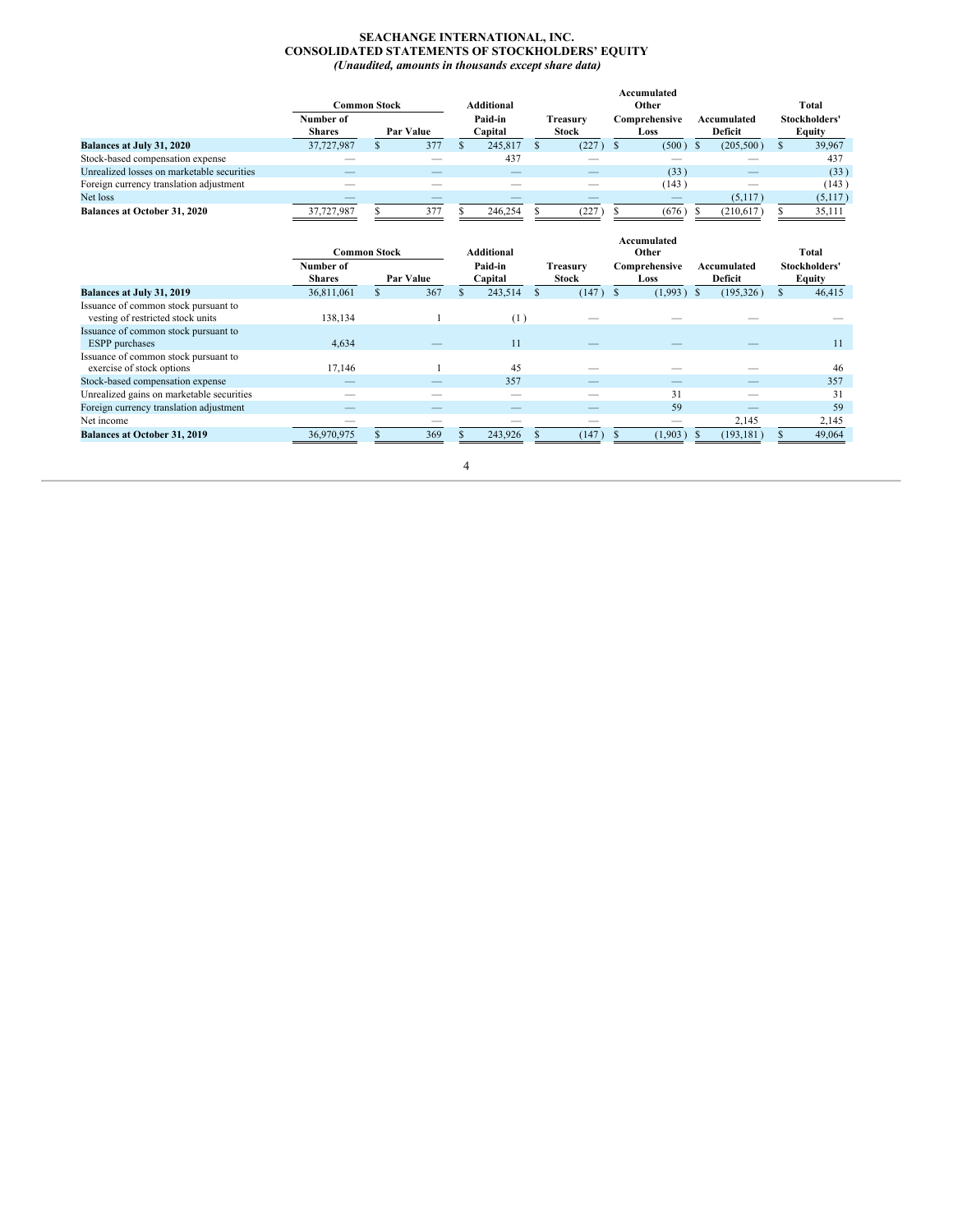#### **SEACHANGE INTERNATIONAL, INC. CONSOLIDATED STATEMENTS OF STOCKHOLDERS' EQUITY** *(Unaudited, amounts in thousands except share data)*

<span id="page-4-0"></span>

|                                            |               |              |                          |            |              | Accumulated   |             |               |
|--------------------------------------------|---------------|--------------|--------------------------|------------|--------------|---------------|-------------|---------------|
|                                            |               | Common Stock |                          | Additional |              | Other         |             | Total         |
|                                            | Number of     |              |                          | Paid-in    | Treasurv     | Comprehensive | Accumulated | Stockholders' |
|                                            | <b>Shares</b> |              | Par Value                | Capital    | <b>Stock</b> | Loss          | Deficit     | <b>Equity</b> |
| <b>Balances at July 31, 2020</b>           | 37,727,987    |              | 377                      | 245,817    | (227)        | (500)         | (205, 500)  | 39,967        |
| Stock-based compensation expense           | __            |              | __                       | 437        | __           |               |             | 437           |
| Unrealized losses on marketable securities | --            |              | $\overline{\phantom{a}}$ |            |              | (33)          | __          | (33)          |
| Foreign currency translation adjustment    |               |              |                          |            |              | (143)         |             | (143)         |
| Net loss                                   |               |              |                          |            |              |               | (5,117)     | (5,117)       |
| <b>Balances at October 31, 2020</b>        | 37,727,987    |              | 377                      | 246.254    | 227          | (676)         | (210.617)   | 35.111        |

|                                                                           | <b>Common Stock</b>        |           | <b>Additional</b>        |                                 | Accumulated<br>Other  |                        | Total                   |
|---------------------------------------------------------------------------|----------------------------|-----------|--------------------------|---------------------------------|-----------------------|------------------------|-------------------------|
|                                                                           | Number of<br><b>Shares</b> | Par Value | Paid-in<br>Capital       | <b>Treasury</b><br><b>Stock</b> | Comprehensive<br>Loss | Accumulated<br>Deficit | Stockholders'<br>Equity |
| Balances at July 31, 2019                                                 | 36,811,061                 | 367       | 243,514                  | (147)                           | (1,993)               | (195,326)              | 46,415                  |
| Issuance of common stock pursuant to<br>vesting of restricted stock units | 138,134                    |           | (1)                      |                                 |                       |                        |                         |
| Issuance of common stock pursuant to<br><b>ESPP</b> purchases             | 4,634                      | --        | 11                       |                                 |                       |                        | 11                      |
| Issuance of common stock pursuant to<br>exercise of stock options         | 17,146                     |           | 45                       |                                 |                       |                        | 46                      |
| Stock-based compensation expense                                          |                            |           | 357                      |                                 |                       |                        | 357                     |
| Unrealized gains on marketable securities                                 |                            |           |                          |                                 | 31                    |                        | 31                      |
| Foreign currency translation adjustment                                   | __                         |           | $\overline{\phantom{a}}$ |                                 | 59                    | —                      | 59                      |
| Net income                                                                |                            |           |                          |                                 |                       | 2,145                  | 2,145                   |
| <b>Balances at October 31, 2019</b>                                       | 36,970,975                 | 369       | 243,926                  | (147)                           | (1,903)               | (193, 181)             | 49,064                  |

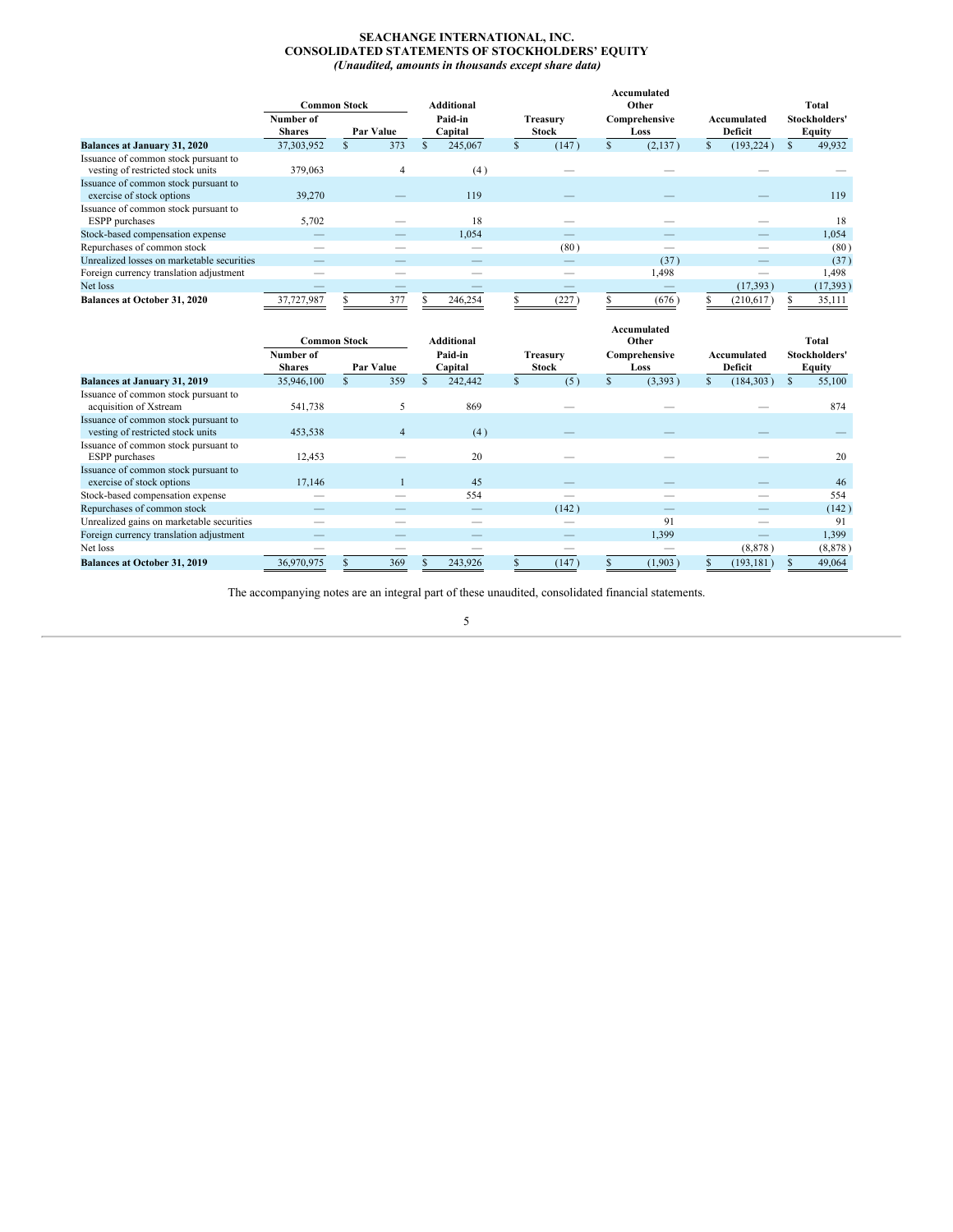#### **SEACHANGE INTERNATIONAL, INC. CONSOLIDATED STATEMENTS OF STOCKHOLDERS' EQUITY** *(Unaudited, amounts in thousands except share data)*

|                                                                           | <b>Common Stock</b>        |           | <b>Additional</b>  |   |                   | Accumulated<br>Other  |                        | Total                   |
|---------------------------------------------------------------------------|----------------------------|-----------|--------------------|---|-------------------|-----------------------|------------------------|-------------------------|
|                                                                           | Number of<br><b>Shares</b> | Par Value | Paid-in<br>Capital |   | Treasurv<br>Stock | Comprehensive<br>Loss | Accumulated<br>Deficit | Stockholders'<br>Equity |
| Balances at January 31, 2020                                              | 37,303,952                 | 373       | 245,067            | ъ | (147)             | (2,137)               | (193, 224)             | 49,932                  |
| Issuance of common stock pursuant to<br>vesting of restricted stock units | 379,063                    | 4         | (4)                |   |                   |                       |                        |                         |
| Issuance of common stock pursuant to<br>exercise of stock options         | 39,270                     |           | 119                |   |                   |                       |                        | 119                     |
| Issuance of common stock pursuant to<br><b>ESPP</b> purchases             | 5,702                      |           | 18                 |   |                   |                       |                        | 18                      |
| Stock-based compensation expense                                          |                            |           | 1,054              |   |                   |                       |                        | 1,054                   |
| Repurchases of common stock                                               |                            |           |                    |   | (80)              |                       |                        | (80)                    |
| Unrealized losses on marketable securities                                |                            |           |                    |   |                   | (37)                  |                        | (37)                    |
| Foreign currency translation adjustment                                   |                            |           |                    |   |                   | 1,498                 |                        | 1,498                   |
| Net loss                                                                  |                            |           | __                 |   | __                |                       | (17, 393)              | (17, 393)               |
| Balances at October 31, 2020                                              | 37,727,987                 | 377       | 246,254            |   | (227)             | (676)                 | (210,617)              | 35,111                  |

|                                                                           | <b>Common Stock</b>        |                | <b>Additional</b>  |   |                                 | Accumulated<br>Other  |                               | Total                   |
|---------------------------------------------------------------------------|----------------------------|----------------|--------------------|---|---------------------------------|-----------------------|-------------------------------|-------------------------|
|                                                                           | Number of<br><b>Shares</b> | Par Value      | Paid-in<br>Capital |   | <b>Treasury</b><br><b>Stock</b> | Comprehensive<br>Loss | Accumulated<br><b>Deficit</b> | Stockholders'<br>Equity |
| Balances at January 31, 2019                                              | 35,946,100                 | 359            | 242,442            | ъ | (5)                             | (3,393)               | (184, 303)                    | 55,100                  |
| Issuance of common stock pursuant to<br>acquisition of Xstream            | 541,738                    | 5              | 869                |   |                                 |                       |                               | 874                     |
| Issuance of common stock pursuant to<br>vesting of restricted stock units | 453,538                    | $\overline{4}$ | (4)                |   |                                 |                       |                               |                         |
| Issuance of common stock pursuant to<br><b>ESPP</b> purchases             | 12,453                     |                | 20                 |   |                                 |                       |                               | 20                      |
| Issuance of common stock pursuant to<br>exercise of stock options         | 17,146                     |                | 45                 |   |                                 |                       |                               | 46                      |
| Stock-based compensation expense                                          |                            |                | 554                |   |                                 |                       |                               | 554                     |
| Repurchases of common stock                                               |                            |                |                    |   | (142)                           |                       |                               | (142)                   |
| Unrealized gains on marketable securities                                 |                            |                |                    |   |                                 | 91                    |                               | 91                      |
| Foreign currency translation adjustment                                   |                            |                | $-$                |   |                                 | 1,399                 |                               | 1,399                   |
| Net loss                                                                  |                            |                | __                 |   |                                 |                       | (8,878)                       | (8,878)                 |
| <b>Balances at October 31, 2019</b>                                       | 36,970,975                 | 369            | 243,926            |   | (147)                           | (1,903)               | (193, 181)                    | 49,064                  |

The accompanying notes are an integral part of these unaudited, consolidated financial statements.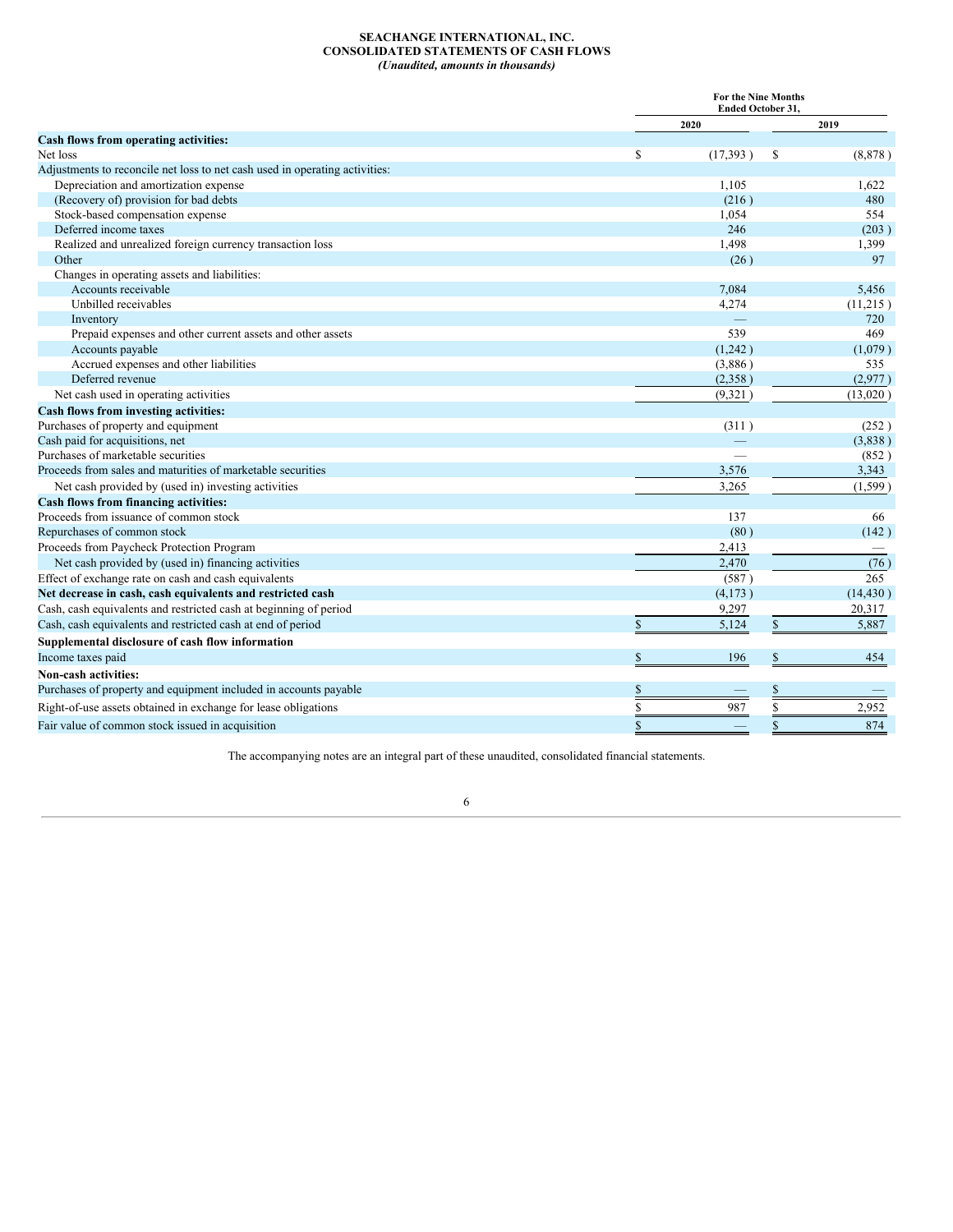#### **SEACHANGE INTERNATIONAL, INC. CONSOLIDATED STATEMENTS OF CASH FLOWS** *(Unaudited, amounts in thousands)*

<span id="page-6-0"></span>

| 2020<br>2019<br>\$<br>Net loss<br>(17,393)<br>\$<br>(8,878)<br>Adjustments to reconcile net loss to net cash used in operating activities:<br>Depreciation and amortization expense<br>1,105<br>1,622<br>(Recovery of) provision for bad debts<br>(216)<br>480<br>Stock-based compensation expense<br>1,054<br>554<br>Deferred income taxes<br>246<br>(203)<br>Realized and unrealized foreign currency transaction loss<br>1,498<br>1,399<br>97<br>Other<br>(26)<br>Changes in operating assets and liabilities:<br>Accounts receivable<br>7,084<br>5,456<br>Unbilled receivables<br>4,274<br>(11,215)<br>720<br>Inventory<br>$\overline{\phantom{0}}$<br>Prepaid expenses and other current assets and other assets<br>539<br>469<br>Accounts payable<br>(1,242)<br>(1,079)<br>Accrued expenses and other liabilities<br>(3,886)<br>535<br>Deferred revenue<br>(2,977)<br>(2,358)<br>Net cash used in operating activities<br>(9,321)<br>(13,020)<br>Purchases of property and equipment<br>(311)<br>(252)<br>(3,838)<br>(852)<br>Proceeds from sales and maturities of marketable securities<br>3,576<br>3,343<br>Net cash provided by (used in) investing activities<br>3,265<br>(1,599)<br>137<br>66<br>(80)<br>(142)<br>2,413<br>Net cash provided by (used in) financing activities<br>2,470<br>(76)<br>265<br>(587)<br>Net decrease in cash, cash equivalents and restricted cash<br>(4,173)<br>(14, 430)<br>9,297<br>20,317<br>\$<br>5,124<br>\$<br>5,887<br>Supplemental disclosure of cash flow information<br>\$<br>196<br>\$<br>454<br>Non-cash activities:<br>Purchases of property and equipment included in accounts payable<br>$\mathbb{S}$<br>\$<br>Right-of-use assets obtained in exchange for lease obligations<br>\$<br>\$<br>987<br>2,952 |                                                                   | <b>For the Nine Months</b><br><b>Ended October 31,</b> |
|------------------------------------------------------------------------------------------------------------------------------------------------------------------------------------------------------------------------------------------------------------------------------------------------------------------------------------------------------------------------------------------------------------------------------------------------------------------------------------------------------------------------------------------------------------------------------------------------------------------------------------------------------------------------------------------------------------------------------------------------------------------------------------------------------------------------------------------------------------------------------------------------------------------------------------------------------------------------------------------------------------------------------------------------------------------------------------------------------------------------------------------------------------------------------------------------------------------------------------------------------------------------------------------------------------------------------------------------------------------------------------------------------------------------------------------------------------------------------------------------------------------------------------------------------------------------------------------------------------------------------------------------------------------------------------------------------------------------------------------------------------------|-------------------------------------------------------------------|--------------------------------------------------------|
|                                                                                                                                                                                                                                                                                                                                                                                                                                                                                                                                                                                                                                                                                                                                                                                                                                                                                                                                                                                                                                                                                                                                                                                                                                                                                                                                                                                                                                                                                                                                                                                                                                                                                                                                                                  |                                                                   |                                                        |
|                                                                                                                                                                                                                                                                                                                                                                                                                                                                                                                                                                                                                                                                                                                                                                                                                                                                                                                                                                                                                                                                                                                                                                                                                                                                                                                                                                                                                                                                                                                                                                                                                                                                                                                                                                  | Cash flows from operating activities:                             |                                                        |
|                                                                                                                                                                                                                                                                                                                                                                                                                                                                                                                                                                                                                                                                                                                                                                                                                                                                                                                                                                                                                                                                                                                                                                                                                                                                                                                                                                                                                                                                                                                                                                                                                                                                                                                                                                  |                                                                   |                                                        |
|                                                                                                                                                                                                                                                                                                                                                                                                                                                                                                                                                                                                                                                                                                                                                                                                                                                                                                                                                                                                                                                                                                                                                                                                                                                                                                                                                                                                                                                                                                                                                                                                                                                                                                                                                                  |                                                                   |                                                        |
|                                                                                                                                                                                                                                                                                                                                                                                                                                                                                                                                                                                                                                                                                                                                                                                                                                                                                                                                                                                                                                                                                                                                                                                                                                                                                                                                                                                                                                                                                                                                                                                                                                                                                                                                                                  |                                                                   |                                                        |
|                                                                                                                                                                                                                                                                                                                                                                                                                                                                                                                                                                                                                                                                                                                                                                                                                                                                                                                                                                                                                                                                                                                                                                                                                                                                                                                                                                                                                                                                                                                                                                                                                                                                                                                                                                  |                                                                   |                                                        |
|                                                                                                                                                                                                                                                                                                                                                                                                                                                                                                                                                                                                                                                                                                                                                                                                                                                                                                                                                                                                                                                                                                                                                                                                                                                                                                                                                                                                                                                                                                                                                                                                                                                                                                                                                                  |                                                                   |                                                        |
|                                                                                                                                                                                                                                                                                                                                                                                                                                                                                                                                                                                                                                                                                                                                                                                                                                                                                                                                                                                                                                                                                                                                                                                                                                                                                                                                                                                                                                                                                                                                                                                                                                                                                                                                                                  |                                                                   |                                                        |
|                                                                                                                                                                                                                                                                                                                                                                                                                                                                                                                                                                                                                                                                                                                                                                                                                                                                                                                                                                                                                                                                                                                                                                                                                                                                                                                                                                                                                                                                                                                                                                                                                                                                                                                                                                  |                                                                   |                                                        |
|                                                                                                                                                                                                                                                                                                                                                                                                                                                                                                                                                                                                                                                                                                                                                                                                                                                                                                                                                                                                                                                                                                                                                                                                                                                                                                                                                                                                                                                                                                                                                                                                                                                                                                                                                                  |                                                                   |                                                        |
|                                                                                                                                                                                                                                                                                                                                                                                                                                                                                                                                                                                                                                                                                                                                                                                                                                                                                                                                                                                                                                                                                                                                                                                                                                                                                                                                                                                                                                                                                                                                                                                                                                                                                                                                                                  |                                                                   |                                                        |
|                                                                                                                                                                                                                                                                                                                                                                                                                                                                                                                                                                                                                                                                                                                                                                                                                                                                                                                                                                                                                                                                                                                                                                                                                                                                                                                                                                                                                                                                                                                                                                                                                                                                                                                                                                  |                                                                   |                                                        |
|                                                                                                                                                                                                                                                                                                                                                                                                                                                                                                                                                                                                                                                                                                                                                                                                                                                                                                                                                                                                                                                                                                                                                                                                                                                                                                                                                                                                                                                                                                                                                                                                                                                                                                                                                                  |                                                                   |                                                        |
|                                                                                                                                                                                                                                                                                                                                                                                                                                                                                                                                                                                                                                                                                                                                                                                                                                                                                                                                                                                                                                                                                                                                                                                                                                                                                                                                                                                                                                                                                                                                                                                                                                                                                                                                                                  |                                                                   |                                                        |
|                                                                                                                                                                                                                                                                                                                                                                                                                                                                                                                                                                                                                                                                                                                                                                                                                                                                                                                                                                                                                                                                                                                                                                                                                                                                                                                                                                                                                                                                                                                                                                                                                                                                                                                                                                  |                                                                   |                                                        |
|                                                                                                                                                                                                                                                                                                                                                                                                                                                                                                                                                                                                                                                                                                                                                                                                                                                                                                                                                                                                                                                                                                                                                                                                                                                                                                                                                                                                                                                                                                                                                                                                                                                                                                                                                                  |                                                                   |                                                        |
|                                                                                                                                                                                                                                                                                                                                                                                                                                                                                                                                                                                                                                                                                                                                                                                                                                                                                                                                                                                                                                                                                                                                                                                                                                                                                                                                                                                                                                                                                                                                                                                                                                                                                                                                                                  |                                                                   |                                                        |
|                                                                                                                                                                                                                                                                                                                                                                                                                                                                                                                                                                                                                                                                                                                                                                                                                                                                                                                                                                                                                                                                                                                                                                                                                                                                                                                                                                                                                                                                                                                                                                                                                                                                                                                                                                  |                                                                   |                                                        |
|                                                                                                                                                                                                                                                                                                                                                                                                                                                                                                                                                                                                                                                                                                                                                                                                                                                                                                                                                                                                                                                                                                                                                                                                                                                                                                                                                                                                                                                                                                                                                                                                                                                                                                                                                                  |                                                                   |                                                        |
|                                                                                                                                                                                                                                                                                                                                                                                                                                                                                                                                                                                                                                                                                                                                                                                                                                                                                                                                                                                                                                                                                                                                                                                                                                                                                                                                                                                                                                                                                                                                                                                                                                                                                                                                                                  | <b>Cash flows from investing activities:</b>                      |                                                        |
|                                                                                                                                                                                                                                                                                                                                                                                                                                                                                                                                                                                                                                                                                                                                                                                                                                                                                                                                                                                                                                                                                                                                                                                                                                                                                                                                                                                                                                                                                                                                                                                                                                                                                                                                                                  |                                                                   |                                                        |
|                                                                                                                                                                                                                                                                                                                                                                                                                                                                                                                                                                                                                                                                                                                                                                                                                                                                                                                                                                                                                                                                                                                                                                                                                                                                                                                                                                                                                                                                                                                                                                                                                                                                                                                                                                  | Cash paid for acquisitions, net                                   |                                                        |
|                                                                                                                                                                                                                                                                                                                                                                                                                                                                                                                                                                                                                                                                                                                                                                                                                                                                                                                                                                                                                                                                                                                                                                                                                                                                                                                                                                                                                                                                                                                                                                                                                                                                                                                                                                  | Purchases of marketable securities                                |                                                        |
|                                                                                                                                                                                                                                                                                                                                                                                                                                                                                                                                                                                                                                                                                                                                                                                                                                                                                                                                                                                                                                                                                                                                                                                                                                                                                                                                                                                                                                                                                                                                                                                                                                                                                                                                                                  |                                                                   |                                                        |
|                                                                                                                                                                                                                                                                                                                                                                                                                                                                                                                                                                                                                                                                                                                                                                                                                                                                                                                                                                                                                                                                                                                                                                                                                                                                                                                                                                                                                                                                                                                                                                                                                                                                                                                                                                  |                                                                   |                                                        |
|                                                                                                                                                                                                                                                                                                                                                                                                                                                                                                                                                                                                                                                                                                                                                                                                                                                                                                                                                                                                                                                                                                                                                                                                                                                                                                                                                                                                                                                                                                                                                                                                                                                                                                                                                                  | Cash flows from financing activities:                             |                                                        |
|                                                                                                                                                                                                                                                                                                                                                                                                                                                                                                                                                                                                                                                                                                                                                                                                                                                                                                                                                                                                                                                                                                                                                                                                                                                                                                                                                                                                                                                                                                                                                                                                                                                                                                                                                                  | Proceeds from issuance of common stock                            |                                                        |
|                                                                                                                                                                                                                                                                                                                                                                                                                                                                                                                                                                                                                                                                                                                                                                                                                                                                                                                                                                                                                                                                                                                                                                                                                                                                                                                                                                                                                                                                                                                                                                                                                                                                                                                                                                  | Repurchases of common stock                                       |                                                        |
|                                                                                                                                                                                                                                                                                                                                                                                                                                                                                                                                                                                                                                                                                                                                                                                                                                                                                                                                                                                                                                                                                                                                                                                                                                                                                                                                                                                                                                                                                                                                                                                                                                                                                                                                                                  | Proceeds from Paycheck Protection Program                         |                                                        |
|                                                                                                                                                                                                                                                                                                                                                                                                                                                                                                                                                                                                                                                                                                                                                                                                                                                                                                                                                                                                                                                                                                                                                                                                                                                                                                                                                                                                                                                                                                                                                                                                                                                                                                                                                                  |                                                                   |                                                        |
|                                                                                                                                                                                                                                                                                                                                                                                                                                                                                                                                                                                                                                                                                                                                                                                                                                                                                                                                                                                                                                                                                                                                                                                                                                                                                                                                                                                                                                                                                                                                                                                                                                                                                                                                                                  | Effect of exchange rate on cash and cash equivalents              |                                                        |
|                                                                                                                                                                                                                                                                                                                                                                                                                                                                                                                                                                                                                                                                                                                                                                                                                                                                                                                                                                                                                                                                                                                                                                                                                                                                                                                                                                                                                                                                                                                                                                                                                                                                                                                                                                  |                                                                   |                                                        |
|                                                                                                                                                                                                                                                                                                                                                                                                                                                                                                                                                                                                                                                                                                                                                                                                                                                                                                                                                                                                                                                                                                                                                                                                                                                                                                                                                                                                                                                                                                                                                                                                                                                                                                                                                                  | Cash, cash equivalents and restricted cash at beginning of period |                                                        |
|                                                                                                                                                                                                                                                                                                                                                                                                                                                                                                                                                                                                                                                                                                                                                                                                                                                                                                                                                                                                                                                                                                                                                                                                                                                                                                                                                                                                                                                                                                                                                                                                                                                                                                                                                                  | Cash, cash equivalents and restricted cash at end of period       |                                                        |
|                                                                                                                                                                                                                                                                                                                                                                                                                                                                                                                                                                                                                                                                                                                                                                                                                                                                                                                                                                                                                                                                                                                                                                                                                                                                                                                                                                                                                                                                                                                                                                                                                                                                                                                                                                  |                                                                   |                                                        |
|                                                                                                                                                                                                                                                                                                                                                                                                                                                                                                                                                                                                                                                                                                                                                                                                                                                                                                                                                                                                                                                                                                                                                                                                                                                                                                                                                                                                                                                                                                                                                                                                                                                                                                                                                                  | Income taxes paid                                                 |                                                        |
|                                                                                                                                                                                                                                                                                                                                                                                                                                                                                                                                                                                                                                                                                                                                                                                                                                                                                                                                                                                                                                                                                                                                                                                                                                                                                                                                                                                                                                                                                                                                                                                                                                                                                                                                                                  |                                                                   |                                                        |
|                                                                                                                                                                                                                                                                                                                                                                                                                                                                                                                                                                                                                                                                                                                                                                                                                                                                                                                                                                                                                                                                                                                                                                                                                                                                                                                                                                                                                                                                                                                                                                                                                                                                                                                                                                  |                                                                   |                                                        |
|                                                                                                                                                                                                                                                                                                                                                                                                                                                                                                                                                                                                                                                                                                                                                                                                                                                                                                                                                                                                                                                                                                                                                                                                                                                                                                                                                                                                                                                                                                                                                                                                                                                                                                                                                                  |                                                                   |                                                        |
|                                                                                                                                                                                                                                                                                                                                                                                                                                                                                                                                                                                                                                                                                                                                                                                                                                                                                                                                                                                                                                                                                                                                                                                                                                                                                                                                                                                                                                                                                                                                                                                                                                                                                                                                                                  | Fair value of common stock issued in acquisition                  | \$<br>S<br>874                                         |

The accompanying notes are an integral part of these unaudited, consolidated financial statements.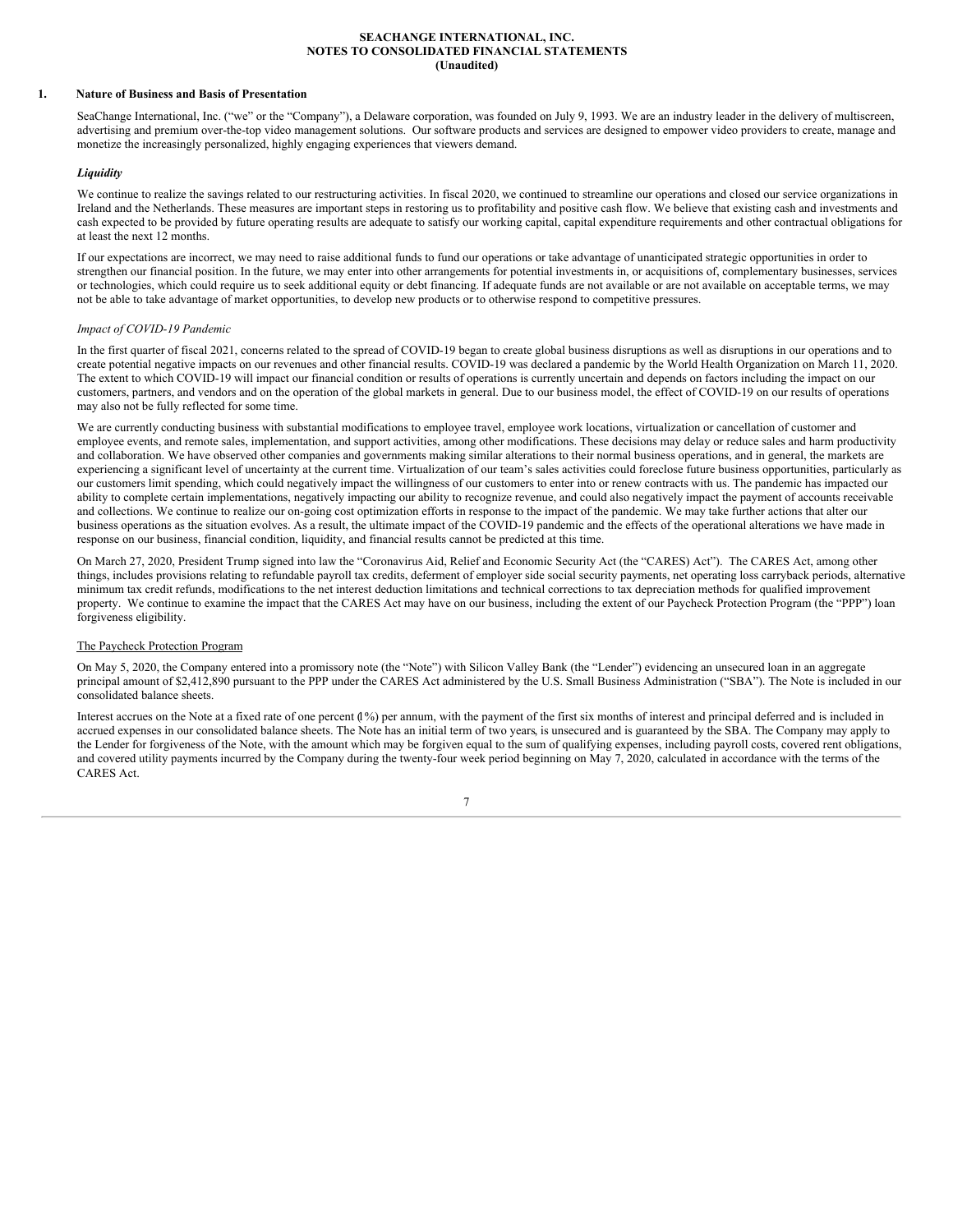#### **SEACHANGE INTERNATIONAL, INC. NOTES TO CONSOLIDATED FINANCIAL STATEMENTS (Unaudited)**

#### <span id="page-7-0"></span>**1. Nature of Business and Basis of Presentation**

SeaChange International, Inc. ("we" or the "Company"), a Delaware corporation, was founded on July 9, 1993. We are an industry leader in the delivery of multiscreen, advertising and premium over-the-top video management solutions. Our software products and services are designed to empower video providers to create, manage and monetize the increasingly personalized, highly engaging experiences that viewers demand.

#### *Liquidity*

We continue to realize the savings related to our restructuring activities. In fiscal 2020, we continued to streamline our operations and closed our service organizations in Ireland and the Netherlands. These measures are important steps in restoring us to profitability and positive cash flow. We believe that existing cash and investments and cash expected to be provided by future operating results are adequate to satisfy our working capital, capital expenditure requirements and other contractual obligations for at least the next 12 months.

If our expectations are incorrect, we may need to raise additional funds to fund our operations or take advantage of unanticipated strategic opportunities in order to strengthen our financial position. In the future, we may enter into other arrangements for potential investments in, or acquisitions of, complementary businesses, services or technologies, which could require us to seek additional equity or debt financing. If adequate funds are not available or are not available on acceptable terms, we may not be able to take advantage of market opportunities, to develop new products or to otherwise respond to competitive pressures.

#### *Impact of COVID-19 Pandemic*

In the first quarter of fiscal 2021, concerns related to the spread of COVID-19 began to create global business disruptions as well as disruptions in our operations and to create potential negative impacts on our revenues and other financial results. COVID-19 was declared a pandemic by the World Health Organization on March 11, 2020. The extent to which COVID-19 will impact our financial condition or results of operations is currently uncertain and depends on factors including the impact on our customers, partners, and vendors and on the operation of the global markets in general. Due to our business model, the effect of COVID-19 on our results of operations may also not be fully reflected for some time.

We are currently conducting business with substantial modifications to employee travel, employee work locations, virtualization or cancellation of customer and employee events, and remote sales, implementation, and support activities, among other modifications. These decisions may delay or reduce sales and harm productivity and collaboration. We have observed other companies and governments making similar alterations to their normal business operations, and in general, the markets are experiencing a significant level of uncertainty at the current time. Virtualization of our team's sales activities could foreclose future business opportunities, particularly as our customers limit spending, which could negatively impact the willingness of our customers to enter into or renew contracts with us. The pandemic has impacted our ability to complete certain implementations, negatively impacting our ability to recognize revenue, and could also negatively impact the payment of accounts receivable and collections. We continue to realize our on-going cost optimization efforts in response to the impact of the pandemic. We may take further actions that alter our business operations as the situation evolves. As a result, the ultimate impact of the COVID-19 pandemic and the effects of the operational alterations we have made in response on our business, financial condition, liquidity, and financial results cannot be predicted at this time.

On March 27, 2020, President Trump signed into law the "Coronavirus Aid, Relief and Economic Security Act (the "CARES) Act"). The CARES Act, among other things, includes provisions relating to refundable payroll tax credits, deferment of employer side social security payments, net operating loss carryback periods, alternative minimum tax credit refunds, modifications to the net interest deduction limitations and technical corrections to tax depreciation methods for qualified improvement property. We continue to examine the impact that the CARES Act may have on our business, including the extent of our Paycheck Protection Program (the "PPP") loan forgiveness eligibility.

#### The Paycheck Protection Program

On May 5, 2020, the Company entered into a promissory note (the "Note") with Silicon Valley Bank (the "Lender") evidencing an unsecured loan in an aggregate principal amount of \$2,412,890 pursuant to the PPP under the CARES Act administered by the U.S. Small Business Administration ("SBA"). The Note is included in our consolidated balance sheets.

Interest accrues on the Note at a fixed rate of one percent (1%) per annum, with the payment of the first six months of interest and principal deferred and is included in accrued expenses in our consolidated balance sheets. The Note has an initial term of two years, is unsecured and is guaranteed by the SBA. The Company may apply to the Lender for forgiveness of the Note, with the amount which may be forgiven equal to the sum of qualifying expenses, including payroll costs, covered rent obligations, and covered utility payments incurred by the Company during the twenty-four week period beginning on May 7, 2020, calculated in accordance with the terms of the CARES Act.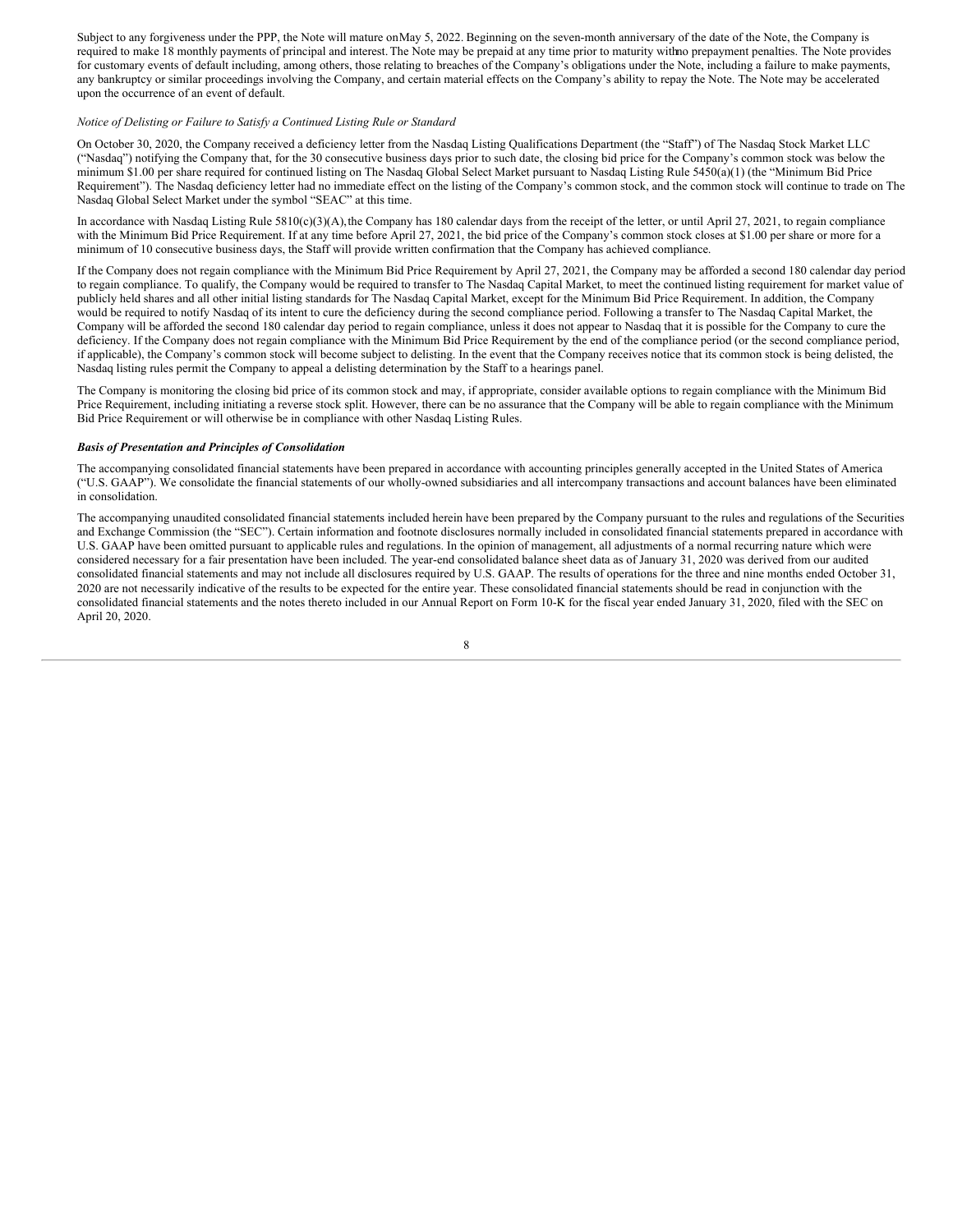Subject to any forgiveness under the PPP, the Note will mature onMay 5, 2022. Beginning on the seven-month anniversary of the date of the Note, the Company is required to make 18 monthly payments of principal and interest.The Note may be prepaid at any time prior to maturity withno prepayment penalties. The Note provides for customary events of default including, among others, those relating to breaches of the Company's obligations under the Note, including a failure to make payments, any bankruptcy or similar proceedings involving the Company, and certain material effects on the Company's ability to repay the Note. The Note may be accelerated upon the occurrence of an event of default.

#### *Notice of Delisting or Failure to Satisfy a Continued Listing Rule or Standard*

On October 30, 2020, the Company received a deficiency letter from the Nasdaq Listing Qualifications Department (the "Staff") of The Nasdaq Stock Market LLC ("Nasdaq") notifying the Company that, for the 30 consecutive business days prior to such date, the closing bid price for the Company's common stock was below the minimum \$1.00 per share required for continued listing on The Nasdaq Global Select Market pursuant to Nasdaq Listing Rule 5450(a)(1) (the "Minimum Bid Price Requirement"). The Nasdaq deficiency letter had no immediate effect on the listing of the Company's common stock, and the common stock will continue to trade on The Nasdaq Global Select Market under the symbol "SEAC" at this time.

In accordance with Nasdaq Listing Rule 5810(c)(3)(A), the Company has 180 calendar days from the receipt of the letter, or until April 27, 2021, to regain compliance with the Minimum Bid Price Requirement. If at any time before April 27, 2021, the bid price of the Company's common stock closes at \$1.00 per share or more for a minimum of 10 consecutive business days, the Staff will provide written confirmation that the Company has achieved compliance.

If the Company does not regain compliance with the Minimum Bid Price Requirement by April 27, 2021, the Company may be afforded a second 180 calendar day period to regain compliance. To qualify, the Company would be required to transfer to The Nasdaq Capital Market, to meet the continued listing requirement for market value of publicly held shares and all other initial listing standards for The Nasdaq Capital Market, except for the Minimum Bid Price Requirement. In addition, the Company would be required to notify Nasdaq of its intent to cure the deficiency during the second compliance period. Following a transfer to The Nasdaq Capital Market, the Company will be afforded the second 180 calendar day period to regain compliance, unless it does not appear to Nasdaq that it is possible for the Company to cure the deficiency. If the Company does not regain compliance with the Minimum Bid Price Requirement by the end of the compliance period (or the second compliance period, if applicable), the Company's common stock will become subject to delisting. In the event that the Company receives notice that its common stock is being delisted, the Nasdaq listing rules permit the Company to appeal a delisting determination by the Staff to a hearings panel.

The Company is monitoring the closing bid price of its common stock and may, if appropriate, consider available options to regain compliance with the Minimum Bid Price Requirement, including initiating a reverse stock split. However, there can be no assurance that the Company will be able to regain compliance with the Minimum Bid Price Requirement or will otherwise be in compliance with other Nasdaq Listing Rules.

#### *Basis of Presentation and Principles of Consolidation*

The accompanying consolidated financial statements have been prepared in accordance with accounting principles generally accepted in the United States of America ("U.S. GAAP"). We consolidate the financial statements of our wholly-owned subsidiaries and all intercompany transactions and account balances have been eliminated in consolidation.

The accompanying unaudited consolidated financial statements included herein have been prepared by the Company pursuant to the rules and regulations of the Securities and Exchange Commission (the "SEC"). Certain information and footnote disclosures normally included in consolidated financial statements prepared in accordance with U.S. GAAP have been omitted pursuant to applicable rules and regulations. In the opinion of management, all adjustments of a normal recurring nature which were considered necessary for a fair presentation have been included. The year-end consolidated balance sheet data as of January 31, 2020 was derived from our audited consolidated financial statements and may not include all disclosures required by U.S. GAAP. The results of operations for the three and nine months ended October 31, 2020 are not necessarily indicative of the results to be expected for the entire year. These consolidated financial statements should be read in conjunction with the consolidated financial statements and the notes thereto included in our Annual Report on Form 10-K for the fiscal year ended January 31, 2020, filed with the SEC on April 20, 2020.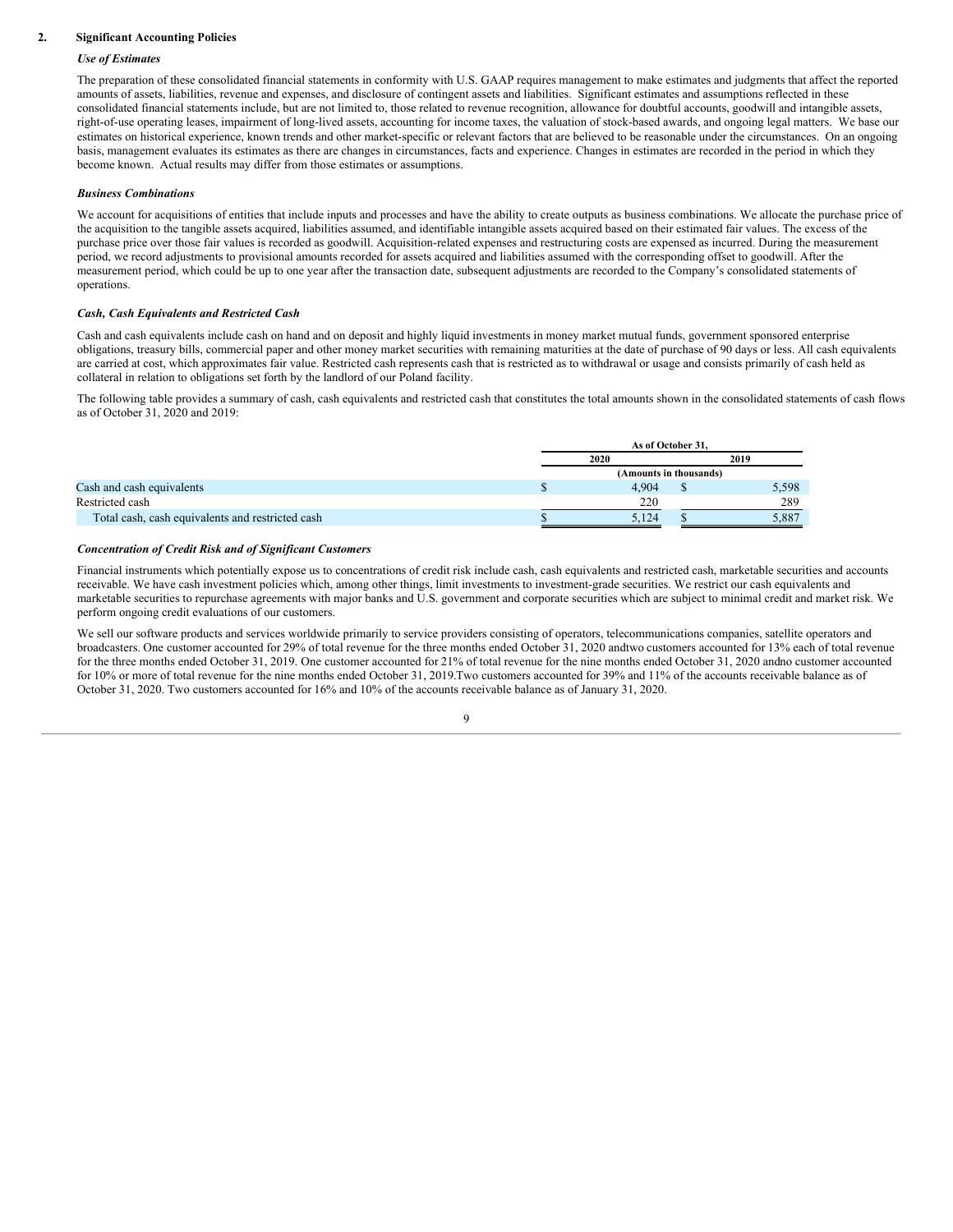#### **2. Significant Accounting Policies**

#### *Use of Estimates*

The preparation of these consolidated financial statements in conformity with U.S. GAAP requires management to make estimates and judgments that affect the reported amounts of assets, liabilities, revenue and expenses, and disclosure of contingent assets and liabilities. Significant estimates and assumptions reflected in these consolidated financial statements include, but are not limited to, those related to revenue recognition, allowance for doubtful accounts, goodwill and intangible assets, right-of-use operating leases, impairment of long-lived assets, accounting for income taxes, the valuation of stock-based awards, and ongoing legal matters. We base our estimates on historical experience, known trends and other market-specific or relevant factors that are believed to be reasonable under the circumstances. On an ongoing basis, management evaluates its estimates as there are changes in circumstances, facts and experience. Changes in estimates are recorded in the period in which they become known. Actual results may differ from those estimates or assumptions.

#### *Business Combinations*

We account for acquisitions of entities that include inputs and processes and have the ability to create outputs as business combinations. We allocate the purchase price of the acquisition to the tangible assets acquired, liabilities assumed, and identifiable intangible assets acquired based on their estimated fair values. The excess of the purchase price over those fair values is recorded as goodwill. Acquisition-related expenses and restructuring costs are expensed as incurred. During the measurement period, we record adjustments to provisional amounts recorded for assets acquired and liabilities assumed with the corresponding offset to goodwill. After the measurement period, which could be up to one year after the transaction date, subsequent adjustments are recorded to the Company's consolidated statements of operations.

#### *Cash, Cash Equivalents and Restricted Cash*

Cash and cash equivalents include cash on hand and on deposit and highly liquid investments in money market mutual funds, government sponsored enterprise obligations, treasury bills, commercial paper and other money market securities with remaining maturities at the date of purchase of 90 days or less. All cash equivalents are carried at cost, which approximates fair value. Restricted cash represents cash that is restricted as to withdrawal or usage and consists primarily of cash held as collateral in relation to obligations set forth by the landlord of our Poland facility.

The following table provides a summary of cash, cash equivalents and restricted cash that constitutes the total amounts shown in the consolidated statements of cash flows as of October 31, 2020 and 2019:

|                                                  |      | As of October 31.      |       |
|--------------------------------------------------|------|------------------------|-------|
|                                                  | 2020 |                        | 2019  |
|                                                  |      | (Amounts in thousands) |       |
| Cash and cash equivalents                        |      | 4.904                  | 5,598 |
| Restricted cash                                  |      | 220                    | 289   |
| Total cash, cash equivalents and restricted cash |      | 5.124                  | 5,887 |

#### *Concentration of Credit Risk and of Significant Customers*

Financial instruments which potentially expose us to concentrations of credit risk include cash, cash equivalents and restricted cash, marketable securities and accounts receivable. We have cash investment policies which, among other things, limit investments to investment-grade securities. We restrict our cash equivalents and marketable securities to repurchase agreements with major banks and U.S. government and corporate securities which are subject to minimal credit and market risk. We perform ongoing credit evaluations of our customers.

We sell our software products and services worldwide primarily to service providers consisting of operators, telecommunications companies, satellite operators and broadcasters. One customer accounted for 29% of total revenue for the three months ended October 31, 2020 andtwo customers accounted for 13% each of total revenue for the three months ended October 31, 2019. One customer accounted for 21% of total revenue for the nine months ended October 31, 2020 andno customer accounted for 10% or more of total revenue for the nine months ended October 31, 2019.Two customers accounted for 39% and 11% of the accounts receivable balance as of October 31, 2020. Two customers accounted for 16% and 10% of the accounts receivable balance as of January 31, 2020.

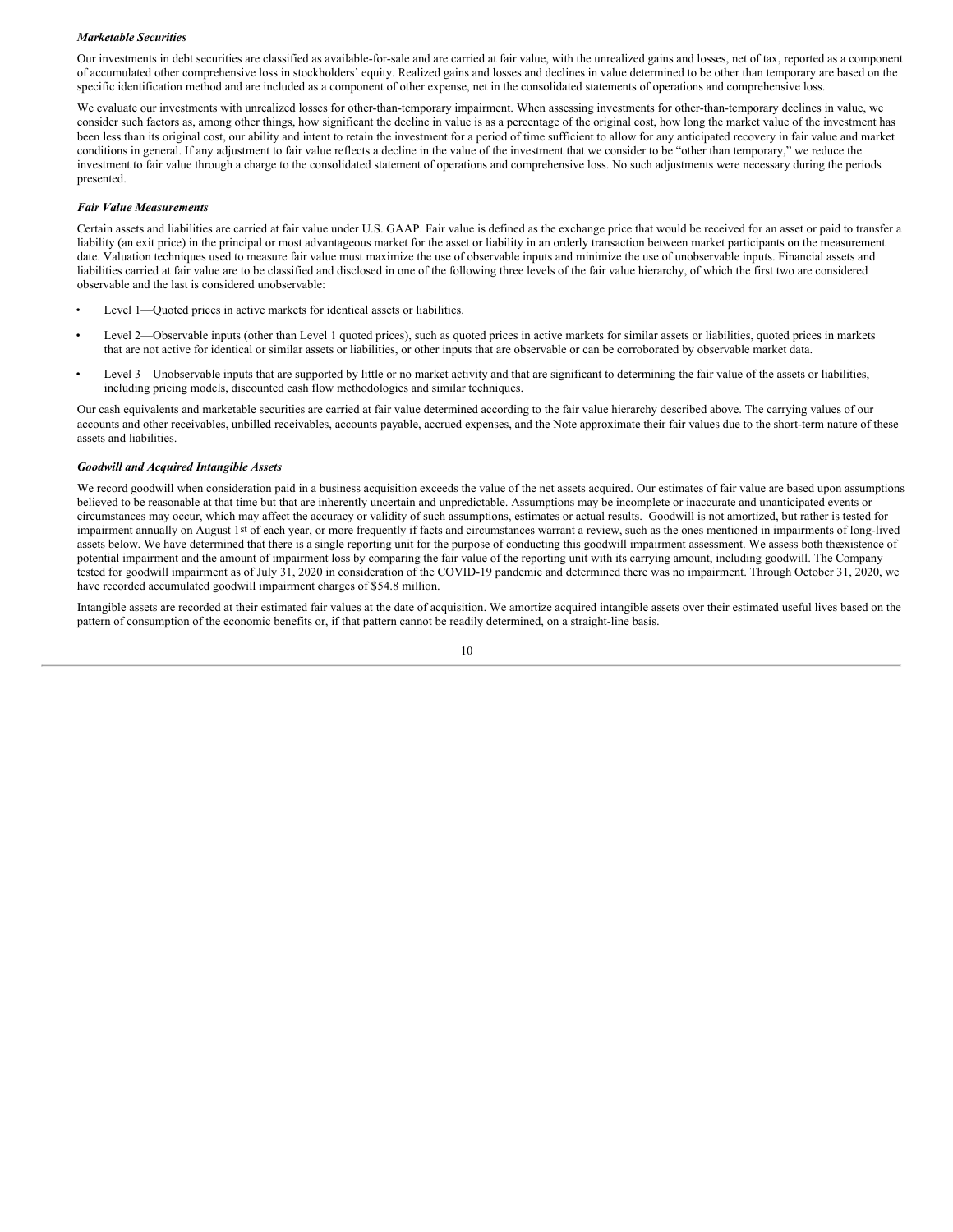#### *Marketable Securities*

Our investments in debt securities are classified as available-for-sale and are carried at fair value, with the unrealized gains and losses, net of tax, reported as a component of accumulated other comprehensive loss in stockholders' equity. Realized gains and losses and declines in value determined to be other than temporary are based on the specific identification method and are included as a component of other expense, net in the consolidated statements of operations and comprehensive loss.

We evaluate our investments with unrealized losses for other-than-temporary impairment. When assessing investments for other-than-temporary declines in value, we consider such factors as, among other things, how significant the decline in value is as a percentage of the original cost, how long the market value of the investment has been less than its original cost, our ability and intent to retain the investment for a period of time sufficient to allow for any anticipated recovery in fair value and market conditions in general. If any adjustment to fair value reflects a decline in the value of the investment that we consider to be "other than temporary," we reduce the investment to fair value through a charge to the consolidated statement of operations and comprehensive loss. No such adjustments were necessary during the periods presented.

#### *Fair Value Measurements*

Certain assets and liabilities are carried at fair value under U.S. GAAP. Fair value is defined as the exchange price that would be received for an asset or paid to transfer a liability (an exit price) in the principal or most advantageous market for the asset or liability in an orderly transaction between market participants on the measurement date. Valuation techniques used to measure fair value must maximize the use of observable inputs and minimize the use of unobservable inputs. Financial assets and liabilities carried at fair value are to be classified and disclosed in one of the following three levels of the fair value hierarchy, of which the first two are considered observable and the last is considered unobservable:

- Level 1-Quoted prices in active markets for identical assets or liabilities.
- Level 2—Observable inputs (other than Level 1 quoted prices), such as quoted prices in active markets for similar assets or liabilities, quoted prices in markets that are not active for identical or similar assets or liabilities, or other inputs that are observable or can be corroborated by observable market data.
- Level 3—Unobservable inputs that are supported by little or no market activity and that are significant to determining the fair value of the assets or liabilities, including pricing models, discounted cash flow methodologies and similar techniques.

Our cash equivalents and marketable securities are carried at fair value determined according to the fair value hierarchy described above. The carrying values of our accounts and other receivables, unbilled receivables, accounts payable, accrued expenses, and the Note approximate their fair values due to the short-term nature of these assets and liabilities.

#### *Goodwill and Acquired Intangible Assets*

We record goodwill when consideration paid in a business acquisition exceeds the value of the net assets acquired. Our estimates of fair value are based upon assumptions believed to be reasonable at that time but that are inherently uncertain and unpredictable. Assumptions may be incomplete or inaccurate and unanticipated events or circumstances may occur, which may affect the accuracy or validity of such assumptions, estimates or actual results. Goodwill is not amortized, but rather is tested for impairment annually on August 1st of each year, or more frequently if facts and circumstances warrant a review, such as the ones mentioned in impairments of long-lived assets below. We have determined that there is a single reporting unit for the purpose of conducting this goodwill impairment assessment. We assess both thexistence of potential impairment and the amount of impairment loss by comparing the fair value of the reporting unit with its carrying amount, including goodwill. The Company tested for goodwill impairment as of July 31, 2020 in consideration of the COVID-19 pandemic and determined there was no impairment. Through October 31, 2020, we have recorded accumulated goodwill impairment charges of \$54.8 million.

Intangible assets are recorded at their estimated fair values at the date of acquisition. We amortize acquired intangible assets over their estimated useful lives based on the pattern of consumption of the economic benefits or, if that pattern cannot be readily determined, on a straight-line basis.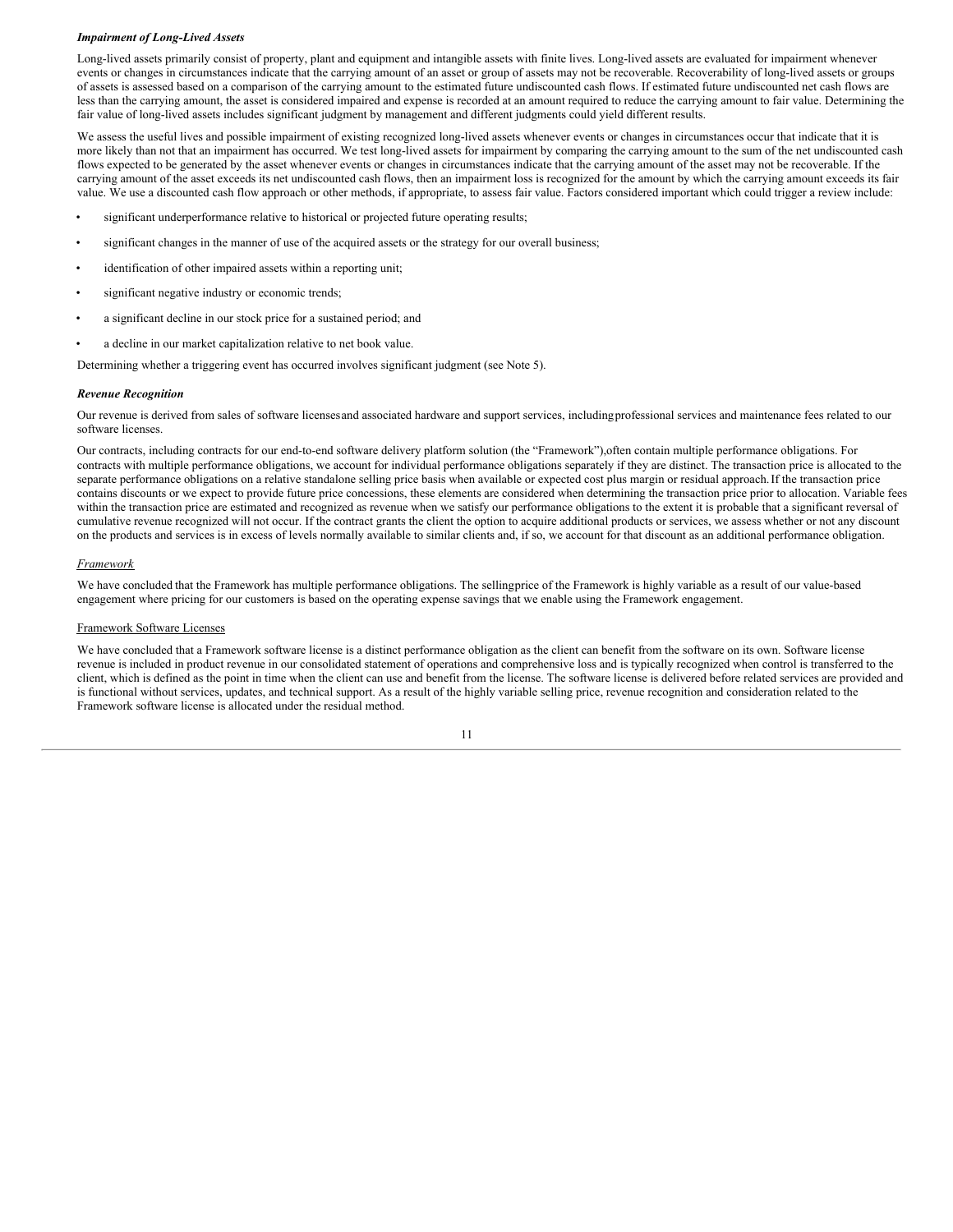#### *Impairment of Long-Lived Assets*

Long-lived assets primarily consist of property, plant and equipment and intangible assets with finite lives. Long-lived assets are evaluated for impairment whenever events or changes in circumstances indicate that the carrying amount of an asset or group of assets may not be recoverable. Recoverability of long-lived assets or groups of assets is assessed based on a comparison of the carrying amount to the estimated future undiscounted cash flows. If estimated future undiscounted net cash flows are less than the carrying amount, the asset is considered impaired and expense is recorded at an amount required to reduce the carrying amount to fair value. Determining the fair value of long-lived assets includes significant judgment by management and different judgments could yield different results.

We assess the useful lives and possible impairment of existing recognized long-lived assets whenever events or changes in circumstances occur that indicate that it is more likely than not that an impairment has occurred. We test long-lived assets for impairment by comparing the carrying amount to the sum of the net undiscounted cash flows expected to be generated by the asset whenever events or changes in circumstances indicate that the carrying amount of the asset may not be recoverable. If the carrying amount of the asset exceeds its net undiscounted cash flows, then an impairment loss is recognized for the amount by which the carrying amount exceeds its fair value. We use a discounted cash flow approach or other methods, if appropriate, to assess fair value. Factors considered important which could trigger a review include:

- significant underperformance relative to historical or projected future operating results;
- significant changes in the manner of use of the acquired assets or the strategy for our overall business;
- identification of other impaired assets within a reporting unit;
- significant negative industry or economic trends;
- a significant decline in our stock price for a sustained period; and
- a decline in our market capitalization relative to net book value.

Determining whether a triggering event has occurred involves significant judgment (see Note 5).

#### *Revenue Recognition*

Our revenue is derived from sales of software licensesand associated hardware and support services, includingprofessional services and maintenance fees related to our software licenses.

Our contracts, including contracts for our end-to-end software delivery platform solution (the "Framework"),often contain multiple performance obligations. For contracts with multiple performance obligations, we account for individual performance obligations separately if they are distinct. The transaction price is allocated to the separate performance obligations on a relative standalone selling price basis when available or expected cost plus margin or residual approach.If the transaction price contains discounts or we expect to provide future price concessions, these elements are considered when determining the transaction price prior to allocation. Variable fees within the transaction price are estimated and recognized as revenue when we satisfy our performance obligations to the extent it is probable that a significant reversal of cumulative revenue recognized will not occur. If the contract grants the client the option to acquire additional products or services, we assess whether or not any discount on the products and services is in excess of levels normally available to similar clients and, if so, we account for that discount as an additional performance obligation.

#### *Framework*

We have concluded that the Framework has multiple performance obligations. The sellingprice of the Framework is highly variable as a result of our value-based engagement where pricing for our customers is based on the operating expense savings that we enable using the Framework engagement.

#### Framework Software Licenses

We have concluded that a Framework software license is a distinct performance obligation as the client can benefit from the software on its own. Software license revenue is included in product revenue in our consolidated statement of operations and comprehensive loss and is typically recognized when control is transferred to the client, which is defined as the point in time when the client can use and benefit from the license. The software license is delivered before related services are provided and is functional without services, updates, and technical support. As a result of the highly variable selling price, revenue recognition and consideration related to the Framework software license is allocated under the residual method.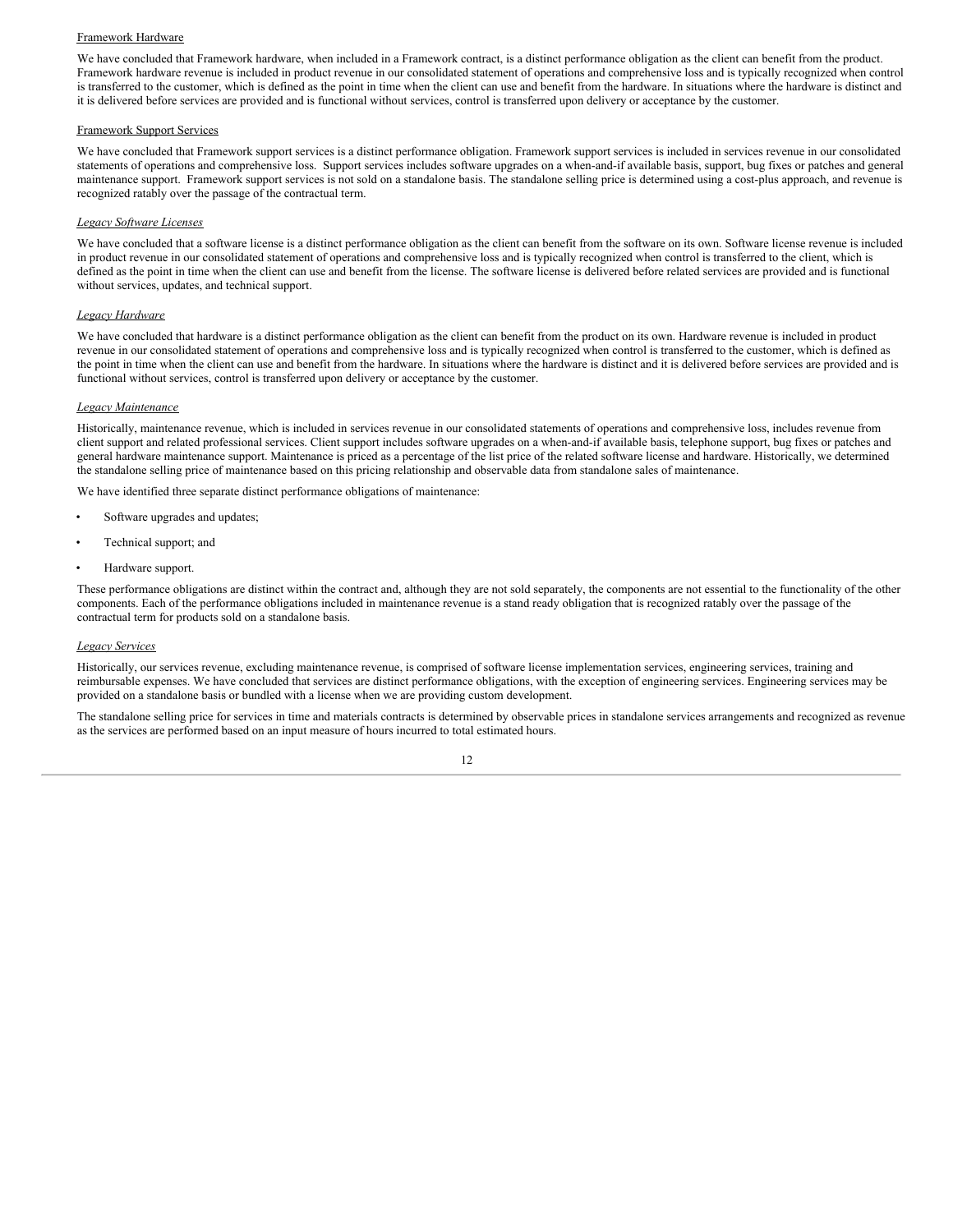#### Framework Hardware

We have concluded that Framework hardware, when included in a Framework contract, is a distinct performance obligation as the client can benefit from the product. Framework hardware revenue is included in product revenue in our consolidated statement of operations and comprehensive loss and is typically recognized when control is transferred to the customer, which is defined as the point in time when the client can use and benefit from the hardware. In situations where the hardware is distinct and it is delivered before services are provided and is functional without services, control is transferred upon delivery or acceptance by the customer.

#### Framework Support Services

We have concluded that Framework support services is a distinct performance obligation. Framework support services is included in services revenue in our consolidated statements of operations and comprehensive loss. Support services includes software upgrades on a when-and-if available basis, support, bug fixes or patches and general maintenance support. Framework support services is not sold on a standalone basis. The standalone selling price is determined using a cost-plus approach, and revenue is recognized ratably over the passage of the contractual term.

#### *Legacy Software Licenses*

We have concluded that a software license is a distinct performance obligation as the client can benefit from the software on its own. Software license revenue is included in product revenue in our consolidated statement of operations and comprehensive loss and is typically recognized when control is transferred to the client, which is defined as the point in time when the client can use and benefit from the license. The software license is delivered before related services are provided and is functional without services, updates, and technical support.

#### *Legacy Hardware*

We have concluded that hardware is a distinct performance obligation as the client can benefit from the product on its own. Hardware revenue is included in product revenue in our consolidated statement of operations and comprehensive loss and is typically recognized when control is transferred to the customer, which is defined as the point in time when the client can use and benefit from the hardware. In situations where the hardware is distinct and it is delivered before services are provided and is functional without services, control is transferred upon delivery or acceptance by the customer.

#### *Legacy Maintenance*

Historically, maintenance revenue, which is included in services revenue in our consolidated statements of operations and comprehensive loss, includes revenue from client support and related professional services. Client support includes software upgrades on a when-and-if available basis, telephone support, bug fixes or patches and general hardware maintenance support. Maintenance is priced as a percentage of the list price of the related software license and hardware. Historically, we determined the standalone selling price of maintenance based on this pricing relationship and observable data from standalone sales of maintenance.

We have identified three separate distinct performance obligations of maintenance:

- Software upgrades and updates;
- Technical support; and
- Hardware support.

These performance obligations are distinct within the contract and, although they are not sold separately, the components are not essential to the functionality of the other components. Each of the performance obligations included in maintenance revenue is a stand ready obligation that is recognized ratably over the passage of the contractual term for products sold on a standalone basis.

#### *Legacy Services*

Historically, our services revenue, excluding maintenance revenue, is comprised of software license implementation services, engineering services, training and reimbursable expenses. We have concluded that services are distinct performance obligations, with the exception of engineering services. Engineering services may be provided on a standalone basis or bundled with a license when we are providing custom development.

The standalone selling price for services in time and materials contracts is determined by observable prices in standalone services arrangements and recognized as revenue as the services are performed based on an input measure of hours incurred to total estimated hours.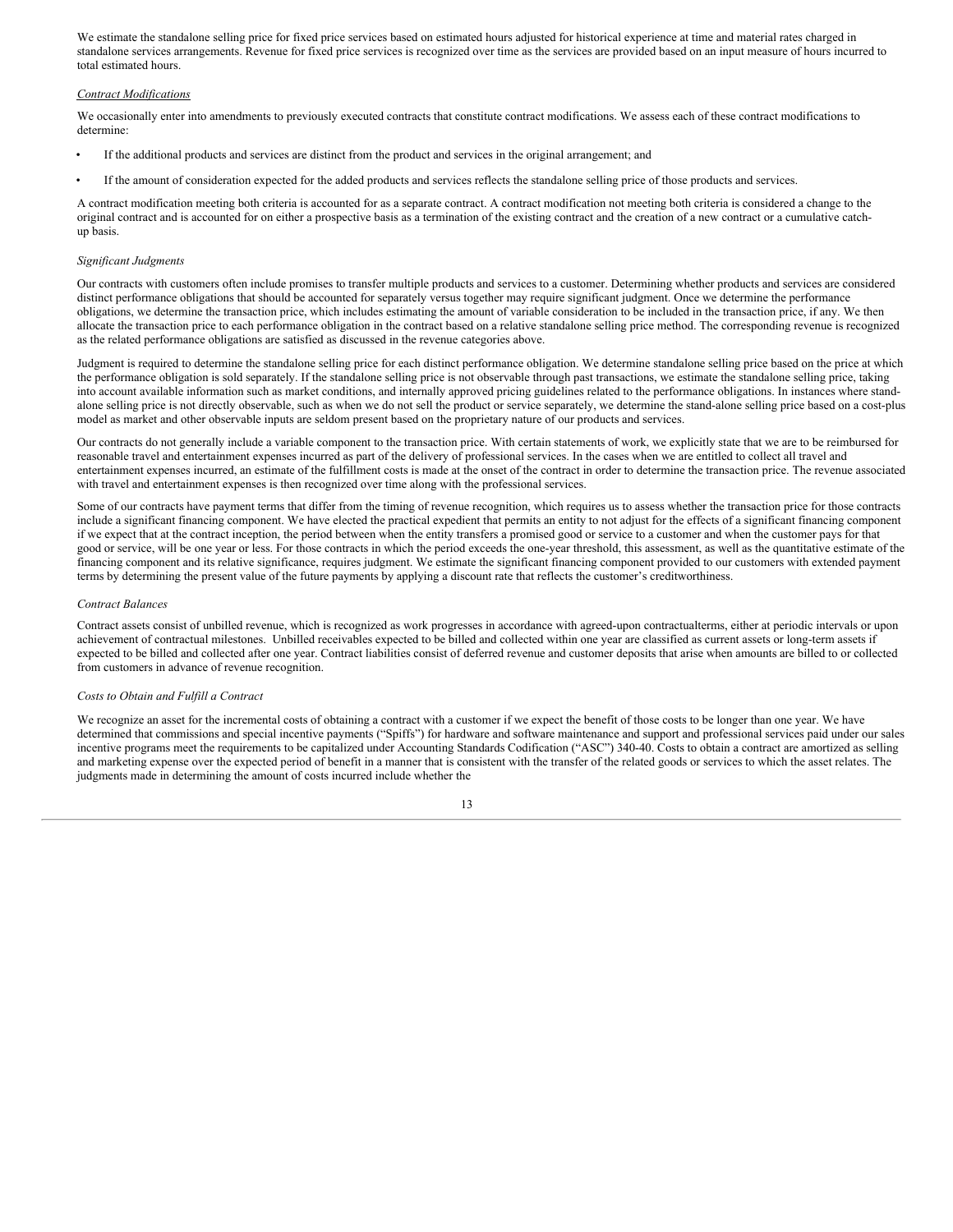We estimate the standalone selling price for fixed price services based on estimated hours adjusted for historical experience at time and material rates charged in standalone services arrangements. Revenue for fixed price services is recognized over time as the services are provided based on an input measure of hours incurred to total estimated hours.

#### *Contract Modifications*

We occasionally enter into amendments to previously executed contracts that constitute contract modifications. We assess each of these contract modifications to determine:

- If the additional products and services are distinct from the product and services in the original arrangement; and
- If the amount of consideration expected for the added products and services reflects the standalone selling price of those products and services.

A contract modification meeting both criteria is accounted for as a separate contract. A contract modification not meeting both criteria is considered a change to the original contract and is accounted for on either a prospective basis as a termination of the existing contract and the creation of a new contract or a cumulative catchup basis.

#### *Significant Judgments*

Our contracts with customers often include promises to transfer multiple products and services to a customer. Determining whether products and services are considered distinct performance obligations that should be accounted for separately versus together may require significant judgment. Once we determine the performance obligations, we determine the transaction price, which includes estimating the amount of variable consideration to be included in the transaction price, if any. We then allocate the transaction price to each performance obligation in the contract based on a relative standalone selling price method. The corresponding revenue is recognized as the related performance obligations are satisfied as discussed in the revenue categories above.

Judgment is required to determine the standalone selling price for each distinct performance obligation. We determine standalone selling price based on the price at which the performance obligation is sold separately. If the standalone selling price is not observable through past transactions, we estimate the standalone selling price, taking into account available information such as market conditions, and internally approved pricing guidelines related to the performance obligations. In instances where standalone selling price is not directly observable, such as when we do not sell the product or service separately, we determine the stand-alone selling price based on a cost-plus model as market and other observable inputs are seldom present based on the proprietary nature of our products and services.

Our contracts do not generally include a variable component to the transaction price. With certain statements of work, we explicitly state that we are to be reimbursed for reasonable travel and entertainment expenses incurred as part of the delivery of professional services. In the cases when we are entitled to collect all travel and entertainment expenses incurred, an estimate of the fulfillment costs is made at the onset of the contract in order to determine the transaction price. The revenue associated with travel and entertainment expenses is then recognized over time along with the professional services.

Some of our contracts have payment terms that differ from the timing of revenue recognition, which requires us to assess whether the transaction price for those contracts include a significant financing component. We have elected the practical expedient that permits an entity to not adjust for the effects of a significant financing component if we expect that at the contract inception, the period between when the entity transfers a promised good or service to a customer and when the customer pays for that good or service, will be one year or less. For those contracts in which the period exceeds the one-year threshold, this assessment, as well as the quantitative estimate of the financing component and its relative significance, requires judgment. We estimate the significant financing component provided to our customers with extended payment terms by determining the present value of the future payments by applying a discount rate that reflects the customer's creditworthiness.

#### *Contract Balances*

Contract assets consist of unbilled revenue, which is recognized as work progresses in accordance with agreed-upon contractualterms, either at periodic intervals or upon achievement of contractual milestones. Unbilled receivables expected to be billed and collected within one year are classified as current assets or long-term assets if expected to be billed and collected after one year. Contract liabilities consist of deferred revenue and customer deposits that arise when amounts are billed to or collected from customers in advance of revenue recognition.

#### *Costs to Obtain and Fulfill a Contract*

We recognize an asset for the incremental costs of obtaining a contract with a customer if we expect the benefit of those costs to be longer than one year. We have determined that commissions and special incentive payments ("Spiffs") for hardware and software maintenance and support and professional services paid under our sales incentive programs meet the requirements to be capitalized under Accounting Standards Codification ("ASC") 340-40. Costs to obtain a contract are amortized as selling and marketing expense over the expected period of benefit in a manner that is consistent with the transfer of the related goods or services to which the asset relates. The judgments made in determining the amount of costs incurred include whether the

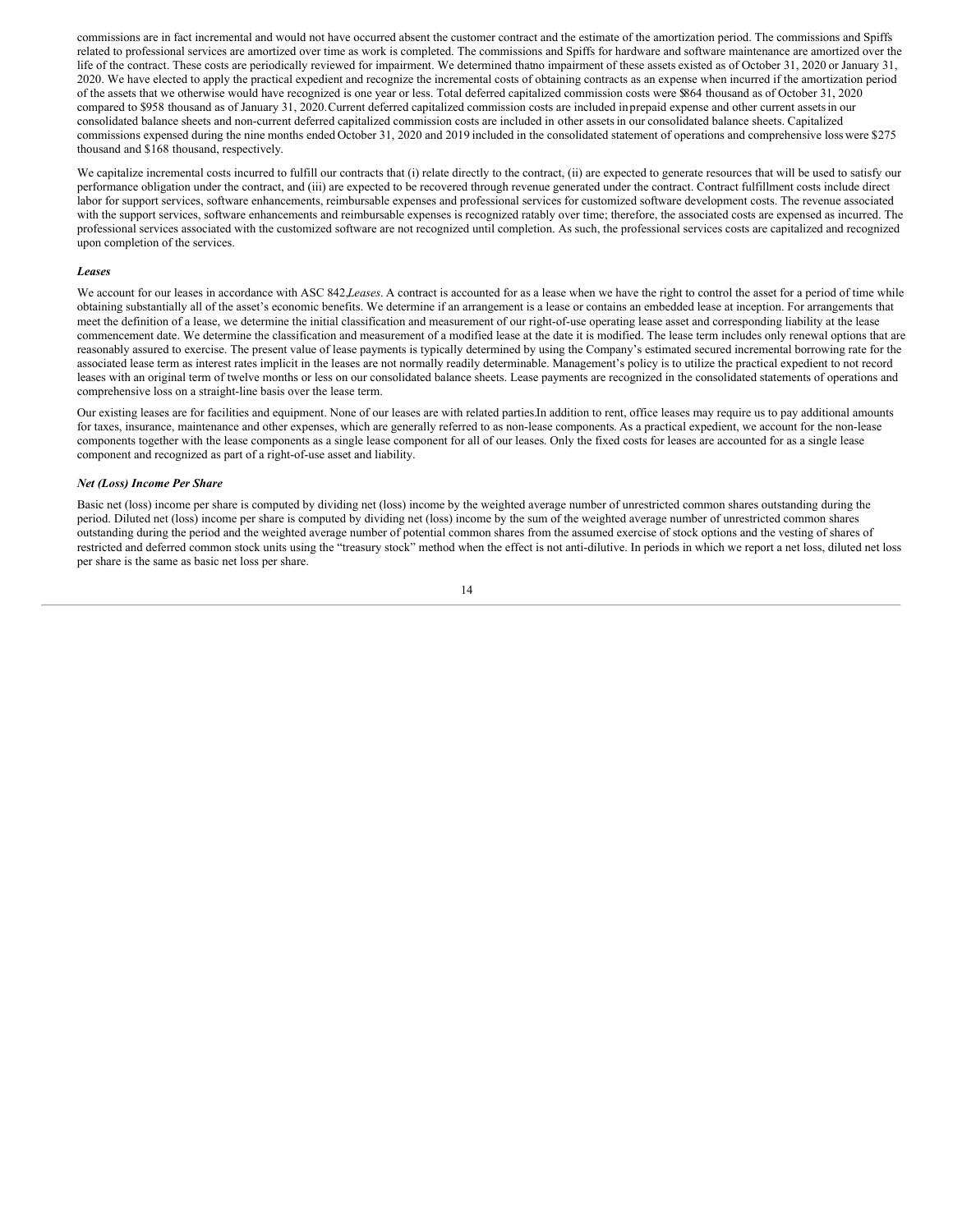commissions are in fact incremental and would not have occurred absent the customer contract and the estimate of the amortization period. The commissions and Spiffs related to professional services are amortized over time as work is completed. The commissions and Spiffs for hardware and software maintenance are amortized over the life of the contract. These costs are periodically reviewed for impairment. We determined thatno impairment of these assets existed as of October 31, 2020 or January 31, 2020. We have elected to apply the practical expedient and recognize the incremental costs of obtaining contracts as an expense when incurred if the amortization period of the assets that we otherwise would have recognized is one year or less. Total deferred capitalized commission costs were \$864 thousand as of October 31, 2020 compared to \$958 thousand as of January 31, 2020.Current deferred capitalized commission costs are included inprepaid expense and other current assetsin our consolidated balance sheets and non-current deferred capitalized commission costs are included in other assetsin our consolidated balance sheets. Capitalized commissions expensed during the nine months ended October 31, 2020 and 2019 included in the consolidated statement of operations and comprehensive loss were \$275 thousand and \$168 thousand, respectively.

We capitalize incremental costs incurred to fulfill our contracts that (i) relate directly to the contract, (ii) are expected to generate resources that will be used to satisfy our performance obligation under the contract, and (iii) are expected to be recovered through revenue generated under the contract. Contract fulfillment costs include direct labor for support services, software enhancements, reimbursable expenses and professional services for customized software development costs. The revenue associated with the support services, software enhancements and reimbursable expenses is recognized ratably over time; therefore, the associated costs are expensed as incurred. The professional services associated with the customized software are not recognized until completion. As such, the professional services costs are capitalized and recognized upon completion of the services.

#### *Leases*

We account for our leases in accordance with ASC 842,*Leases*. A contract is accounted for as a lease when we have the right to control the asset for a period of time while obtaining substantially all of the asset's economic benefits. We determine if an arrangement is a lease or contains an embedded lease at inception. For arrangements that meet the definition of a lease, we determine the initial classification and measurement of our right-of-use operating lease asset and corresponding liability at the lease commencement date. We determine the classification and measurement of a modified lease at the date it is modified. The lease term includes only renewal options that are reasonably assured to exercise. The present value of lease payments is typically determined by using the Company's estimated secured incremental borrowing rate for the associated lease term as interest rates implicit in the leases are not normally readily determinable. Management's policy is to utilize the practical expedient to not record leases with an original term of twelve months or less on our consolidated balance sheets. Lease payments are recognized in the consolidated statements of operations and comprehensive loss on a straight-line basis over the lease term.

Our existing leases are for facilities and equipment. None of our leases are with related parties.In addition to rent, office leases may require us to pay additional amounts for taxes, insurance, maintenance and other expenses, which are generally referred to as non-lease components. As a practical expedient, we account for the non-lease components together with the lease components as a single lease component for all of our leases. Only the fixed costs for leases are accounted for as a single lease component and recognized as part of a right-of-use asset and liability.

#### *Net (Loss) Income Per Share*

Basic net (loss) income per share is computed by dividing net (loss) income by the weighted average number of unrestricted common shares outstanding during the period. Diluted net (loss) income per share is computed by dividing net (loss) income by the sum of the weighted average number of unrestricted common shares outstanding during the period and the weighted average number of potential common shares from the assumed exercise of stock options and the vesting of shares of restricted and deferred common stock units using the "treasury stock" method when the effect is not anti-dilutive. In periods in which we report a net loss, diluted net loss per share is the same as basic net loss per share.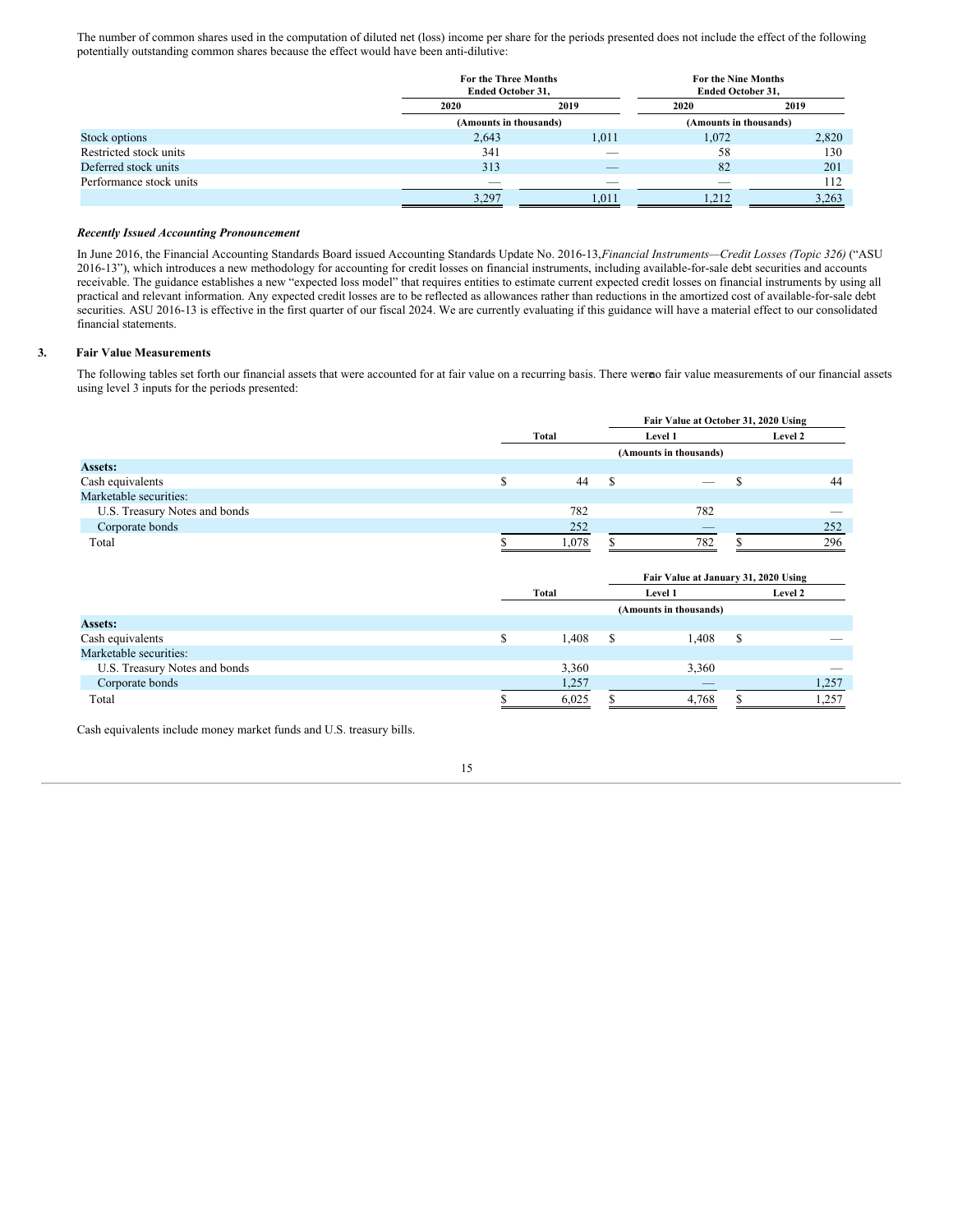The number of common shares used in the computation of diluted net (loss) income per share for the periods presented does not include the effect of the following potentially outstanding common shares because the effect would have been anti-dilutive:

|                         |                          | <b>For the Three Months</b><br>Ended October 31, |       |                        |  |  |  |
|-------------------------|--------------------------|--------------------------------------------------|-------|------------------------|--|--|--|
|                         | 2020                     | 2019                                             |       | 2019                   |  |  |  |
|                         |                          | (Amounts in thousands)                           |       | (Amounts in thousands) |  |  |  |
| Stock options           | 2,643                    | 1,011                                            | 1,072 | 2,820                  |  |  |  |
| Restricted stock units  | 341                      | $\overline{\phantom{a}}$                         | 58    | 130                    |  |  |  |
| Deferred stock units    | 313                      |                                                  | 82    | 201                    |  |  |  |
| Performance stock units | $\overline{\phantom{a}}$ | $\overline{\phantom{a}}$                         | _     | 112                    |  |  |  |
|                         | 3,297                    | 1,011                                            | 1.212 | 3,263                  |  |  |  |

#### *Recently Issued Accounting Pronouncement*

In June 2016, the Financial Accounting Standards Board issued Accounting Standards Update No. 2016-13,*Financial Instruments—Credit Losses (Topic 326)* ("ASU 2016-13"), which introduces a new methodology for accounting for credit losses on financial instruments, including available-for-sale debt securities and accounts receivable. The guidance establishes a new "expected loss model" that requires entities to estimate current expected credit losses on financial instruments by using all practical and relevant information. Any expected credit losses are to be reflected as allowances rather than reductions in the amortized cost of available-for-sale debt securities. ASU 2016-13 is effective in the first quarter of our fiscal 2024. We are currently evaluating if this guidance will have a material effect to our consolidated financial statements.

#### **3. Fair Value Measurements**

The following tables set forth our financial assets that were accounted for at fair value on a recurring basis. There were fair value measurements of our financial assets using level 3 inputs for the periods presented:

| Total       |    | Level 1                              |                        | Level 2                              |
|-------------|----|--------------------------------------|------------------------|--------------------------------------|
|             |    |                                      |                        |                                      |
|             |    |                                      |                        |                                      |
| \$<br>44    | \$ |                                      | \$                     | 44                                   |
|             |    |                                      |                        |                                      |
| 782         |    | 782                                  |                        |                                      |
| 252         |    |                                      |                        | 252                                  |
| 1,078       | S  | 782                                  | ъ                      | 296                                  |
|             |    |                                      |                        |                                      |
|             |    |                                      |                        |                                      |
|             |    | Fair Value at January 31, 2020 Using |                        |                                      |
| Total       |    | Level 1                              |                        | Level 2                              |
|             |    | (Amounts in thousands)               |                        |                                      |
|             |    |                                      |                        |                                      |
| \$<br>1,408 | S  | 1,408                                | \$                     |                                      |
|             |    |                                      |                        |                                      |
| 3,360       |    | 3,360                                |                        |                                      |
| 1,257       |    |                                      |                        | 1,257                                |
|             |    |                                      | (Amounts in thousands) | Fair Value at October 31, 2020 Using |

Cash equivalents include money market funds and U.S. treasury bills.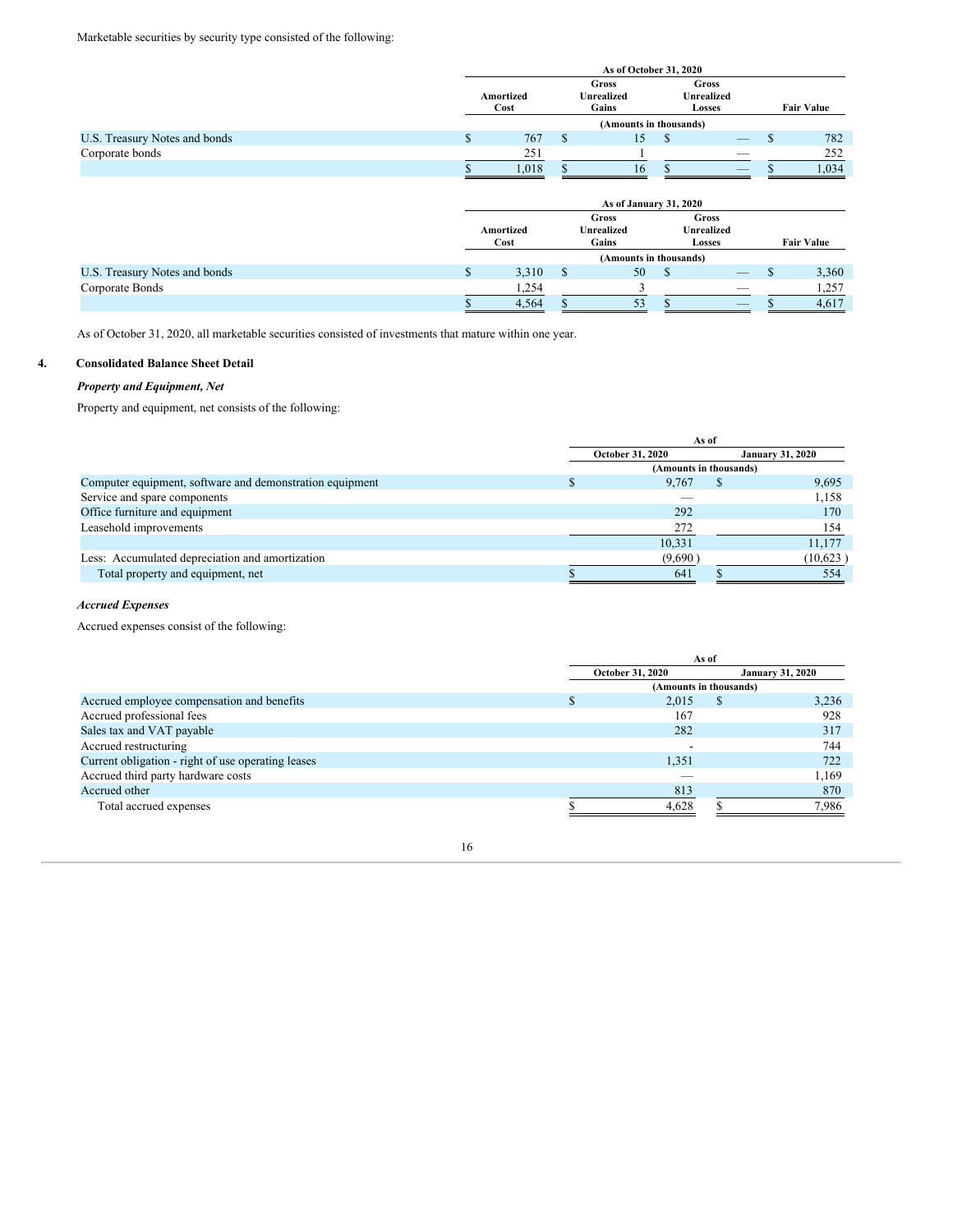|                               | As of October 31, 2020 |                   |  |                                     |    |                                             |  |                   |
|-------------------------------|------------------------|-------------------|--|-------------------------------------|----|---------------------------------------------|--|-------------------|
|                               |                        | Amortized<br>Cost |  | Gross<br><b>Unrealized</b><br>Gains |    | Gross<br><b>Unrealized</b><br><b>Losses</b> |  | <b>Fair Value</b> |
|                               |                        |                   |  | (Amounts in thousands)              |    |                                             |  |                   |
| U.S. Treasury Notes and bonds | Ф                      | 767               |  | 15                                  | Ъ. | $\qquad \qquad \overline{\qquad \qquad }$   |  | 782               |
| Corporate bonds               |                        | 251               |  |                                     |    | $\overline{\phantom{a}}$                    |  | 252               |
|                               |                        | 1,018             |  | 16                                  |    | $\overline{\phantom{a}}$                    |  | 1,034             |

|                               |    | As of January 31, 2020 |  |                                     |                               |                                 |  |                   |
|-------------------------------|----|------------------------|--|-------------------------------------|-------------------------------|---------------------------------|--|-------------------|
|                               |    | Amortized<br>Cost      |  | Gross<br><b>Unrealized</b><br>Gains | Gross<br>Unrealized<br>Losses |                                 |  | <b>Fair Value</b> |
|                               |    |                        |  | (Amounts in thousands)              |                               |                                 |  |                   |
| U.S. Treasury Notes and bonds | P. | 3,310                  |  | 50                                  |                               | $-$                             |  | 3,360             |
| Corporate Bonds               |    | 1,254                  |  |                                     |                               | $\sim$                          |  | 1,257             |
|                               |    | 4,564                  |  | 53                                  |                               | $\hspace{0.1mm}-\hspace{0.1mm}$ |  | 4,617             |

As of October 31, 2020, all marketable securities consisted of investments that mature within one year.

## **4. Consolidated Balance Sheet Detail**

## *Property and Equipment, Net*

Property and equipment, net consists of the following:

|                                                          | As of            |                        |                         |          |  |
|----------------------------------------------------------|------------------|------------------------|-------------------------|----------|--|
|                                                          | October 31, 2020 |                        | <b>January 31, 2020</b> |          |  |
|                                                          |                  | (Amounts in thousands) |                         |          |  |
| Computer equipment, software and demonstration equipment |                  | 9,767                  |                         | 9,695    |  |
| Service and spare components                             |                  |                        |                         | 1,158    |  |
| Office furniture and equipment                           |                  | 292                    |                         | 170      |  |
| Leasehold improvements                                   |                  | 272                    |                         | 154      |  |
|                                                          |                  | 10,331                 |                         | 11.177   |  |
| Less: Accumulated depreciation and amortization          |                  | (9,690)                |                         | (10,623) |  |
| Total property and equipment, net                        |                  | 641                    |                         | 554      |  |

# *Accrued Expenses*

Accrued expenses consist of the following:

|                                                    | As of            |                        |  |                         |  |
|----------------------------------------------------|------------------|------------------------|--|-------------------------|--|
|                                                    | October 31, 2020 |                        |  | <b>January 31, 2020</b> |  |
|                                                    |                  | (Amounts in thousands) |  |                         |  |
| Accrued employee compensation and benefits         |                  | 2,015                  |  | 3,236                   |  |
| Accrued professional fees                          |                  | 167                    |  | 928                     |  |
| Sales tax and VAT payable                          |                  | 282                    |  | 317                     |  |
| Accrued restructuring                              |                  |                        |  | 744                     |  |
| Current obligation - right of use operating leases |                  | 1,351                  |  | 722                     |  |
| Accrued third party hardware costs                 |                  |                        |  | 1,169                   |  |
| Accrued other                                      |                  | 813                    |  | 870                     |  |
| Total accrued expenses                             |                  | 4.628                  |  | 7,986                   |  |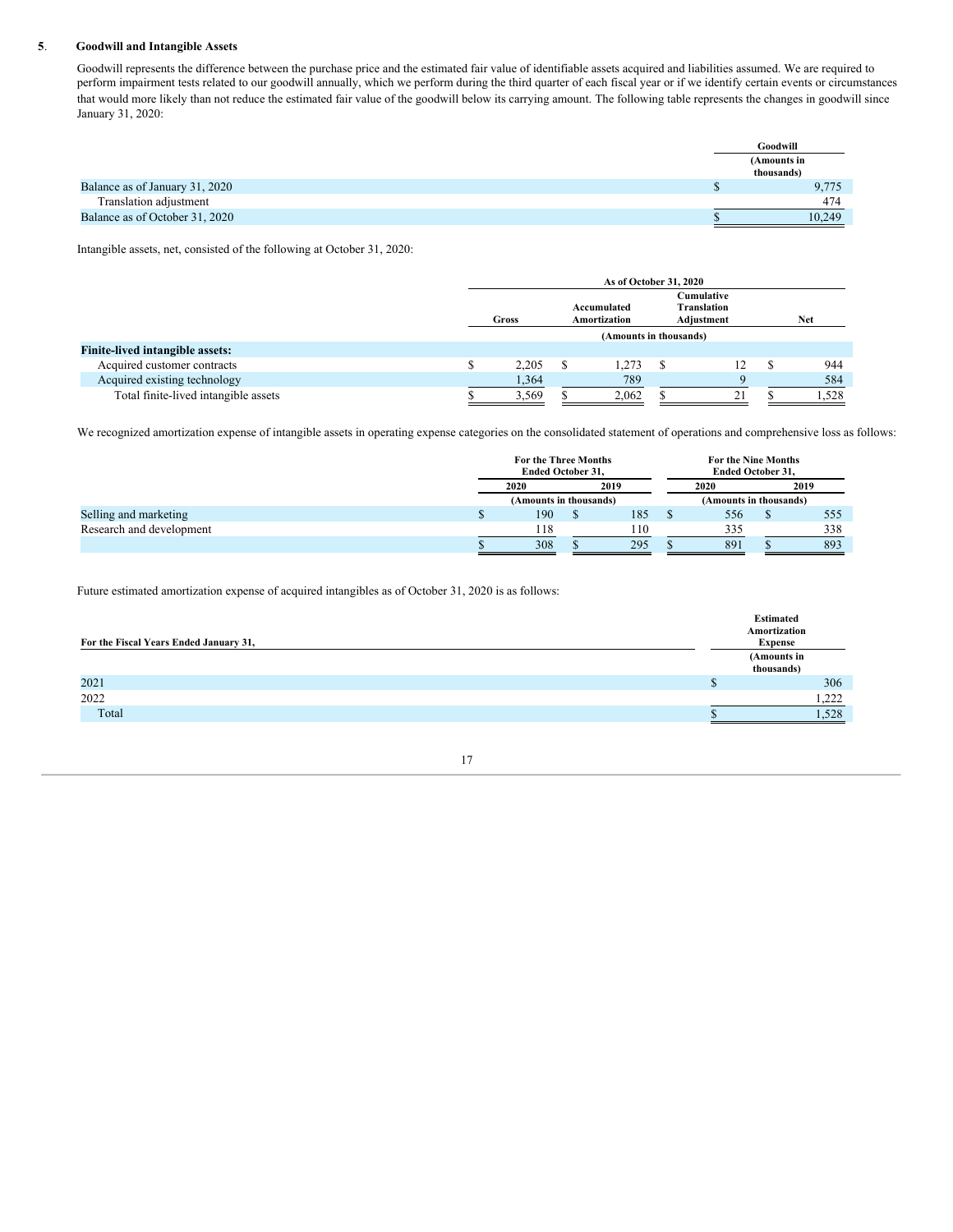#### **5**. **Goodwill and Intangible Assets**

Goodwill represents the difference between the purchase price and the estimated fair value of identifiable assets acquired and liabilities assumed. We are required to perform impairment tests related to our goodwill annually, which we perform during the third quarter of each fiscal year or if we identify certain events or circumstances that would more likely than not reduce the estimated fair value of the goodwill below its carrying amount. The following table represents the changes in goodwill since January 31, 2020:

|                                | Goodwill                  |
|--------------------------------|---------------------------|
|                                | (Amounts in<br>thousands) |
| Balance as of January 31, 2020 | 9.775                     |
| Translation adjustment         | 474                       |
| Balance as of October 31, 2020 | 10.249                    |

Intangible assets, net, consisted of the following at October 31, 2020:

|                                      | As of October 31, 2020 |       |  |                        |  |                           |  |            |
|--------------------------------------|------------------------|-------|--|------------------------|--|---------------------------|--|------------|
|                                      |                        |       |  | Accumulated            |  | Cumulative<br>Translation |  |            |
|                                      |                        | Gross |  | Amortization           |  | Adjustment                |  | <b>Net</b> |
|                                      |                        |       |  | (Amounts in thousands) |  |                           |  |            |
| Finite-lived intangible assets:      |                        |       |  |                        |  |                           |  |            |
| Acquired customer contracts          |                        | 2,205 |  | 1.273                  |  |                           |  | 944        |
| Acquired existing technology         |                        | 1,364 |  | 789                    |  |                           |  | 584        |
| Total finite-lived intangible assets |                        | 3,569 |  | 2,062                  |  |                           |  | .528       |

We recognized amortization expense of intangible assets in operating expense categories on the consolidated statement of operations and comprehensive loss as follows:

|                          | <b>For the Three Months</b><br><b>Ended October 31.</b> |  |      | <b>For the Nine Months</b><br><b>Ended October 31.</b> |     |      |     |
|--------------------------|---------------------------------------------------------|--|------|--------------------------------------------------------|-----|------|-----|
|                          | 2020<br>2019                                            |  | 2020 |                                                        |     | 2019 |     |
|                          | (Amounts in thousands)                                  |  |      | (Amounts in thousands)                                 |     |      |     |
| Selling and marketing    | 190                                                     |  | 185  |                                                        | 556 |      | 555 |
| Research and development | 118                                                     |  | 110  |                                                        | 335 |      | 338 |
|                          | 308                                                     |  | 295  |                                                        | 891 |      | 893 |

Future estimated amortization expense of acquired intangibles as of October 31, 2020 is as follows:

|                                        |   | <b>Estimated</b>          |
|----------------------------------------|---|---------------------------|
|                                        |   | Amortization              |
| For the Fiscal Years Ended January 31, |   | <b>Expense</b>            |
|                                        |   | (Amounts in<br>thousands) |
| 2021                                   | D | 306                       |
| 2022                                   |   | 1.222                     |
| Total                                  |   | 1,528                     |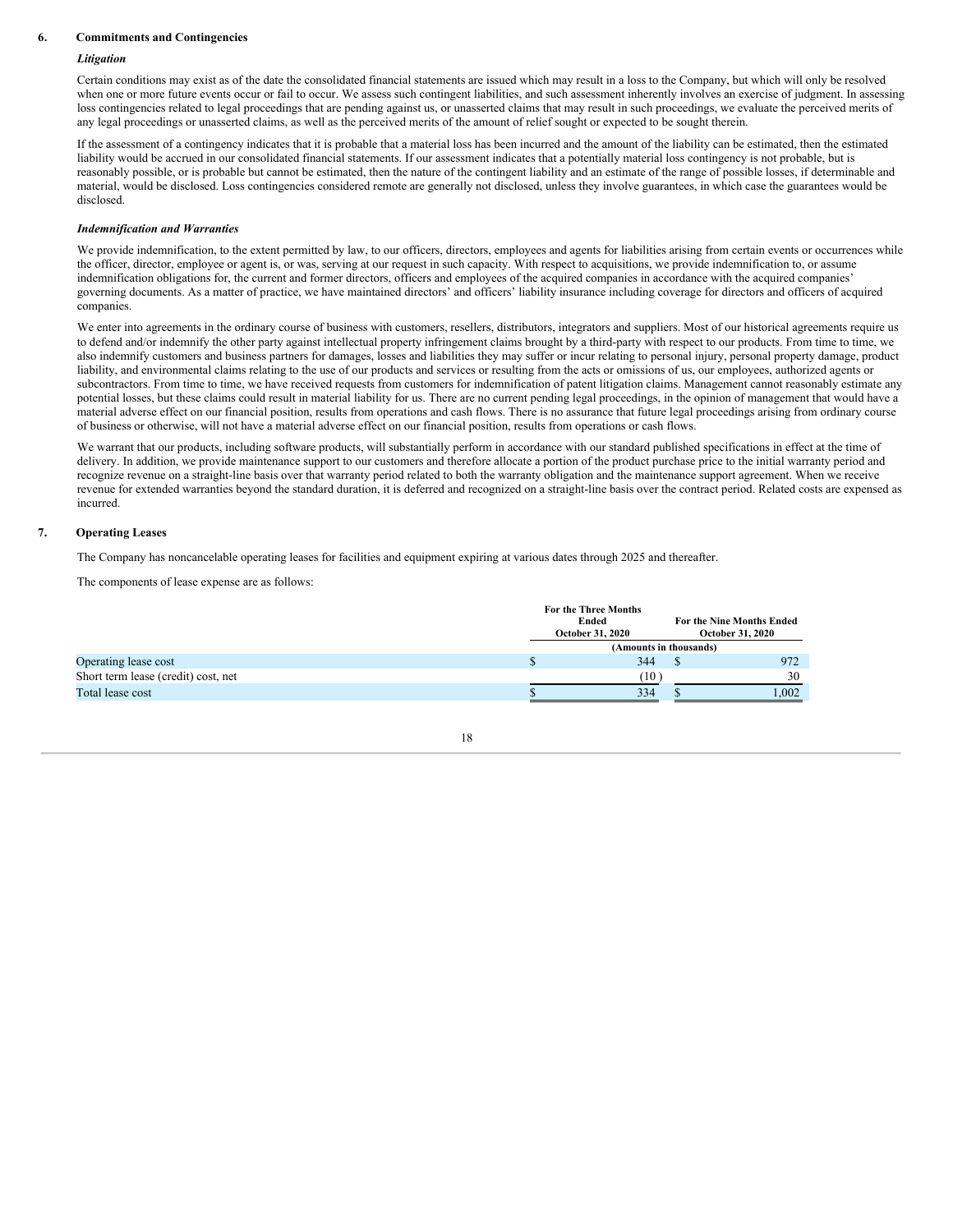#### **6. Commitments and Contingencies**

#### *Litigation*

Certain conditions may exist as of the date the consolidated financial statements are issued which may result in a loss to the Company, but which will only be resolved when one or more future events occur or fail to occur. We assess such contingent liabilities, and such assessment inherently involves an exercise of judgment. In assessing loss contingencies related to legal proceedings that are pending against us, or unasserted claims that may result in such proceedings, we evaluate the perceived merits of any legal proceedings or unasserted claims, as well as the perceived merits of the amount of relief sought or expected to be sought therein.

If the assessment of a contingency indicates that it is probable that a material loss has been incurred and the amount of the liability can be estimated, then the estimated liability would be accrued in our consolidated financial statements. If our assessment indicates that a potentially material loss contingency is not probable, but is reasonably possible, or is probable but cannot be estimated, then the nature of the contingent liability and an estimate of the range of possible losses, if determinable and material, would be disclosed. Loss contingencies considered remote are generally not disclosed, unless they involve guarantees, in which case the guarantees would be disclosed.

#### *Indemnification and Warranties*

We provide indemnification, to the extent permitted by law, to our officers, directors, employees and agents for liabilities arising from certain events or occurrences while the officer, director, employee or agent is, or was, serving at our request in such capacity. With respect to acquisitions, we provide indemnification to, or assume indemnification obligations for, the current and former directors, officers and employees of the acquired companies in accordance with the acquired companies' governing documents. As a matter of practice, we have maintained directors' and officers' liability insurance including coverage for directors and officers of acquired companies.

We enter into agreements in the ordinary course of business with customers, resellers, distributors, integrators and suppliers. Most of our historical agreements require us to defend and/or indemnify the other party against intellectual property infringement claims brought by a third-party with respect to our products. From time to time, we also indemnify customers and business partners for damages, losses and liabilities they may suffer or incur relating to personal injury, personal property damage, product liability, and environmental claims relating to the use of our products and services or resulting from the acts or omissions of us, our employees, authorized agents or subcontractors. From time to time, we have received requests from customers for indemnification of patent litigation claims. Management cannot reasonably estimate any potential losses, but these claims could result in material liability for us. There are no current pending legal proceedings, in the opinion of management that would have a material adverse effect on our financial position, results from operations and cash flows. There is no assurance that future legal proceedings arising from ordinary course of business or otherwise, will not have a material adverse effect on our financial position, results from operations or cash flows.

We warrant that our products, including software products, will substantially perform in accordance with our standard published specifications in effect at the time of delivery. In addition, we provide maintenance support to our customers and therefore allocate a portion of the product purchase price to the initial warranty period and recognize revenue on a straight-line basis over that warranty period related to both the warranty obligation and the maintenance support agreement. When we receive revenue for extended warranties beyond the standard duration, it is deferred and recognized on a straight-line basis over the contract period. Related costs are expensed as incurred.

#### **7. Operating Leases**

The Company has noncancelable operating leases for facilities and equipment expiring at various dates through 2025 and thereafter.

The components of lease expense are as follows:

|                                     | <b>For the Three Months</b><br>Ended<br><b>October 31, 2020</b> |  | For the Nine Months Ended<br><b>October 31, 2020</b> |  |
|-------------------------------------|-----------------------------------------------------------------|--|------------------------------------------------------|--|
|                                     | (Amounts in thousands)                                          |  |                                                      |  |
| Operating lease cost                | 344                                                             |  | 972                                                  |  |
| Short term lease (credit) cost, net | (10)                                                            |  | 30                                                   |  |
| Total lease cost                    | 334                                                             |  | 1.002                                                |  |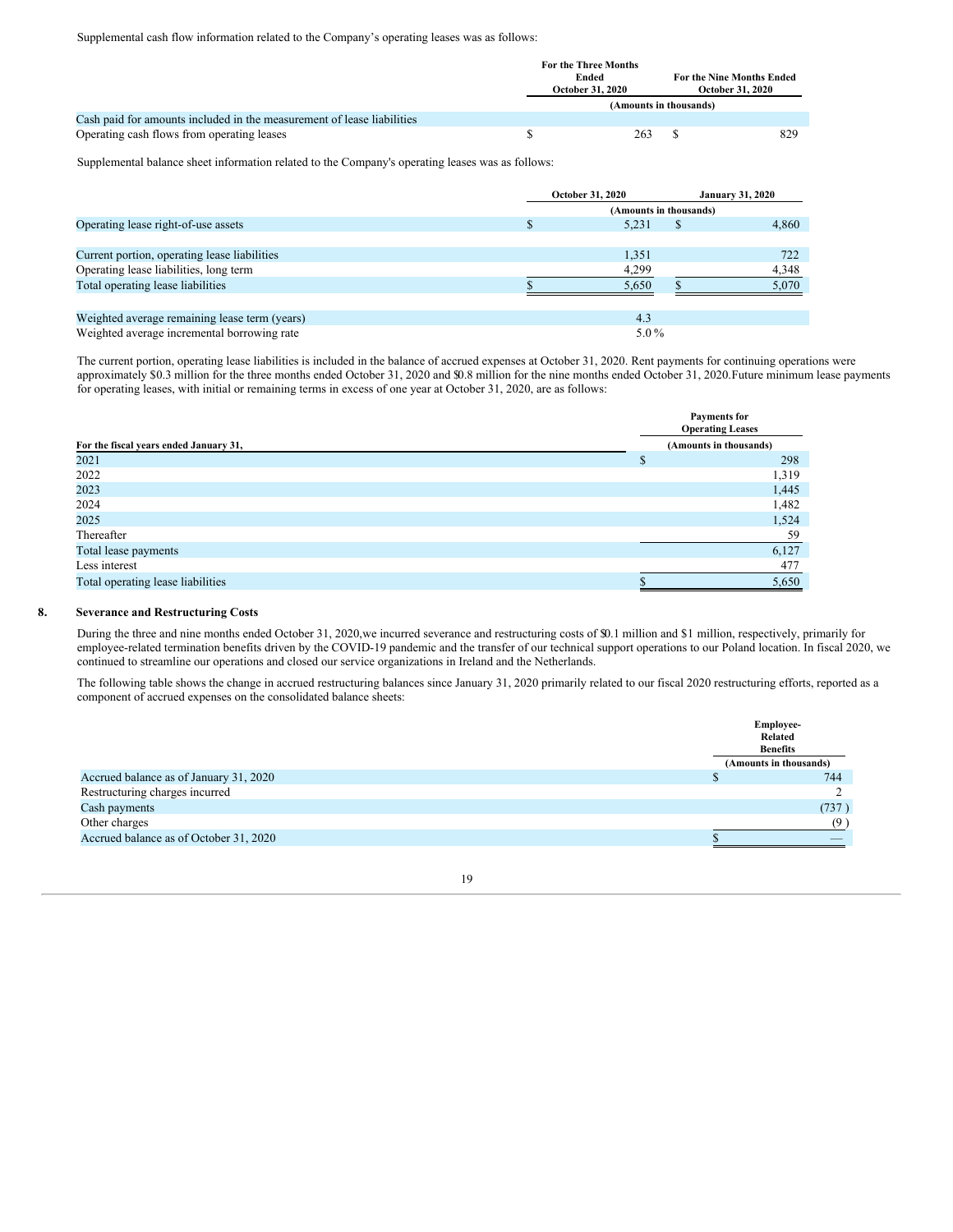Supplemental cash flow information related to the Company's operating leases was as follows:

|                                                                        | For the Three Months<br>Ended<br><b>October 31, 2020</b> |  | <b>For the Nine Months Ended</b><br><b>October 31, 2020</b> |  |  |
|------------------------------------------------------------------------|----------------------------------------------------------|--|-------------------------------------------------------------|--|--|
|                                                                        | (Amounts in thousands)                                   |  |                                                             |  |  |
| Cash paid for amounts included in the measurement of lease liabilities |                                                          |  |                                                             |  |  |
| Operating cash flows from operating leases                             | 263                                                      |  | 829                                                         |  |  |

Supplemental balance sheet information related to the Company's operating leases was as follows:

|                                               | <b>October 31, 2020</b> |                        | <b>January 31, 2020</b> |
|-----------------------------------------------|-------------------------|------------------------|-------------------------|
|                                               |                         | (Amounts in thousands) |                         |
| Operating lease right-of-use assets           |                         | 5.231                  | 4,860                   |
|                                               |                         |                        |                         |
| Current portion, operating lease liabilities  |                         | 1.351                  | 722                     |
| Operating lease liabilities, long term        |                         | 4,299                  | 4,348                   |
| Total operating lease liabilities             |                         | 5.650                  | 5.070                   |
|                                               |                         |                        |                         |
| Weighted average remaining lease term (years) |                         | 4.3                    |                         |
| Weighted average incremental borrowing rate   |                         | $5.0\%$                |                         |

The current portion, operating lease liabilities is included in the balance of accrued expenses at October 31, 2020. Rent payments for continuing operations were approximately \$0.3 million for the three months ended October 31, 2020 and \$0.8 million for the nine months ended October 31, 2020.Future minimum lease payments for operating leases, with initial or remaining terms in excess of one year at October 31, 2020, are as follows:

|                                        | Payments for<br><b>Operating Leases</b> |                        |  |  |  |
|----------------------------------------|-----------------------------------------|------------------------|--|--|--|
| For the fiscal years ended January 31, |                                         | (Amounts in thousands) |  |  |  |
| 2021                                   | \$                                      | 298                    |  |  |  |
| 2022                                   |                                         | 1,319                  |  |  |  |
| 2023                                   |                                         | 1,445                  |  |  |  |
| 2024                                   |                                         | 1,482                  |  |  |  |
| 2025                                   |                                         | 1,524                  |  |  |  |
| Thereafter                             |                                         | 59                     |  |  |  |
| Total lease payments                   |                                         | 6,127                  |  |  |  |
| Less interest                          |                                         | 477                    |  |  |  |
| Total operating lease liabilities      |                                         | 5,650                  |  |  |  |

#### **8. Severance and Restructuring Costs**

During the three and nine months ended October 31, 2020,we incurred severance and restructuring costs of \$0.1 million and \$1 million, respectively, primarily for employee-related termination benefits driven by the COVID-19 pandemic and the transfer of our technical support operations to our Poland location. In fiscal 2020, we continued to streamline our operations and closed our service organizations in Ireland and the Netherlands.

The following table shows the change in accrued restructuring balances since January 31, 2020 primarily related to our fiscal 2020 restructuring efforts, reported as a component of accrued expenses on the consolidated balance sheets:

|                                        | Employee-<br>Related<br><b>Benefits</b> |       |
|----------------------------------------|-----------------------------------------|-------|
|                                        | (Amounts in thousands)                  |       |
| Accrued balance as of January 31, 2020 |                                         | 744   |
| Restructuring charges incurred         |                                         |       |
| Cash payments                          |                                         | (737) |
| Other charges                          |                                         | 7Q    |
| Accrued balance as of October 31, 2020 |                                         |       |
|                                        |                                         |       |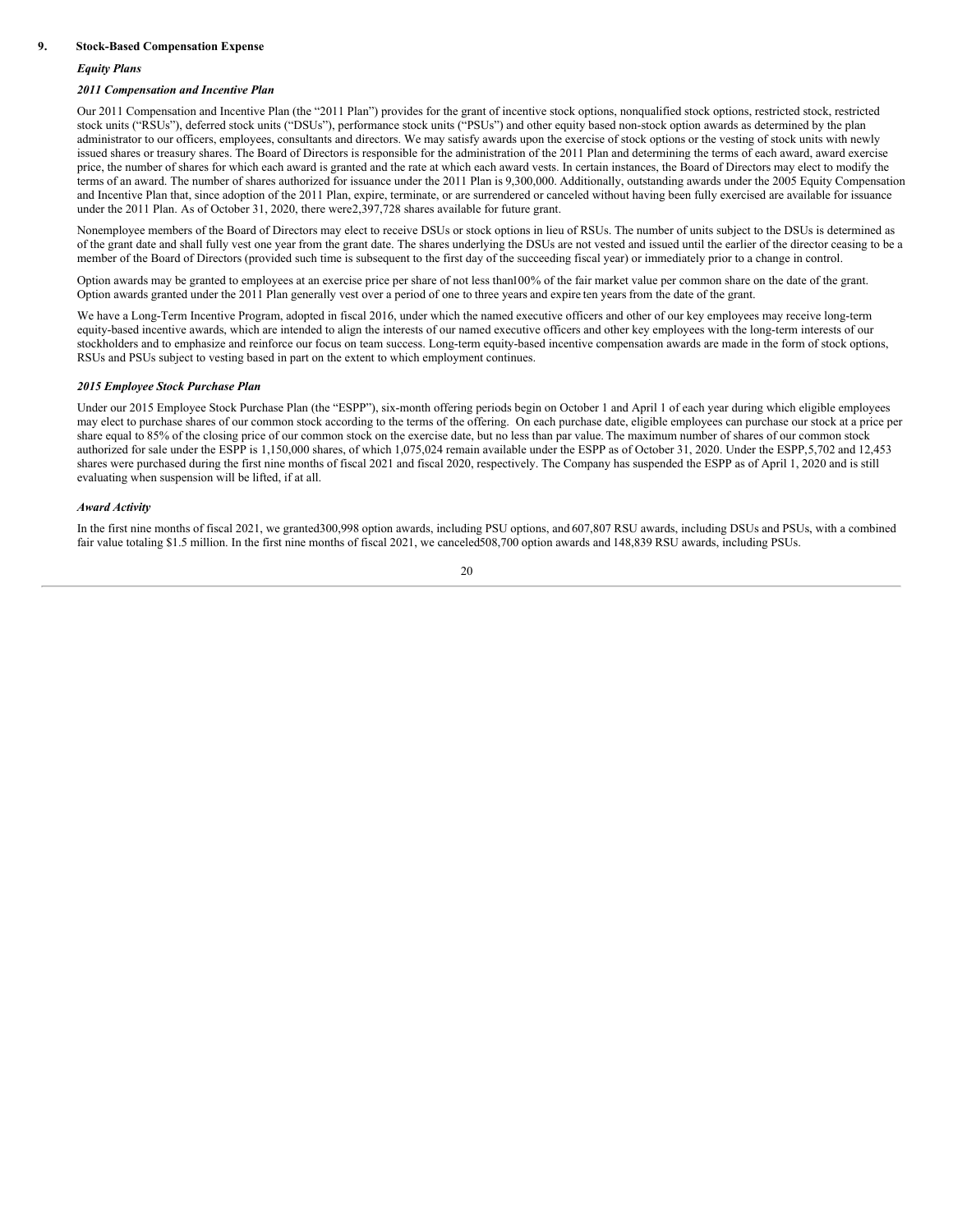#### **9. Stock-Based Compensation Expense**

#### *Equity Plans*

#### *2011 Compensation and Incentive Plan*

Our 2011 Compensation and Incentive Plan (the "2011 Plan") provides for the grant of incentive stock options, nonqualified stock options, restricted stock, restricted stock units ("RSUs"), deferred stock units ("DSUs"), performance stock units ("PSUs") and other equity based non-stock option awards as determined by the plan administrator to our officers, employees, consultants and directors. We may satisfy awards upon the exercise of stock options or the vesting of stock units with newly issued shares or treasury shares. The Board of Directors is responsible for the administration of the 2011 Plan and determining the terms of each award, award exercise price, the number of shares for which each award is granted and the rate at which each award vests. In certain instances, the Board of Directors may elect to modify the terms of an award. The number of shares authorized for issuance under the 2011 Plan is 9,300,000. Additionally, outstanding awards under the 2005 Equity Compensation and Incentive Plan that, since adoption of the 2011 Plan, expire, terminate, or are surrendered or canceled without having been fully exercised are available for issuance under the 2011 Plan. As of October 31, 2020, there were2,397,728 shares available for future grant.

Nonemployee members of the Board of Directors may elect to receive DSUs or stock options in lieu of RSUs. The number of units subject to the DSUs is determined as of the grant date and shall fully vest one year from the grant date. The shares underlying the DSUs are not vested and issued until the earlier of the director ceasing to be a member of the Board of Directors (provided such time is subsequent to the first day of the succeeding fiscal year) or immediately prior to a change in control.

Option awards may be granted to employees at an exercise price per share of not less than100% of the fair market value per common share on the date of the grant. Option awards granted under the 2011 Plan generally vest over a period of one to three years and expire ten years from the date of the grant.

We have a Long-Term Incentive Program, adopted in fiscal 2016, under which the named executive officers and other of our key employees may receive long-term equity-based incentive awards, which are intended to align the interests of our named executive officers and other key employees with the long-term interests of our stockholders and to emphasize and reinforce our focus on team success. Long-term equity-based incentive compensation awards are made in the form of stock options, RSUs and PSUs subject to vesting based in part on the extent to which employment continues.

#### *2015 Employee Stock Purchase Plan*

Under our 2015 Employee Stock Purchase Plan (the "ESPP"), six-month offering periods begin on October 1 and April 1 of each year during which eligible employees may elect to purchase shares of our common stock according to the terms of the offering. On each purchase date, eligible employees can purchase our stock at a price per share equal to 85% of the closing price of our common stock on the exercise date, but no less than par value. The maximum number of shares of our common stock authorized for sale under the ESPP is 1,150,000 shares, of which 1,075,024 remain available under the ESPP as of October 31, 2020. Under the ESPP,5,702 and 12,453 shares were purchased during the first nine months of fiscal 2021 and fiscal 2020, respectively. The Company has suspended the ESPP as of April 1, 2020 and is still evaluating when suspension will be lifted, if at all.

#### *Award Activity*

In the first nine months of fiscal 2021, we granted300,998 option awards, including PSU options, and 607,807 RSU awards, including DSUs and PSUs, with a combined fair value totaling \$1.5 million. In the first nine months of fiscal 2021, we canceled508,700 option awards and 148,839 RSU awards, including PSUs.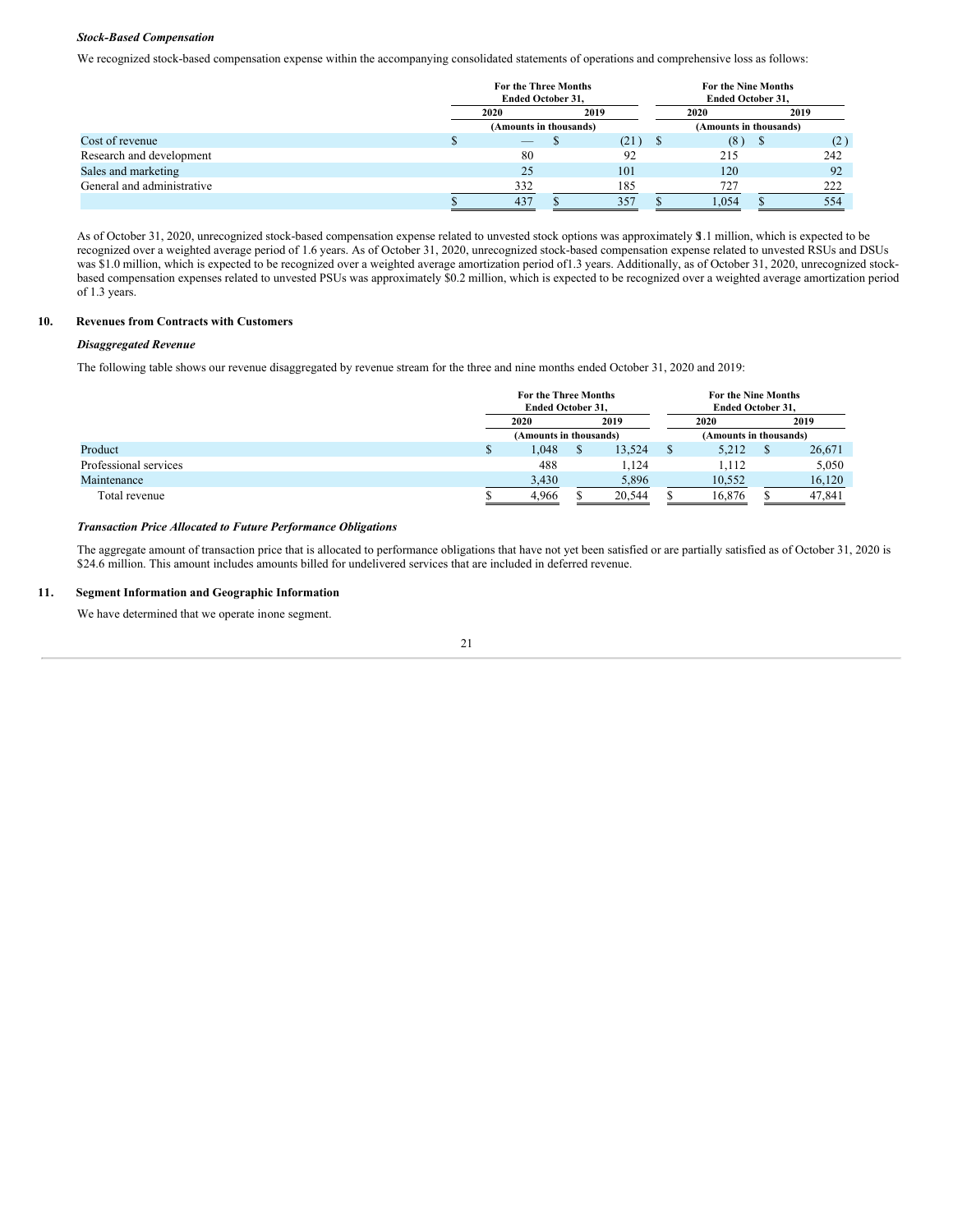#### *Stock-Based Compensation*

We recognized stock-based compensation expense within the accompanying consolidated statements of operations and comprehensive loss as follows:

|                            | <b>For the Three Months</b><br><b>Ended October 31.</b> |  |                        |  | For the Nine Months<br><b>Ended October 31.</b> |      |
|----------------------------|---------------------------------------------------------|--|------------------------|--|-------------------------------------------------|------|
|                            | 2019<br>2020                                            |  |                        |  | 2020                                            | 2019 |
|                            | (Amounts in thousands)                                  |  | (Amounts in thousands) |  |                                                 |      |
| Cost of revenue            | _                                                       |  | (21)                   |  | (8)                                             | (2)  |
| Research and development   | 80                                                      |  | 92                     |  | 215                                             | 242  |
| Sales and marketing        | 25                                                      |  | 101                    |  | 120                                             | 92   |
| General and administrative | 332                                                     |  | 185                    |  | 727                                             | 222  |
|                            | 43 <sup>′</sup>                                         |  | $35^{\circ}$           |  | 1.054                                           | 554  |

As of October 31, 2020, unrecognized stock-based compensation expense related to unvested stock options was approximately \$1.1 million, which is expected to be recognized over a weighted average period of 1.6 years. As of October 31, 2020, unrecognized stock-based compensation expense related to unvested RSUs and DSUs was \$1.0 million, which is expected to be recognized over a weighted average amortization period of 1.3 years. Additionally, as of October 31, 2020, unrecognized stockbased compensation expenses related to unvested PSUs was approximately \$0.2 million, which is expected to be recognized over a weighted average amortization period of 1.3 years.

#### **10. Revenues from Contracts with Customers**

#### *Disaggregated Revenue*

The following table shows our revenue disaggregated by revenue stream for the three and nine months ended October 31, 2020 and 2019:

|                       |    | <b>For the Three Months</b><br><b>Ended October 31.</b> |  |        |   | <b>For the Nine Months</b><br><b>Ended October 31.</b> |      |        |  |  |
|-----------------------|----|---------------------------------------------------------|--|--------|---|--------------------------------------------------------|------|--------|--|--|
|                       |    | 2019<br>2020                                            |  |        |   | 2020                                                   | 2019 |        |  |  |
|                       |    | (Amounts in thousands)                                  |  |        |   | (Amounts in thousands)                                 |      |        |  |  |
| Product               | ъ. | .048                                                    |  | 13.524 | S | 5.212                                                  |      | 26,671 |  |  |
| Professional services |    | 488                                                     |  | 1,124  |   | 1.112                                                  |      | 5,050  |  |  |
| Maintenance           |    | 3.430                                                   |  | 5,896  |   | 10.552                                                 |      | 16,120 |  |  |
| Total revenue         |    | 4.966                                                   |  | 20,544 |   | 16,876                                                 |      | 47,841 |  |  |

#### *Transaction Price Allocated to Future Performance Obligations*

The aggregate amount of transaction price that is allocated to performance obligations that have not yet been satisfied or are partially satisfied as of October 31, 2020 is \$24.6 million. This amount includes amounts billed for undelivered services that are included in deferred revenue.

#### **11. Segment Information and Geographic Information**

We have determined that we operate inone segment.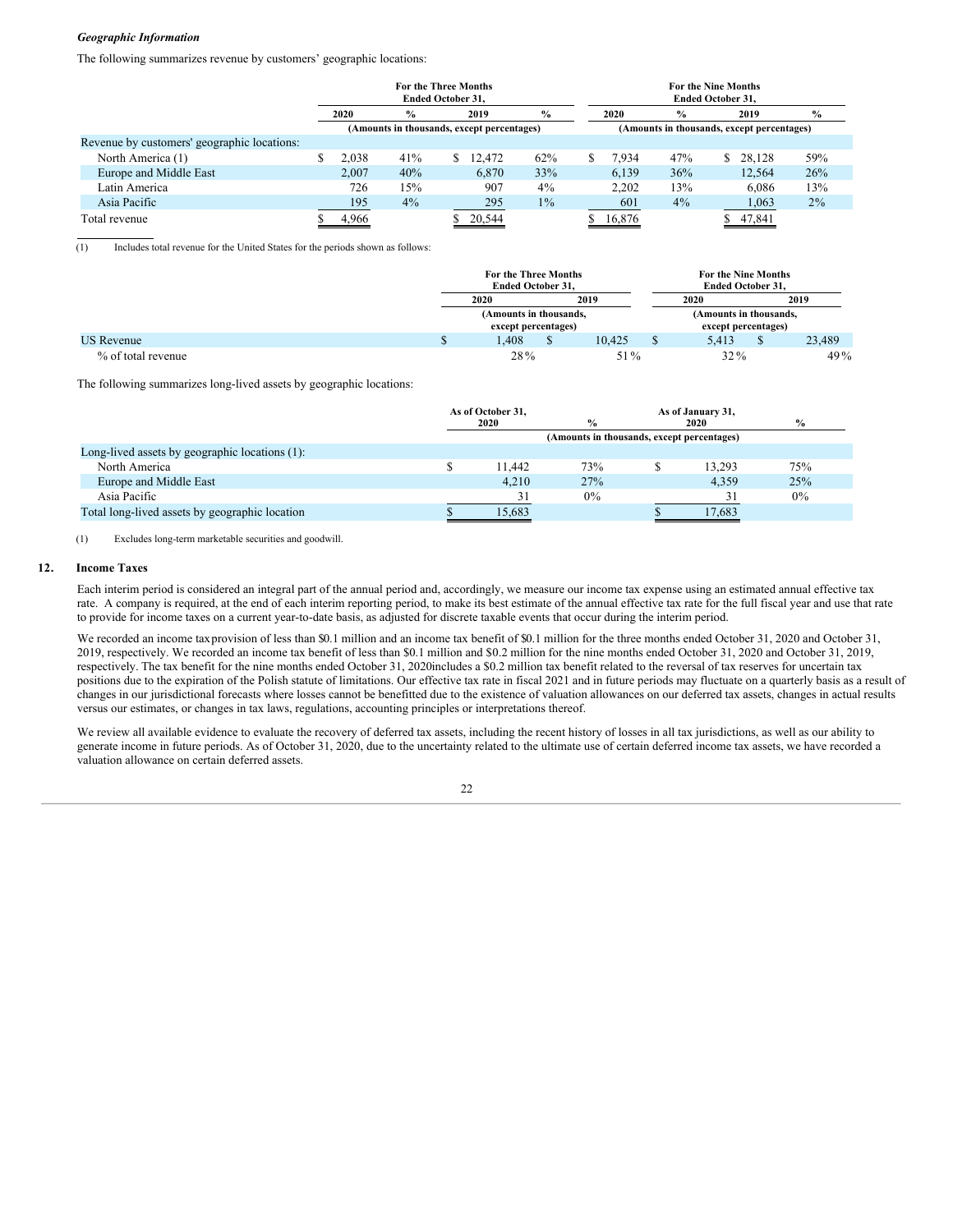#### *Geographic Information*

The following summarizes revenue by customers' geographic locations:

|                                             |                                                |       | <b>For the Three Months</b><br><b>Ended October 31.</b> |                                            |       |                                            |          |               |    |        |               |  |
|---------------------------------------------|------------------------------------------------|-------|---------------------------------------------------------|--------------------------------------------|-------|--------------------------------------------|----------|---------------|----|--------|---------------|--|
|                                             | $\frac{0}{0}$<br>2020<br>$\frac{0}{0}$<br>2019 |       |                                                         |                                            |       |                                            | 2020     | $\frac{0}{0}$ |    | 2019   | $\frac{0}{0}$ |  |
|                                             |                                                |       |                                                         | (Amounts in thousands, except percentages) |       | (Amounts in thousands, except percentages) |          |               |    |        |               |  |
| Revenue by customers' geographic locations: |                                                |       |                                                         |                                            |       |                                            |          |               |    |        |               |  |
| North America (1)                           | 2.038                                          | 41%   |                                                         | \$12,472                                   | 62%   |                                            | 7.934    | 47%           | S. | 28,128 | 59%           |  |
| Europe and Middle East                      | 2.007                                          | 40%   |                                                         | 6.870                                      | 33%   |                                            | 6,139    | 36%           |    | 12,564 | 26%           |  |
| Latin America                               | 726                                            | 15%   |                                                         | 907                                        | $4\%$ |                                            | 2.202    | 13%           |    | 6.086  | 13%           |  |
| Asia Pacific                                | 195                                            | $4\%$ |                                                         | 295                                        | $1\%$ |                                            | 601      | $4\%$         |    | 1,063  | 2%            |  |
| Total revenue                               | 4.966                                          |       |                                                         | 20,544                                     |       |                                            | \$16,876 |               |    | 47,841 |               |  |

(1) Includes total revenue for the United States for the periods shown as follows:

|                    | For the Three Months<br><b>Ended October 31.</b> |  |  |  | For the Nine Months<br><b>Ended October 31.</b> |    |        |
|--------------------|--------------------------------------------------|--|--|--|-------------------------------------------------|----|--------|
|                    | 2019<br>2020                                     |  |  |  | 2020                                            |    | 2019   |
|                    | (Amounts in thousands,<br>except percentages)    |  |  |  | (Amounts in thousands,<br>except percentages)   |    |        |
| <b>US Revenue</b>  | .408<br>10.425                                   |  |  |  | 5.413                                           | ۰D | 23,489 |
| % of total revenue | 28%<br>51%                                       |  |  |  | $32\%$                                          |    | 49%    |

The following summarizes long-lived assets by geographic locations:

|                                                | As of October 31,<br>2020 | $\frac{0}{0}$                              | As of January 31,<br>2020 | $\frac{6}{6}$ |
|------------------------------------------------|---------------------------|--------------------------------------------|---------------------------|---------------|
|                                                |                           | (Amounts in thousands, except percentages) |                           |               |
| Long-lived assets by geographic locations (1): |                           |                                            |                           |               |
| North America                                  | 11.442                    | 73%                                        | 13.293                    | 75%           |
| Europe and Middle East                         | 4.210                     | 27%                                        | 4.359                     | 25%           |
| Asia Pacific                                   | 31                        | $0\%$                                      |                           | 0%            |
| Total long-lived assets by geographic location | 15.683                    |                                            | 17,683                    |               |

(1) Excludes long-term marketable securities and goodwill.

#### **12. Income Taxes**

Each interim period is considered an integral part of the annual period and, accordingly, we measure our income tax expense using an estimated annual effective tax rate. A company is required, at the end of each interim reporting period, to make its best estimate of the annual effective tax rate for the full fiscal year and use that rate to provide for income taxes on a current year-to-date basis, as adjusted for discrete taxable events that occur during the interim period.

We recorded an income taxprovision of less than \$0.1 million and an income tax benefit of \$0.1 million for the three months ended October 31, 2020 and October 31, 2019, respectively. We recorded an income tax benefit of less than \$0.1 million and \$0.2 million for the nine months ended October 31, 2020 and October 31, 2019, respectively. The tax benefit for the nine months ended October 31, 2020includes a \$0.2 million tax benefit related to the reversal of tax reserves for uncertain tax positions due to the expiration of the Polish statute of limitations. Our effective tax rate in fiscal 2021 and in future periods may fluctuate on a quarterly basis as a result of changes in our jurisdictional forecasts where losses cannot be benefitted due to the existence of valuation allowances on our deferred tax assets, changes in actual results versus our estimates, or changes in tax laws, regulations, accounting principles or interpretations thereof.

We review all available evidence to evaluate the recovery of deferred tax assets, including the recent history of losses in all tax jurisdictions, as well as our ability to generate income in future periods. As of October 31, 2020, due to the uncertainty related to the ultimate use of certain deferred income tax assets, we have recorded a valuation allowance on certain deferred assets.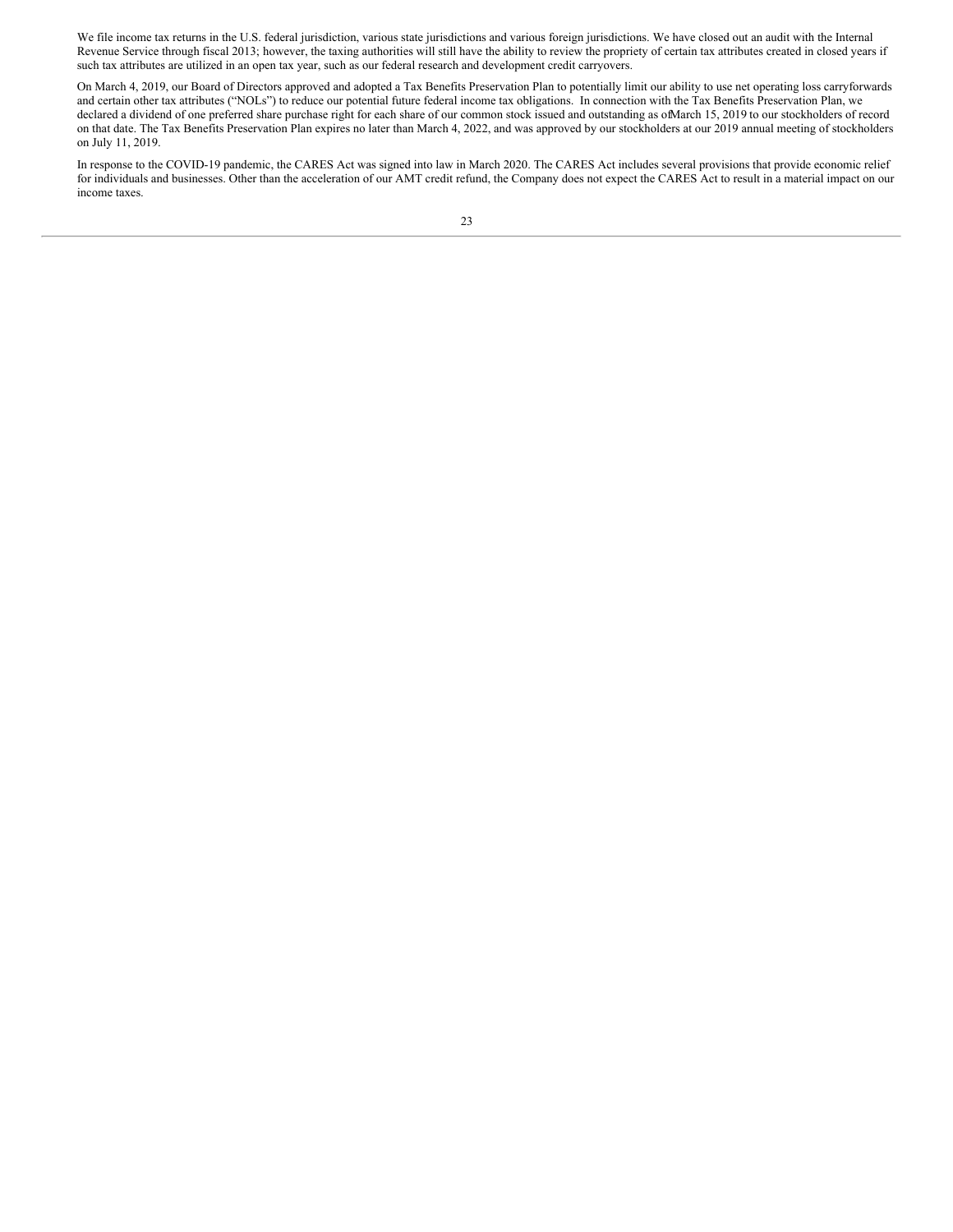We file income tax returns in the U.S. federal jurisdiction, various state jurisdictions and various foreign jurisdictions. We have closed out an audit with the Internal Revenue Service through fiscal 2013; however, the taxing authorities will still have the ability to review the propriety of certain tax attributes created in closed years if such tax attributes are utilized in an open tax year, such as our federal research and development credit carryovers.

On March 4, 2019, our Board of Directors approved and adopted a Tax Benefits Preservation Plan to potentially limit our ability to use net operating loss carryforwards and certain other tax attributes ("NOLs") to reduce our potential future federal income tax obligations. In connection with the Tax Benefits Preservation Plan, we declared a dividend of one preferred share purchase right for each share of our common stock issued and outstanding as ofMarch 15, 2019 to our stockholders of record on that date. The Tax Benefits Preservation Plan expires no later than March 4, 2022, and was approved by our stockholders at our 2019 annual meeting of stockholders on July 11, 2019.

In response to the COVID-19 pandemic, the CARES Act was signed into law in March 2020. The CARES Act includes several provisions that provide economic relief for individuals and businesses. Other than the acceleration of our AMT credit refund, the Company does not expect the CARES Act to result in a material impact on our income taxes.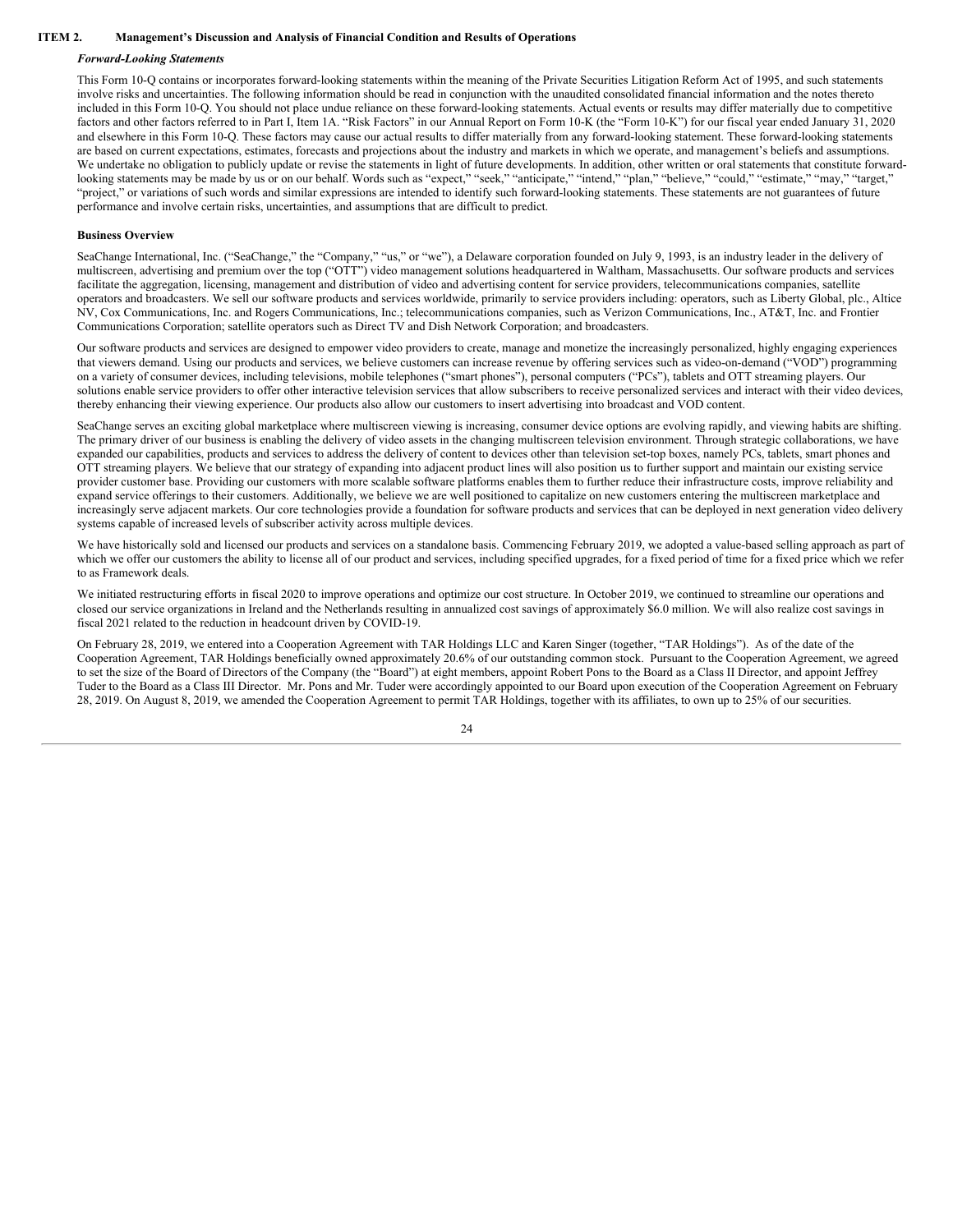#### **ITEM 2. Management's Discussion and Analysis of Financial Condition and Results of Operations**

#### <span id="page-24-0"></span>*Forward-Looking Statements*

This Form 10-Q contains or incorporates forward-looking statements within the meaning of the Private Securities Litigation Reform Act of 1995, and such statements involve risks and uncertainties. The following information should be read in conjunction with the unaudited consolidated financial information and the notes thereto included in this Form 10-Q. You should not place undue reliance on these forward-looking statements. Actual events or results may differ materially due to competitive factors and other factors referred to in Part I, Item 1A. "Risk Factors" in our Annual Report on Form 10-K (the "Form 10-K") for our fiscal year ended January 31, 2020 and elsewhere in this Form 10-Q. These factors may cause our actual results to differ materially from any forward-looking statement. These forward-looking statements are based on current expectations, estimates, forecasts and projections about the industry and markets in which we operate, and management's beliefs and assumptions. We undertake no obligation to publicly update or revise the statements in light of future developments. In addition, other written or oral statements that constitute forwardlooking statements may be made by us or on our behalf. Words such as "expect," "seek," "anticipate," "intend," "plan," "believe," "could," "estimate," "may," "target," "project," or variations of such words and similar expressions are intended to identify such forward-looking statements. These statements are not guarantees of future performance and involve certain risks, uncertainties, and assumptions that are difficult to predict.

#### **Business Overview**

SeaChange International, Inc. ("SeaChange," the "Company," "us," or "we"), a Delaware corporation founded on July 9, 1993, is an industry leader in the delivery of multiscreen, advertising and premium over the top ("OTT") video management solutions headquartered in Waltham, Massachusetts. Our software products and services facilitate the aggregation, licensing, management and distribution of video and advertising content for service providers, telecommunications companies, satellite operators and broadcasters. We sell our software products and services worldwide, primarily to service providers including: operators, such as Liberty Global, plc., Altice NV, Cox Communications, Inc. and Rogers Communications, Inc.; telecommunications companies, such as Verizon Communications, Inc., AT&T, Inc. and Frontier Communications Corporation; satellite operators such as Direct TV and Dish Network Corporation; and broadcasters.

Our software products and services are designed to empower video providers to create, manage and monetize the increasingly personalized, highly engaging experiences that viewers demand. Using our products and services, we believe customers can increase revenue by offering services such as video-on-demand ("VOD") programming on a variety of consumer devices, including televisions, mobile telephones ("smart phones"), personal computers ("PCs"), tablets and OTT streaming players. Our solutions enable service providers to offer other interactive television services that allow subscribers to receive personalized services and interact with their video devices, thereby enhancing their viewing experience. Our products also allow our customers to insert advertising into broadcast and VOD content.

SeaChange serves an exciting global marketplace where multiscreen viewing is increasing, consumer device options are evolving rapidly, and viewing habits are shifting. The primary driver of our business is enabling the delivery of video assets in the changing multiscreen television environment. Through strategic collaborations, we have expanded our capabilities, products and services to address the delivery of content to devices other than television set-top boxes, namely PCs, tablets, smart phones and OTT streaming players. We believe that our strategy of expanding into adjacent product lines will also position us to further support and maintain our existing service provider customer base. Providing our customers with more scalable software platforms enables them to further reduce their infrastructure costs, improve reliability and expand service offerings to their customers. Additionally, we believe we are well positioned to capitalize on new customers entering the multiscreen marketplace and increasingly serve adjacent markets. Our core technologies provide a foundation for software products and services that can be deployed in next generation video delivery systems capable of increased levels of subscriber activity across multiple devices.

We have historically sold and licensed our products and services on a standalone basis. Commencing February 2019, we adopted a value-based selling approach as part of which we offer our customers the ability to license all of our product and services, including specified upgrades, for a fixed period of time for a fixed price which we refer to as Framework deals.

We initiated restructuring efforts in fiscal 2020 to improve operations and optimize our cost structure. In October 2019, we continued to streamline our operations and closed our service organizations in Ireland and the Netherlands resulting in annualized cost savings of approximately \$6.0 million. We will also realize cost savings in fiscal 2021 related to the reduction in headcount driven by COVID-19.

On February 28, 2019, we entered into a Cooperation Agreement with TAR Holdings LLC and Karen Singer (together, "TAR Holdings"). As of the date of the Cooperation Agreement, TAR Holdings beneficially owned approximately 20.6% of our outstanding common stock. Pursuant to the Cooperation Agreement, we agreed to set the size of the Board of Directors of the Company (the "Board") at eight members, appoint Robert Pons to the Board as a Class II Director, and appoint Jeffrey Tuder to the Board as a Class III Director. Mr. Pons and Mr. Tuder were accordingly appointed to our Board upon execution of the Cooperation Agreement on February 28, 2019. On August 8, 2019, we amended the Cooperation Agreement to permit TAR Holdings, together with its affiliates, to own up to 25% of our securities.

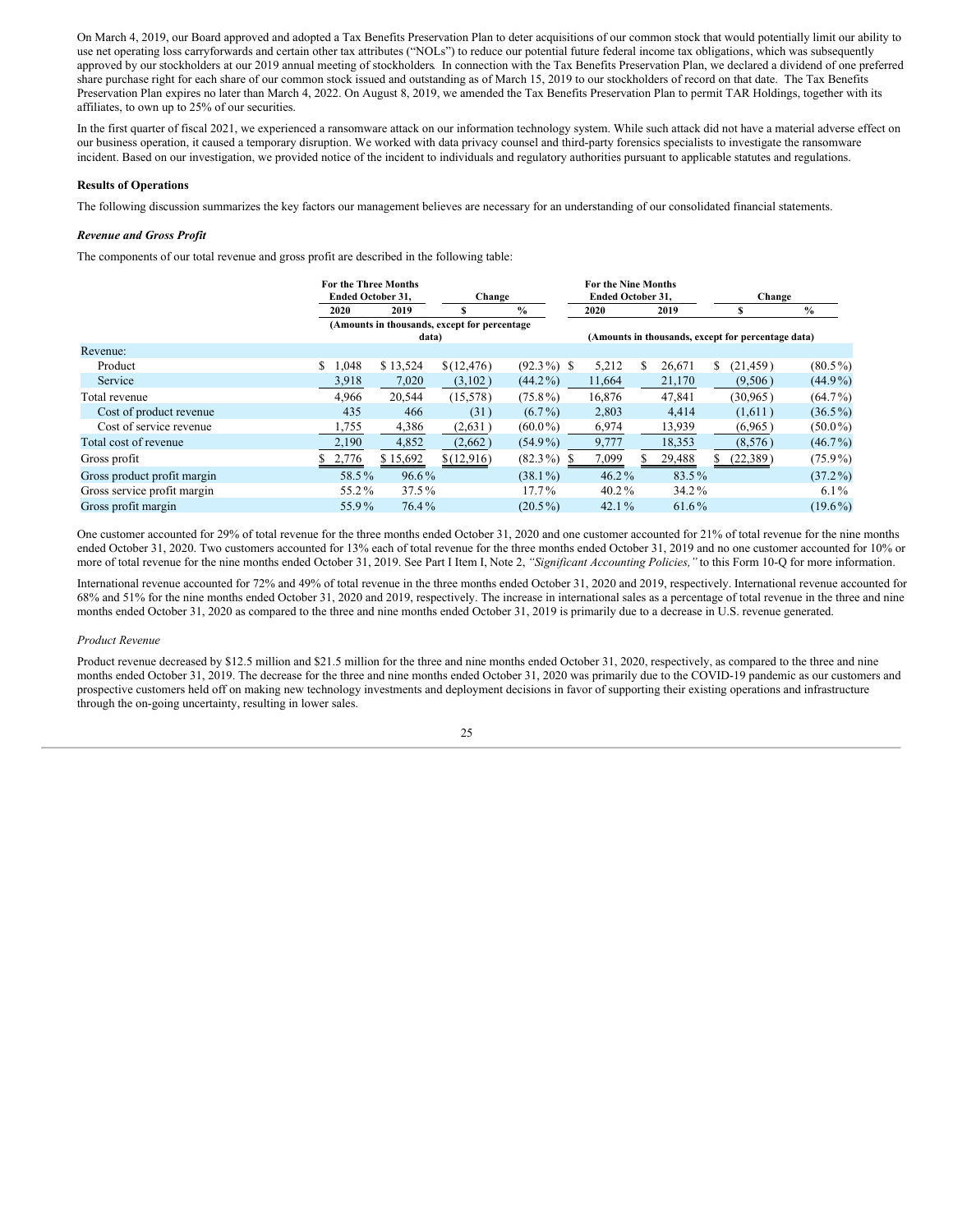On March 4, 2019, our Board approved and adopted a Tax Benefits Preservation Plan to deter acquisitions of our common stock that would potentially limit our ability to use net operating loss carryforwards and certain other tax attributes ("NOLs") to reduce our potential future federal income tax obligations, which was subsequently approved by our stockholders at our 2019 annual meeting of stockholders. In connection with the Tax Benefits Preservation Plan, we declared a dividend of one preferred share purchase right for each share of our common stock issued and outstanding as of March 15, 2019 to our stockholders of record on that date. The Tax Benefits Preservation Plan expires no later than March 4, 2022. On August 8, 2019, we amended the Tax Benefits Preservation Plan to permit TAR Holdings, together with its affiliates, to own up to 25% of our securities.

In the first quarter of fiscal 2021, we experienced a ransomware attack on our information technology system. While such attack did not have a material adverse effect on our business operation, it caused a temporary disruption. We worked with data privacy counsel and third-party forensics specialists to investigate the ransomware incident. Based on our investigation, we provided notice of the incident to individuals and regulatory authorities pursuant to applicable statutes and regulations.

#### **Results of Operations**

The following discussion summarizes the key factors our management believes are necessary for an understanding of our consolidated financial statements.

#### *Revenue and Gross Profit*

The components of our total revenue and gross profit are described in the following table:

|                             | <b>For the Three Months</b><br><b>Ended October 31,</b> |          | Change                                        |               | <b>For the Nine Months</b><br><b>Ended October 31,</b> |   |        | Change |           |               |
|-----------------------------|---------------------------------------------------------|----------|-----------------------------------------------|---------------|--------------------------------------------------------|---|--------|--------|-----------|---------------|
|                             | 2020                                                    | 2019     | $\frac{0}{0}$                                 |               | 2020                                                   |   | 2019   |        |           | $\frac{0}{0}$ |
|                             |                                                         |          | (Amounts in thousands, except for percentage) |               |                                                        |   |        |        |           |               |
|                             |                                                         | data)    |                                               |               | (Amounts in thousands, except for percentage data)     |   |        |        |           |               |
| Revenue:                    |                                                         |          |                                               |               |                                                        |   |        |        |           |               |
| Product                     | 1.048<br>S.                                             | \$13,524 | \$(12, 476)                                   | $(92.3\%)$ \$ | 5,212                                                  | S | 26,671 | S      | (21, 459) | $(80.5\%)$    |
| Service                     | 3,918                                                   | 7,020    | (3,102)                                       | $(44.2\%)$    | 11,664                                                 |   | 21,170 |        | (9,506)   | $(44.9\%)$    |
| Total revenue               | 4,966                                                   | 20,544   | (15,578)                                      | $(75.8\%)$    | 16,876                                                 |   | 47,841 |        | (30, 965) | $(64.7\%)$    |
| Cost of product revenue     | 435                                                     | 466      | (31)                                          | $(6.7\%)$     | 2,803                                                  |   | 4,414  |        | (1,611)   | $(36.5\%)$    |
| Cost of service revenue     | 1,755                                                   | 4,386    | (2,631)                                       | $(60.0\%)$    | 6,974                                                  |   | 13,939 |        | (6,965)   | $(50.0\%)$    |
| Total cost of revenue       | 2,190                                                   | 4,852    | (2,662)                                       | $(54.9\%)$    | 9,777                                                  |   | 18,353 |        | (8,576)   | $(46.7\%)$    |
| Gross profit                | 2,776                                                   | \$15,692 | \$(12,916)                                    | $(82.3\%)$ \$ | 7,099                                                  |   | 29,488 |        | (22, 389) | $(75.9\%)$    |
| Gross product profit margin | 58.5%                                                   | $96.6\%$ |                                               | $(38.1\%)$    | $46.2\%$                                               |   | 83.5%  |        |           | $(37.2\%)$    |
| Gross service profit margin | 55.2%                                                   | $37.5\%$ |                                               | $17.7\%$      | $40.2\%$                                               |   | 34.2%  |        |           | $6.1\%$       |
| Gross profit margin         | 55.9%                                                   | 76.4%    |                                               | $(20.5\%)$    | 42.1%                                                  |   | 61.6%  |        |           | $(19.6\%)$    |

One customer accounted for 29% of total revenue for the three months ended October 31, 2020 and one customer accounted for 21% of total revenue for the nine months ended October 31, 2020. Two customers accounted for 13% each of total revenue for the three months ended October 31, 2019 and no one customer accounted for 10% or more of total revenue for the nine months ended October 31, 2019. See Part I Item I, Note 2, *"Significant Accounting Policies,"* to this Form 10-Q for more information.

International revenue accounted for 72% and 49% of total revenue in the three months ended October 31, 2020 and 2019, respectively. International revenue accounted for 68% and 51% for the nine months ended October 31, 2020 and 2019, respectively. The increase in international sales as a percentage of total revenue in the three and nine months ended October 31, 2020 as compared to the three and nine months ended October 31, 2019 is primarily due to a decrease in U.S. revenue generated.

#### *Product Revenue*

Product revenue decreased by \$12.5 million and \$21.5 million for the three and nine months ended October 31, 2020, respectively, as compared to the three and nine months ended October 31, 2019. The decrease for the three and nine months ended October 31, 2020 was primarily due to the COVID-19 pandemic as our customers and prospective customers held off on making new technology investments and deployment decisions in favor of supporting their existing operations and infrastructure through the on-going uncertainty, resulting in lower sales.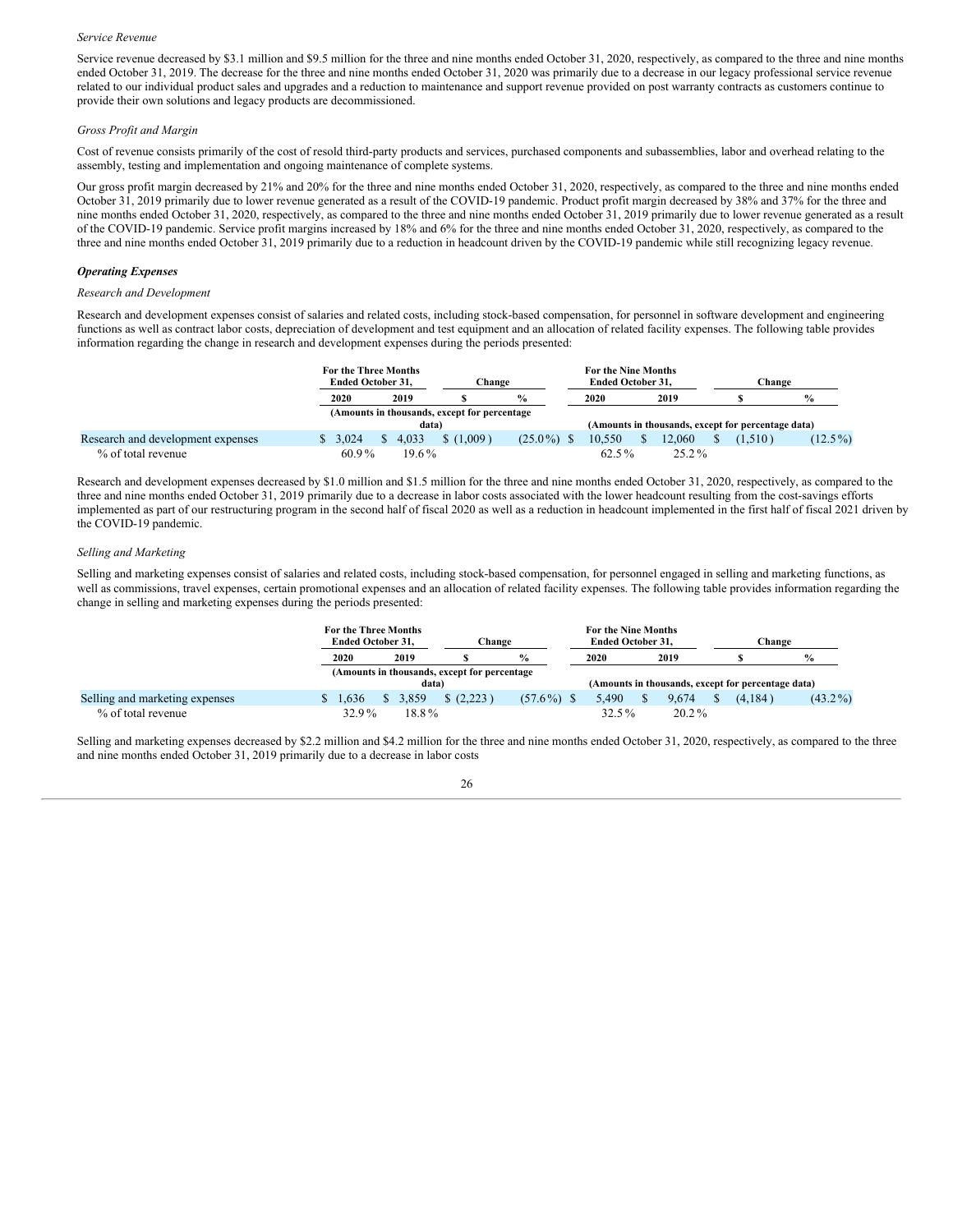#### *Service Revenue*

Service revenue decreased by \$3.1 million and \$9.5 million for the three and nine months ended October 31, 2020, respectively, as compared to the three and nine months ended October 31, 2019. The decrease for the three and nine months ended October 31, 2020 was primarily due to a decrease in our legacy professional service revenue related to our individual product sales and upgrades and a reduction to maintenance and support revenue provided on post warranty contracts as customers continue to provide their own solutions and legacy products are decommissioned.

#### *Gross Profit and Margin*

Cost of revenue consists primarily of the cost of resold third-party products and services, purchased components and subassemblies, labor and overhead relating to the assembly, testing and implementation and ongoing maintenance of complete systems.

Our gross profit margin decreased by 21% and 20% for the three and nine months ended October 31, 2020, respectively, as compared to the three and nine months ended October 31, 2019 primarily due to lower revenue generated as a result of the COVID-19 pandemic. Product profit margin decreased by 38% and 37% for the three and nine months ended October 31, 2020, respectively, as compared to the three and nine months ended October 31, 2019 primarily due to lower revenue generated as a result of the COVID-19 pandemic. Service profit margins increased by 18% and 6% for the three and nine months ended October 31, 2020, respectively, as compared to the three and nine months ended October 31, 2019 primarily due to a reduction in headcount driven by the COVID-19 pandemic while still recognizing legacy revenue.

#### *Operating Expenses*

#### *Research and Development*

Research and development expenses consist of salaries and related costs, including stock-based compensation, for personnel in software development and engineering functions as well as contract labor costs, depreciation of development and test equipment and an allocation of related facility expenses. The following table provides information regarding the change in research and development expenses during the periods presented:

|                                   |          | <b>For the Three Months</b><br><b>Ended October 31.</b> | Change                                        |               | For the Nine Months<br><b>Ended October 31.</b> |          | Change |                                                    |               |
|-----------------------------------|----------|---------------------------------------------------------|-----------------------------------------------|---------------|-------------------------------------------------|----------|--------|----------------------------------------------------|---------------|
|                                   | 2020     | 2019                                                    |                                               | $\frac{0}{0}$ | 2020                                            | 2019     |        |                                                    | $\frac{0}{0}$ |
|                                   |          |                                                         | (Amounts in thousands, except for percentage) |               |                                                 |          |        |                                                    |               |
|                                   |          | data)                                                   |                                               |               |                                                 |          |        | (Amounts in thousands, except for percentage data) |               |
| Research and development expenses | \$3.024  | 4.033                                                   | \$(1.009)                                     | $(25.0\%)$ \$ | 10.550                                          | 2.060    |        | (1.510)                                            | $(12.5\%)$    |
| % of total revenue                | $60.9\%$ | $19.6\%$                                                |                                               |               | 62.5%                                           | $25.2\%$ |        |                                                    |               |

Research and development expenses decreased by \$1.0 million and \$1.5 million for the three and nine months ended October 31, 2020, respectively, as compared to the three and nine months ended October 31, 2019 primarily due to a decrease in labor costs associated with the lower headcount resulting from the cost-savings efforts implemented as part of our restructuring program in the second half of fiscal 2020 as well as a reduction in headcount implemented in the first half of fiscal 2021 driven by the COVID-19 pandemic.

#### *Selling and Marketing*

Selling and marketing expenses consist of salaries and related costs, including stock-based compensation, for personnel engaged in selling and marketing functions, as well as commissions, travel expenses, certain promotional expenses and an allocation of related facility expenses. The following table provides information regarding the change in selling and marketing expenses during the periods presented:

|                                | <b>For the Three Months</b><br><b>Ended October 31.</b> |                                                        | Change    |               | For the Nine Months<br><b>Ended October 31.</b> |          | Change |                                                    |               |  |
|--------------------------------|---------------------------------------------------------|--------------------------------------------------------|-----------|---------------|-------------------------------------------------|----------|--------|----------------------------------------------------|---------------|--|
|                                | 2020                                                    | 2019                                                   |           | $\frac{6}{9}$ | 2020                                            | 2019     |        |                                                    | $\frac{0}{0}$ |  |
|                                |                                                         | (Amounts in thousands, except for percentage)<br>data) |           |               |                                                 |          |        | (Amounts in thousands, except for percentage data) |               |  |
| Selling and marketing expenses | 1.636                                                   | 3.859                                                  | \$(2.223) | $(57.6\%)$ \$ | 5.490                                           | 9.674    |        | (4.184)                                            | $(43.2\%)$    |  |
| % of total revenue             | 32.9%                                                   | 18.8%                                                  |           |               | $32.5\%$                                        | $20.2\%$ |        |                                                    |               |  |

Selling and marketing expenses decreased by \$2.2 million and \$4.2 million for the three and nine months ended October 31, 2020, respectively, as compared to the three and nine months ended October 31, 2019 primarily due to a decrease in labor costs

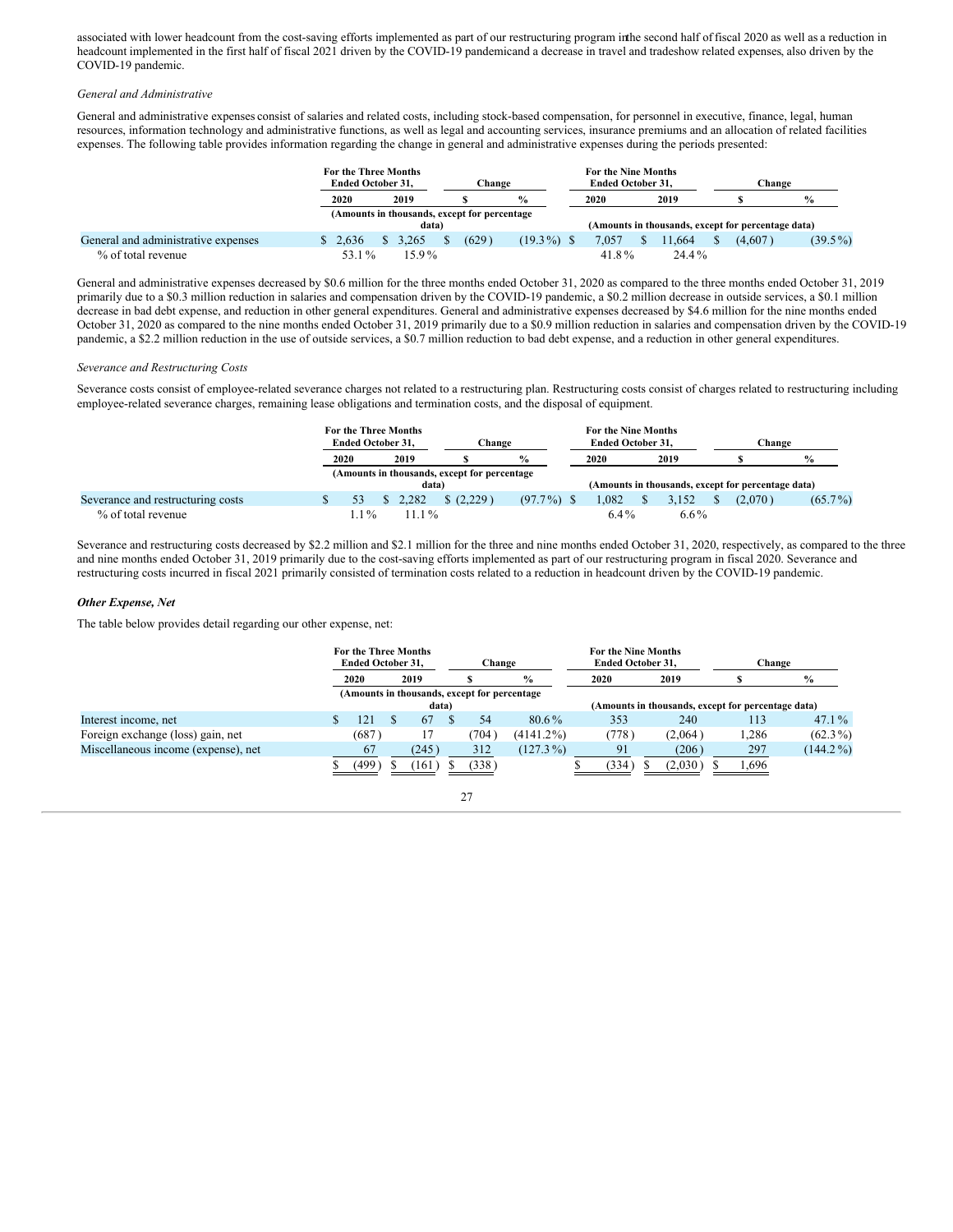associated with lower headcount from the cost-saving efforts implemented as part of our restructuring program inthe second half offiscal 2020 as well as a reduction in headcount implemented in the first half of fiscal 2021 driven by the COVID-19 pandemicand a decrease in travel and tradeshow related expenses, also driven by the COVID-19 pandemic.

#### *General and Administrative*

General and administrative expenses consist of salaries and related costs, including stock-based compensation, for personnel in executive, finance, legal, human resources, information technology and administrative functions, as well as legal and accounting services, insurance premiums and an allocation of related facilities expenses. The following table provides information regarding the change in general and administrative expenses during the periods presented:

|                                     |         | <b>For the Three Months</b><br><b>Ended October 31.</b> |       | Change                                       |               | <b>For the Nine Months</b><br><b>Ended October 31.</b> |       | Change                                             |               |
|-------------------------------------|---------|---------------------------------------------------------|-------|----------------------------------------------|---------------|--------------------------------------------------------|-------|----------------------------------------------------|---------------|
|                                     | 2020    | 2019                                                    |       | $\frac{6}{6}$                                |               | 2020                                                   | 2019  |                                                    | $\frac{0}{0}$ |
|                                     |         |                                                         |       | (Amounts in thousands, except for percentage |               |                                                        |       |                                                    |               |
|                                     |         |                                                         | data) |                                              |               |                                                        |       | (Amounts in thousands, except for percentage data) |               |
| General and administrative expenses | \$2.636 | 3.265                                                   |       | (629)                                        | $(19.3\%)$ \$ | 7.057                                                  | .664  | (4.607)                                            | $(39.5\%)$    |
| % of total revenue                  | 53.1%   | 15.9%                                                   |       |                                              |               | 41.8%                                                  | 24.4% |                                                    |               |

General and administrative expenses decreased by \$0.6 million for the three months ended October 31, 2020 as compared to the three months ended October 31, 2019 primarily due to a \$0.3 million reduction in salaries and compensation driven by the COVID-19 pandemic, a \$0.2 million decrease in outside services, a \$0.1 million decrease in bad debt expense, and reduction in other general expenditures. General and administrative expenses decreased by \$4.6 million for the nine months ended October 31, 2020 as compared to the nine months ended October 31, 2019 primarily due to a \$0.9 million reduction in salaries and compensation driven by the COVID-19 pandemic, a \$2.2 million reduction in the use of outside services, a \$0.7 million reduction to bad debt expense, and a reduction in other general expenditures.

#### *Severance and Restructuring Costs*

Severance costs consist of employee-related severance charges not related to a restructuring plan. Restructuring costs consist of charges related to restructuring including employee-related severance charges, remaining lease obligations and termination costs, and the disposal of equipment.

|                                   | <b>For the Three Months</b><br><b>Ended October 31,</b> |          | Change                                       |               | For the Nine Months<br><b>Ended October 31.</b> |         | Change                                             |               |  |
|-----------------------------------|---------------------------------------------------------|----------|----------------------------------------------|---------------|-------------------------------------------------|---------|----------------------------------------------------|---------------|--|
|                                   | 2020                                                    | 2019     |                                              | $\frac{0}{0}$ | 2020                                            | 2019    |                                                    | $\frac{0}{0}$ |  |
|                                   |                                                         | data)    | (Amounts in thousands, except for percentage |               |                                                 |         | (Amounts in thousands, except for percentage data) |               |  |
| Severance and restructuring costs |                                                         | 2.282    | \$(2.229)                                    | $(97.7\%)$ \$ | .082                                            | 3.152   | (2.070)                                            | $(65.7\%)$    |  |
| % of total revenue                | $.1\%$                                                  | $11.1\%$ |                                              |               | $6.4\%$                                         | $6.6\%$ |                                                    |               |  |

Severance and restructuring costs decreased by \$2.2 million and \$2.1 million for the three and nine months ended October 31, 2020, respectively, as compared to the three and nine months ended October 31, 2019 primarily due to the cost-saving efforts implemented as part of our restructuring program in fiscal 2020. Severance and restructuring costs incurred in fiscal 2021 primarily consisted of termination costs related to a reduction in headcount driven by the COVID-19 pandemic.

#### *Other Expense, Net*

The table below provides detail regarding our other expense, net:

|                                     | <b>For the Three Months</b><br><b>Ended October 31.</b> |  |        | Change                                       |               | <b>For the Nine Months</b><br><b>Ended October 31.</b> |                                                    | Change |               |
|-------------------------------------|---------------------------------------------------------|--|--------|----------------------------------------------|---------------|--------------------------------------------------------|----------------------------------------------------|--------|---------------|
|                                     | 2020                                                    |  | 2019   |                                              | $\frac{0}{0}$ | 2020                                                   | 2019                                               |        | $\frac{0}{0}$ |
|                                     |                                                         |  |        | (Amounts in thousands, except for percentage |               |                                                        |                                                    |        |               |
|                                     |                                                         |  | data)  |                                              |               |                                                        | (Amounts in thousands, except for percentage data) |        |               |
| Interest income, net                | 121                                                     |  | 67     | 54                                           | $80.6\%$      | 353                                                    | 240                                                | 113    | $47.1\%$      |
| Foreign exchange (loss) gain, net   | (687)                                                   |  |        | (704)                                        | $(4141.2\%)$  | (778)                                                  | (2,064)                                            | 1,286  | $(62.3\%)$    |
| Miscellaneous income (expense), net | 67                                                      |  | (245)  | 312                                          | $(127.3\%)$   | 91                                                     | (206)                                              | 297    | $(144.2\%)$   |
|                                     | (499                                                    |  | (161 ) | (338)                                        |               | 334                                                    | (2,030)                                            | .696   |               |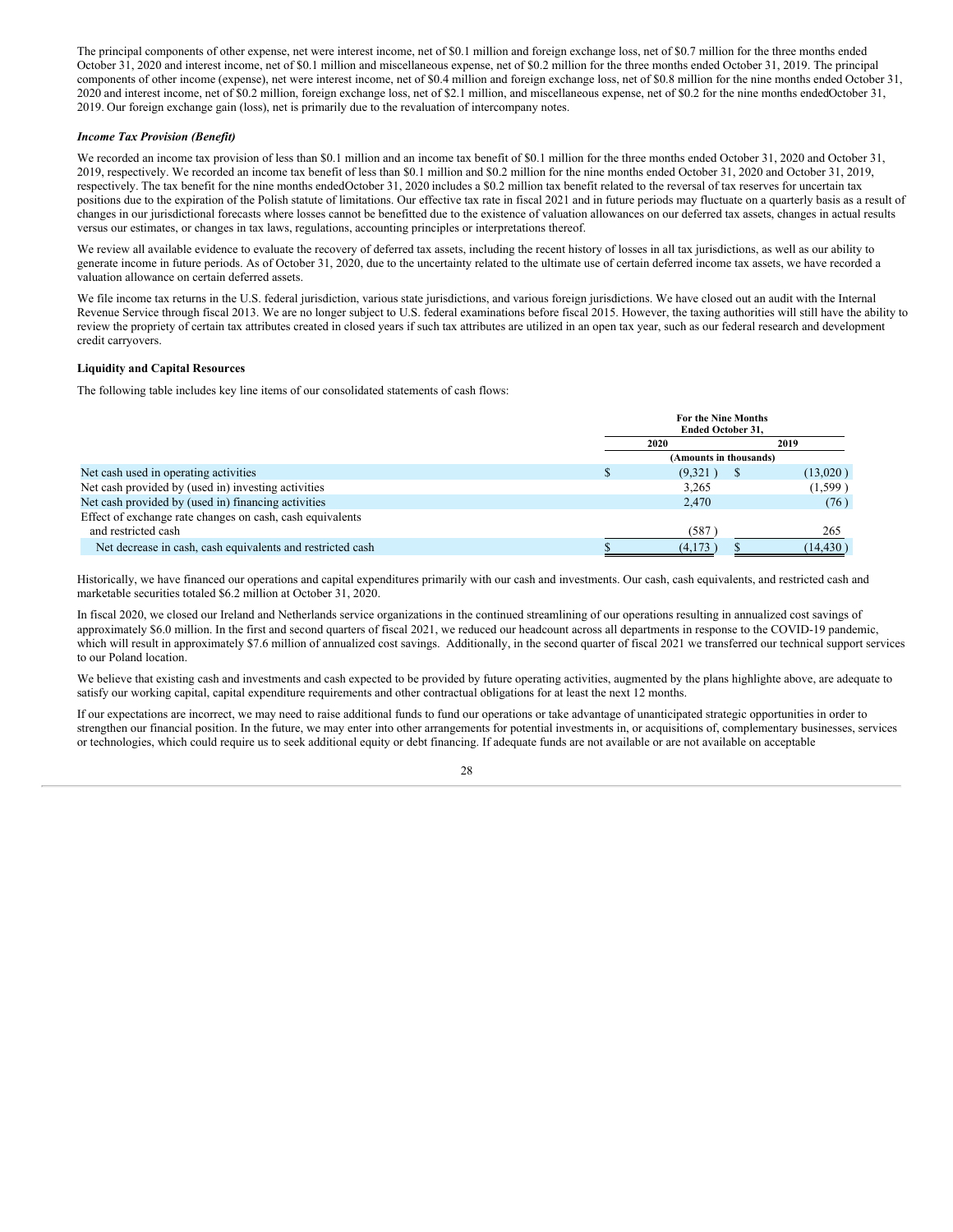The principal components of other expense, net were interest income, net of \$0.1 million and foreign exchange loss, net of \$0.7 million for the three months ended October 31, 2020 and interest income, net of \$0.1 million and miscellaneous expense, net of \$0.2 million for the three months ended October 31, 2019. The principal components of other income (expense), net were interest income, net of \$0.4 million and foreign exchange loss, net of \$0.8 million for the nine months ended October 31, 2020 and interest income, net of \$0.2 million, foreign exchange loss, net of \$2.1 million, and miscellaneous expense, net of \$0.2 for the nine months endedOctober 31, 2019. Our foreign exchange gain (loss), net is primarily due to the revaluation of intercompany notes.

#### *Income Tax Provision (Benefit)*

We recorded an income tax provision of less than \$0.1 million and an income tax benefit of \$0.1 million for the three months ended October 31, 2020 and October 31, 2019, respectively. We recorded an income tax benefit of less than \$0.1 million and \$0.2 million for the nine months ended October 31, 2020 and October 31, 2019, respectively. The tax benefit for the nine months endedOctober 31, 2020 includes a \$0.2 million tax benefit related to the reversal of tax reserves for uncertain tax positions due to the expiration of the Polish statute of limitations. Our effective tax rate in fiscal 2021 and in future periods may fluctuate on a quarterly basis as a result of changes in our jurisdictional forecasts where losses cannot be benefitted due to the existence of valuation allowances on our deferred tax assets, changes in actual results versus our estimates, or changes in tax laws, regulations, accounting principles or interpretations thereof.

We review all available evidence to evaluate the recovery of deferred tax assets, including the recent history of losses in all tax jurisdictions, as well as our ability to generate income in future periods. As of October 31, 2020, due to the uncertainty related to the ultimate use of certain deferred income tax assets, we have recorded a valuation allowance on certain deferred assets.

We file income tax returns in the U.S. federal jurisdiction, various state jurisdictions, and various foreign jurisdictions. We have closed out an audit with the Internal Revenue Service through fiscal 2013. We are no longer subject to U.S. federal examinations before fiscal 2015. However, the taxing authorities will still have the ability to review the propriety of certain tax attributes created in closed years if such tax attributes are utilized in an open tax year, such as our federal research and development credit carryovers.

#### **Liquidity and Capital Resources**

The following table includes key line items of our consolidated statements of cash flows:

|                                                            | <b>For the Nine Months</b><br><b>Ended October 31.</b> |  |           |  |
|------------------------------------------------------------|--------------------------------------------------------|--|-----------|--|
|                                                            | 2020<br>2019                                           |  |           |  |
|                                                            | (Amounts in thousands)                                 |  |           |  |
| Net cash used in operating activities                      | (9,321)                                                |  | (13,020)  |  |
| Net cash provided by (used in) investing activities        | 3,265                                                  |  | (1,599)   |  |
| Net cash provided by (used in) financing activities        | 2.470                                                  |  | (76)      |  |
| Effect of exchange rate changes on cash, cash equivalents  |                                                        |  |           |  |
| and restricted cash                                        | (587                                                   |  | 265       |  |
| Net decrease in cash, cash equivalents and restricted cash | (4, 173)                                               |  | (14, 430) |  |

Historically, we have financed our operations and capital expenditures primarily with our cash and investments. Our cash, cash equivalents, and restricted cash and marketable securities totaled \$6.2 million at October 31, 2020.

In fiscal 2020, we closed our Ireland and Netherlands service organizations in the continued streamlining of our operations resulting in annualized cost savings of approximately \$6.0 million. In the first and second quarters of fiscal 2021, we reduced our headcount across all departments in response to the COVID-19 pandemic, which will result in approximately \$7.6 million of annualized cost savings. Additionally, in the second quarter of fiscal 2021 we transferred our technical support services to our Poland location.

We believe that existing cash and investments and cash expected to be provided by future operating activities, augmented by the plans highlighte above, are adequate to satisfy our working capital, capital expenditure requirements and other contractual obligations for at least the next 12 months.

If our expectations are incorrect, we may need to raise additional funds to fund our operations or take advantage of unanticipated strategic opportunities in order to strengthen our financial position. In the future, we may enter into other arrangements for potential investments in, or acquisitions of, complementary businesses, services or technologies, which could require us to seek additional equity or debt financing. If adequate funds are not available or are not available on acceptable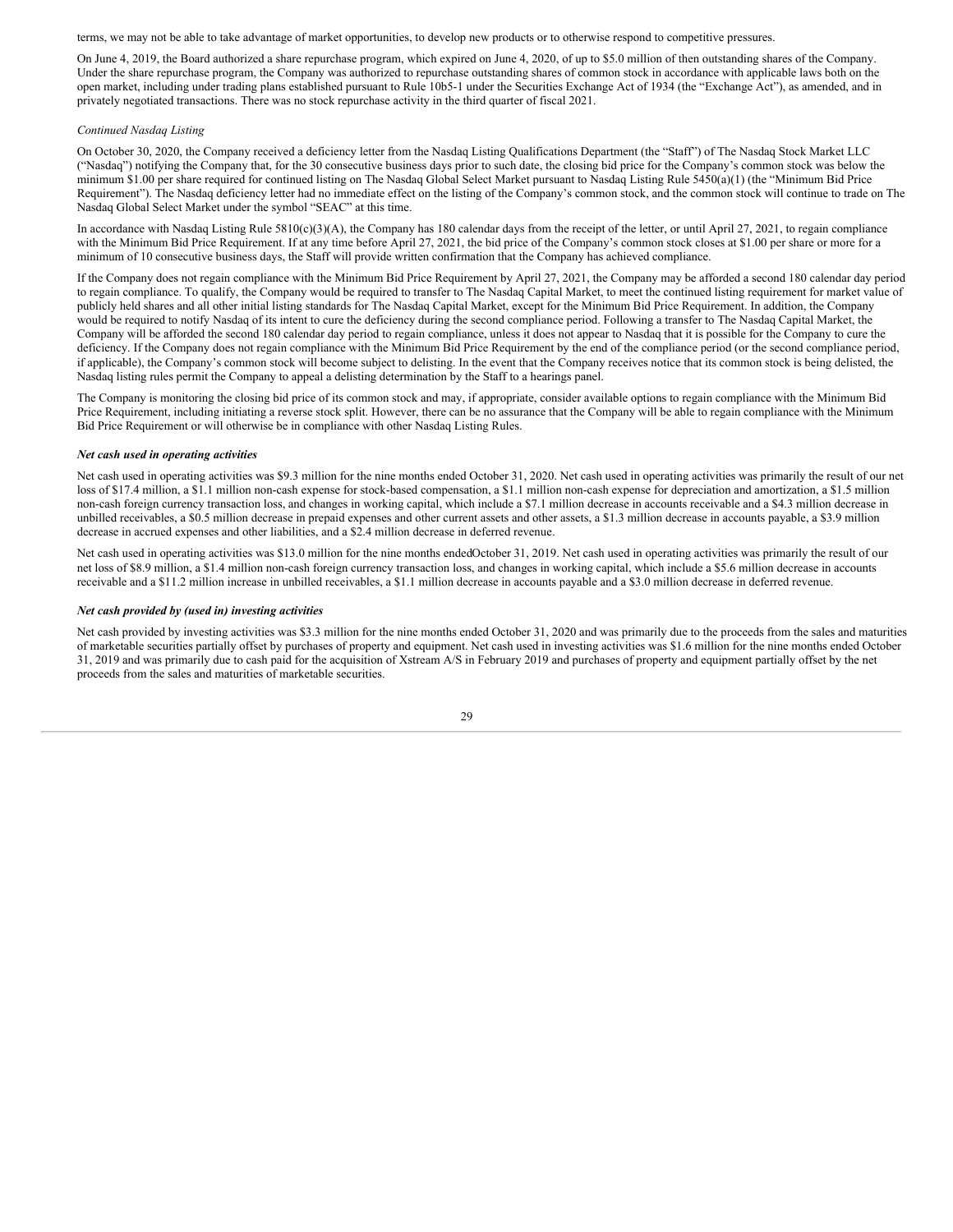terms, we may not be able to take advantage of market opportunities, to develop new products or to otherwise respond to competitive pressures.

On June 4, 2019, the Board authorized a share repurchase program, which expired on June 4, 2020, of up to \$5.0 million of then outstanding shares of the Company. Under the share repurchase program, the Company was authorized to repurchase outstanding shares of common stock in accordance with applicable laws both on the open market, including under trading plans established pursuant to Rule 10b5-1 under the Securities Exchange Act of 1934 (the "Exchange Act"), as amended, and in privately negotiated transactions. There was no stock repurchase activity in the third quarter of fiscal 2021.

#### *Continued Nasdaq Listing*

On October 30, 2020, the Company received a deficiency letter from the Nasdaq Listing Qualifications Department (the "Staff") of The Nasdaq Stock Market LLC ("Nasdaq") notifying the Company that, for the 30 consecutive business days prior to such date, the closing bid price for the Company's common stock was below the minimum \$1.00 per share required for continued listing on The Nasdaq Global Select Market pursuant to Nasdaq Listing Rule 5450(a)(1) (the "Minimum Bid Price Requirement"). The Nasdaq deficiency letter had no immediate effect on the listing of the Company's common stock, and the common stock will continue to trade on The Nasdaq Global Select Market under the symbol "SEAC" at this time.

In accordance with Nasdaq Listing Rule 5810(c)(3)(A), the Company has 180 calendar days from the receipt of the letter, or until April 27, 2021, to regain compliance with the Minimum Bid Price Requirement. If at any time before April 27, 2021, the bid price of the Company's common stock closes at \$1.00 per share or more for a minimum of 10 consecutive business days, the Staff will provide written confirmation that the Company has achieved compliance.

If the Company does not regain compliance with the Minimum Bid Price Requirement by April 27, 2021, the Company may be afforded a second 180 calendar day period to regain compliance. To qualify, the Company would be required to transfer to The Nasdaq Capital Market, to meet the continued listing requirement for market value of publicly held shares and all other initial listing standards for The Nasdaq Capital Market, except for the Minimum Bid Price Requirement. In addition, the Company would be required to notify Nasdaq of its intent to cure the deficiency during the second compliance period. Following a transfer to The Nasdaq Capital Market, the Company will be afforded the second 180 calendar day period to regain compliance, unless it does not appear to Nasdaq that it is possible for the Company to cure the deficiency. If the Company does not regain compliance with the Minimum Bid Price Requirement by the end of the compliance period (or the second compliance period, if applicable), the Company's common stock will become subject to delisting. In the event that the Company receives notice that its common stock is being delisted, the Nasdaq listing rules permit the Company to appeal a delisting determination by the Staff to a hearings panel.

The Company is monitoring the closing bid price of its common stock and may, if appropriate, consider available options to regain compliance with the Minimum Bid Price Requirement, including initiating a reverse stock split. However, there can be no assurance that the Company will be able to regain compliance with the Minimum Bid Price Requirement or will otherwise be in compliance with other Nasdaq Listing Rules.

#### *Net cash used in operating activities*

Net cash used in operating activities was \$9.3 million for the nine months ended October 31, 2020. Net cash used in operating activities was primarily the result of our net loss of \$17.4 million, a \$1.1 million non-cash expense for stock-based compensation, a \$1.1 million non-cash expense for depreciation and amortization, a \$1.5 million non-cash foreign currency transaction loss, and changes in working capital, which include a \$7.1 million decrease in accounts receivable and a \$4.3 million decrease in unbilled receivables, a \$0.5 million decrease in prepaid expenses and other current assets and other assets, a \$1.3 million decrease in accounts payable, a \$3.9 million decrease in accrued expenses and other liabilities, and a \$2.4 million decrease in deferred revenue.

Net cash used in operating activities was \$13.0 million for the nine months endedOctober 31, 2019. Net cash used in operating activities was primarily the result of our net loss of \$8.9 million, a \$1.4 million non-cash foreign currency transaction loss, and changes in working capital, which include a \$5.6 million decrease in accounts receivable and a \$11.2 million increase in unbilled receivables, a \$1.1 million decrease in accounts payable and a \$3.0 million decrease in deferred revenue.

#### *Net cash provided by (used in) investing activities*

Net cash provided by investing activities was \$3.3 million for the nine months ended October 31, 2020 and was primarily due to the proceeds from the sales and maturities of marketable securities partially offset by purchases of property and equipment. Net cash used in investing activities was \$1.6 million for the nine months ended October 31, 2019 and was primarily due to cash paid for the acquisition of Xstream A/S in February 2019 and purchases of property and equipment partially offset by the net proceeds from the sales and maturities of marketable securities.

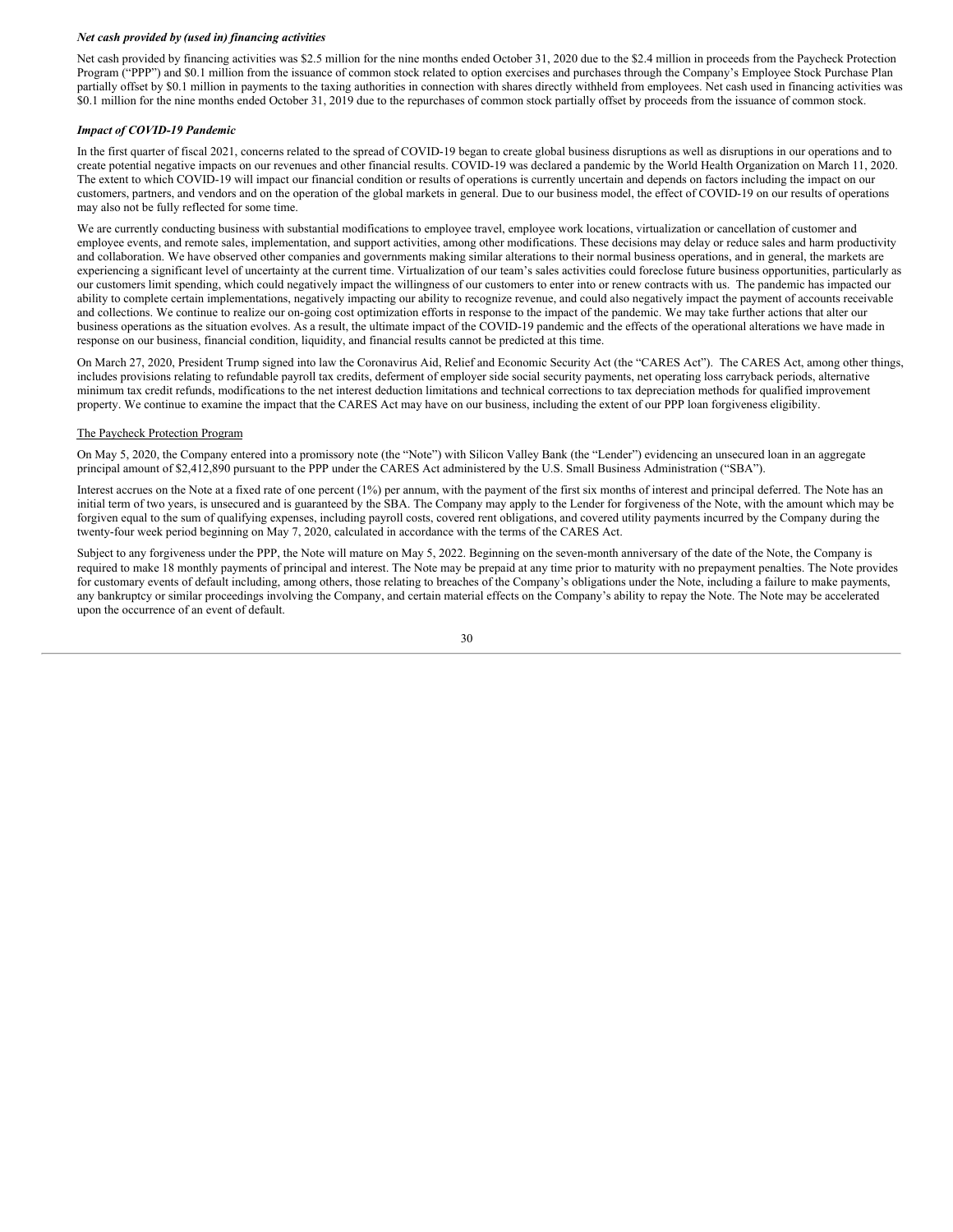#### *Net cash provided by (used in) financing activities*

Net cash provided by financing activities was \$2.5 million for the nine months ended October 31, 2020 due to the \$2.4 million in proceeds from the Paycheck Protection Program ("PPP") and \$0.1 million from the issuance of common stock related to option exercises and purchases through the Company's Employee Stock Purchase Plan partially offset by \$0.1 million in payments to the taxing authorities in connection with shares directly withheld from employees. Net cash used in financing activities was \$0.1 million for the nine months ended October 31, 2019 due to the repurchases of common stock partially offset by proceeds from the issuance of common stock.

#### *Impact of COVID-19 Pandemic*

In the first quarter of fiscal 2021, concerns related to the spread of COVID-19 began to create global business disruptions as well as disruptions in our operations and to create potential negative impacts on our revenues and other financial results. COVID-19 was declared a pandemic by the World Health Organization on March 11, 2020. The extent to which COVID-19 will impact our financial condition or results of operations is currently uncertain and depends on factors including the impact on our customers, partners, and vendors and on the operation of the global markets in general. Due to our business model, the effect of COVID-19 on our results of operations may also not be fully reflected for some time.

We are currently conducting business with substantial modifications to employee travel, employee work locations, virtualization or cancellation of customer and employee events, and remote sales, implementation, and support activities, among other modifications. These decisions may delay or reduce sales and harm productivity and collaboration. We have observed other companies and governments making similar alterations to their normal business operations, and in general, the markets are experiencing a significant level of uncertainty at the current time. Virtualization of our team's sales activities could foreclose future business opportunities, particularly as our customers limit spending, which could negatively impact the willingness of our customers to enter into or renew contracts with us. The pandemic has impacted our ability to complete certain implementations, negatively impacting our ability to recognize revenue, and could also negatively impact the payment of accounts receivable and collections. We continue to realize our on-going cost optimization efforts in response to the impact of the pandemic. We may take further actions that alter our business operations as the situation evolves. As a result, the ultimate impact of the COVID-19 pandemic and the effects of the operational alterations we have made in response on our business, financial condition, liquidity, and financial results cannot be predicted at this time.

On March 27, 2020, President Trump signed into law the Coronavirus Aid, Relief and Economic Security Act (the "CARES Act"). The CARES Act, among other things, includes provisions relating to refundable payroll tax credits, deferment of employer side social security payments, net operating loss carryback periods, alternative minimum tax credit refunds, modifications to the net interest deduction limitations and technical corrections to tax depreciation methods for qualified improvement property. We continue to examine the impact that the CARES Act may have on our business, including the extent of our PPP loan forgiveness eligibility.

#### The Paycheck Protection Program

On May 5, 2020, the Company entered into a promissory note (the "Note") with Silicon Valley Bank (the "Lender") evidencing an unsecured loan in an aggregate principal amount of \$2,412,890 pursuant to the PPP under the CARES Act administered by the U.S. Small Business Administration ("SBA").

Interest accrues on the Note at a fixed rate of one percent (1%) per annum, with the payment of the first six months of interest and principal deferred. The Note has an initial term of two years, is unsecured and is guaranteed by the SBA. The Company may apply to the Lender for forgiveness of the Note, with the amount which may be forgiven equal to the sum of qualifying expenses, including payroll costs, covered rent obligations, and covered utility payments incurred by the Company during the twenty-four week period beginning on May 7, 2020, calculated in accordance with the terms of the CARES Act.

Subject to any forgiveness under the PPP, the Note will mature on May 5, 2022. Beginning on the seven-month anniversary of the date of the Note, the Company is required to make 18 monthly payments of principal and interest. The Note may be prepaid at any time prior to maturity with no prepayment penalties. The Note provides for customary events of default including, among others, those relating to breaches of the Company's obligations under the Note, including a failure to make payments, any bankruptcy or similar proceedings involving the Company, and certain material effects on the Company's ability to repay the Note. The Note may be accelerated upon the occurrence of an event of default.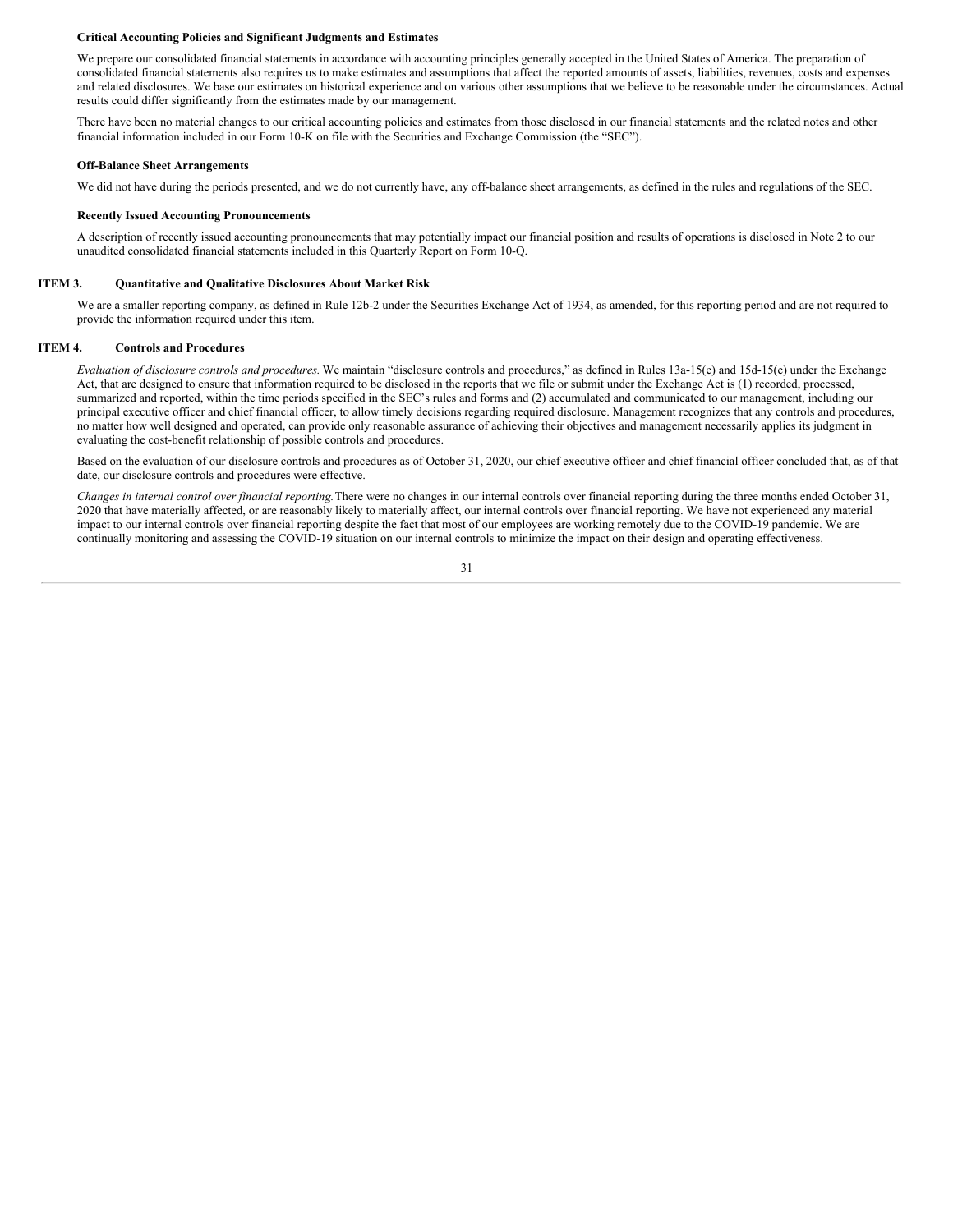#### **Critical Accounting Policies and Significant Judgments and Estimates**

We prepare our consolidated financial statements in accordance with accounting principles generally accepted in the United States of America. The preparation of consolidated financial statements also requires us to make estimates and assumptions that affect the reported amounts of assets, liabilities, revenues, costs and expenses and related disclosures. We base our estimates on historical experience and on various other assumptions that we believe to be reasonable under the circumstances. Actual results could differ significantly from the estimates made by our management.

There have been no material changes to our critical accounting policies and estimates from those disclosed in our financial statements and the related notes and other financial information included in our Form 10-K on file with the Securities and Exchange Commission (the "SEC").

#### **Off-Balance Sheet Arrangements**

We did not have during the periods presented, and we do not currently have, any off-balance sheet arrangements, as defined in the rules and regulations of the SEC.

#### **Recently Issued Accounting Pronouncements**

A description of recently issued accounting pronouncements that may potentially impact our financial position and results of operations is disclosed in Note 2 to our unaudited consolidated financial statements included in this Quarterly Report on Form 10-Q.

#### **ITEM 3. Quantitative and Qualitative Disclosures About Market Risk**

<span id="page-31-0"></span>We are a smaller reporting company, as defined in Rule 12b-2 under the Securities Exchange Act of 1934, as amended, for this reporting period and are not required to provide the information required under this item.

#### **ITEM 4. Controls and Procedures**

<span id="page-31-1"></span>*Evaluation of disclosure controls and procedures.* We maintain "disclosure controls and procedures," as defined in Rules 13a‑15(e) and 15d‑15(e) under the Exchange Act, that are designed to ensure that information required to be disclosed in the reports that we file or submit under the Exchange Act is (1) recorded, processed, summarized and reported, within the time periods specified in the SEC's rules and forms and (2) accumulated and communicated to our management, including our principal executive officer and chief financial officer, to allow timely decisions regarding required disclosure. Management recognizes that any controls and procedures, no matter how well designed and operated, can provide only reasonable assurance of achieving their objectives and management necessarily applies its judgment in evaluating the cost-benefit relationship of possible controls and procedures.

Based on the evaluation of our disclosure controls and procedures as of October 31, 2020, our chief executive officer and chief financial officer concluded that, as of that date, our disclosure controls and procedures were effective.

*Changes in internal control over financial reporting.*There were no changes in our internal controls over financial reporting during the three months ended October 31, 2020 that have materially affected, or are reasonably likely to materially affect, our internal controls over financial reporting. We have not experienced any material impact to our internal controls over financial reporting despite the fact that most of our employees are working remotely due to the COVID-19 pandemic. We are continually monitoring and assessing the COVID-19 situation on our internal controls to minimize the impact on their design and operating effectiveness.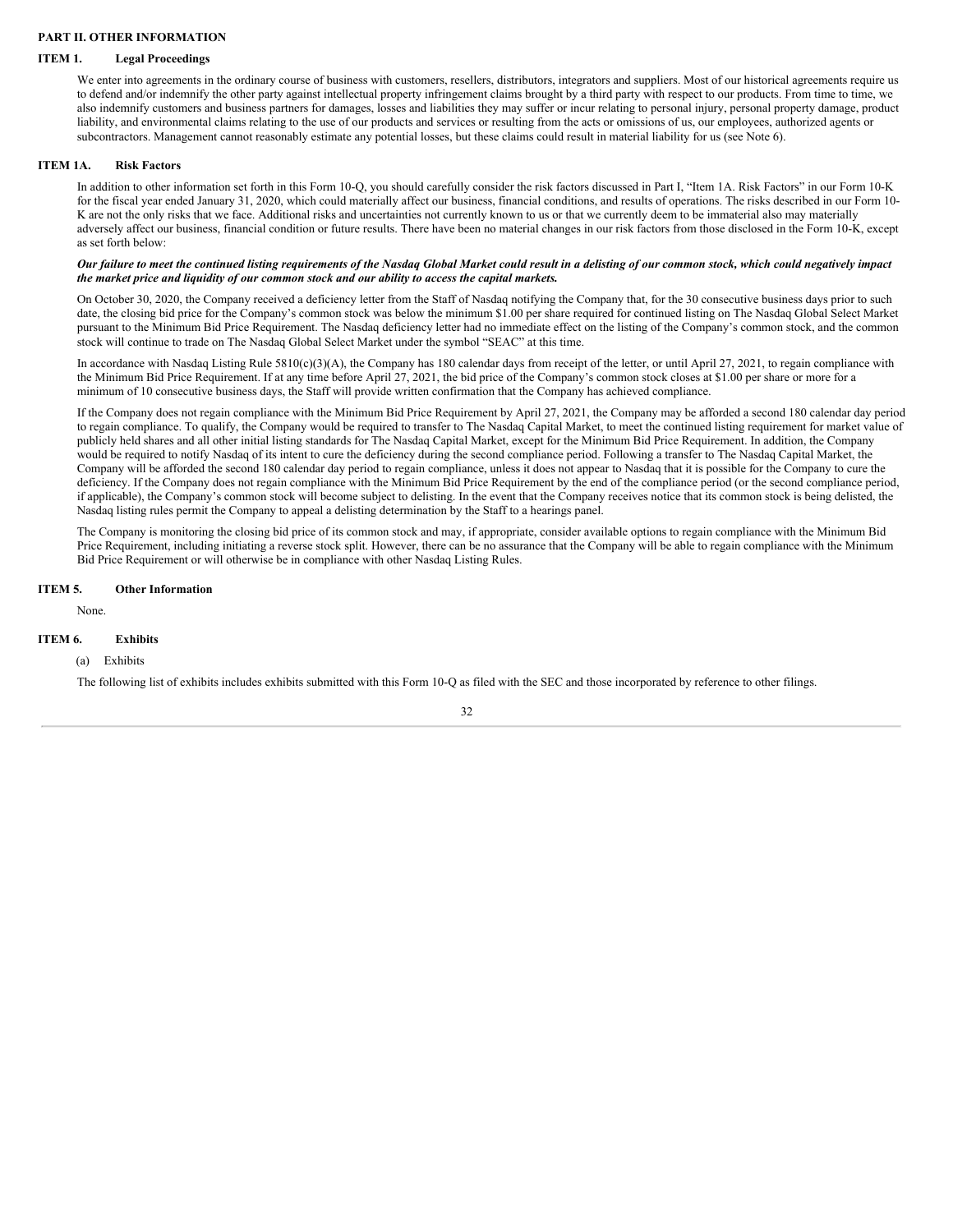#### <span id="page-32-0"></span>**PART II. OTHER INFORMATION**

#### **ITEM 1. Legal Proceedings**

<span id="page-32-1"></span>We enter into agreements in the ordinary course of business with customers, resellers, distributors, integrators and suppliers. Most of our historical agreements require us to defend and/or indemnify the other party against intellectual property infringement claims brought by a third party with respect to our products. From time to time, we also indemnify customers and business partners for damages, losses and liabilities they may suffer or incur relating to personal injury, personal property damage, product liability, and environmental claims relating to the use of our products and services or resulting from the acts or omissions of us, our employees, authorized agents or subcontractors. Management cannot reasonably estimate any potential losses, but these claims could result in material liability for us (see Note 6).

#### **ITEM 1A. Risk Factors**

<span id="page-32-2"></span>In addition to other information set forth in this Form 10-Q, you should carefully consider the risk factors discussed in Part I, "Item 1A. Risk Factors" in our Form 10-K for the fiscal year ended January 31, 2020, which could materially affect our business, financial conditions, and results of operations. The risks described in our Form 10- K are not the only risks that we face. Additional risks and uncertainties not currently known to us or that we currently deem to be immaterial also may materially adversely affect our business, financial condition or future results. There have been no material changes in our risk factors from those disclosed in the Form 10-K, except as set forth below:

#### Our failure to meet the continued listing requirements of the Nasdaq Global Market could result in a delisting of our common stock, which could negatively impact *the market price and liquidity of our common stock and our ability to access the capital markets.*

On October 30, 2020, the Company received a deficiency letter from the Staff of Nasdaq notifying the Company that, for the 30 consecutive business days prior to such date, the closing bid price for the Company's common stock was below the minimum \$1.00 per share required for continued listing on The Nasdaq Global Select Market pursuant to the Minimum Bid Price Requirement. The Nasdaq deficiency letter had no immediate effect on the listing of the Company's common stock, and the common stock will continue to trade on The Nasdaq Global Select Market under the symbol "SEAC" at this time.

In accordance with Nasdaq Listing Rule 5810(c)(3)(A), the Company has 180 calendar days from receipt of the letter, or until April 27, 2021, to regain compliance with the Minimum Bid Price Requirement. If at any time before April 27, 2021, the bid price of the Company's common stock closes at \$1.00 per share or more for a minimum of 10 consecutive business days, the Staff will provide written confirmation that the Company has achieved compliance.

If the Company does not regain compliance with the Minimum Bid Price Requirement by April 27, 2021, the Company may be afforded a second 180 calendar day period to regain compliance. To qualify, the Company would be required to transfer to The Nasdaq Capital Market, to meet the continued listing requirement for market value of publicly held shares and all other initial listing standards for The Nasdaq Capital Market, except for the Minimum Bid Price Requirement. In addition, the Company would be required to notify Nasdaq of its intent to cure the deficiency during the second compliance period. Following a transfer to The Nasdaq Capital Market, the Company will be afforded the second 180 calendar day period to regain compliance, unless it does not appear to Nasdaq that it is possible for the Company to cure the deficiency. If the Company does not regain compliance with the Minimum Bid Price Requirement by the end of the compliance period (or the second compliance period, if applicable), the Company's common stock will become subject to delisting. In the event that the Company receives notice that its common stock is being delisted, the Nasdaq listing rules permit the Company to appeal a delisting determination by the Staff to a hearings panel.

The Company is monitoring the closing bid price of its common stock and may, if appropriate, consider available options to regain compliance with the Minimum Bid Price Requirement, including initiating a reverse stock split. However, there can be no assurance that the Company will be able to regain compliance with the Minimum Bid Price Requirement or will otherwise be in compliance with other Nasdaq Listing Rules.

#### **ITEM 5. Other Information**

<span id="page-32-3"></span>None.

## **ITEM 6. Exhibits**

# <span id="page-32-4"></span>(a) Exhibits

The following list of exhibits includes exhibits submitted with this Form 10-Q as filed with the SEC and those incorporated by reference to other filings.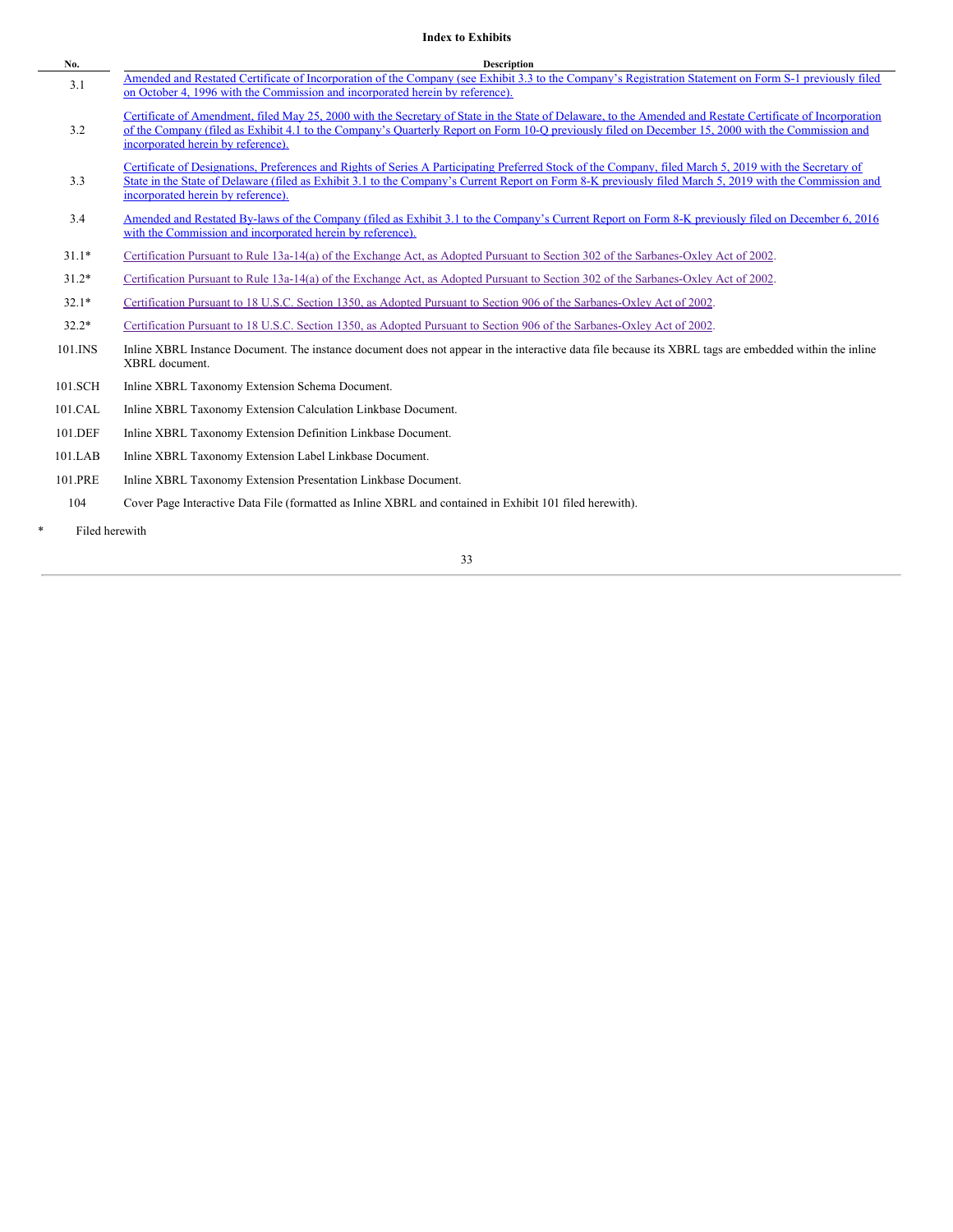#### **Index to Exhibits**

÷

|   | No.            | <b>Description</b>                                                                                                                                                                                                                                                                                                                                       |
|---|----------------|----------------------------------------------------------------------------------------------------------------------------------------------------------------------------------------------------------------------------------------------------------------------------------------------------------------------------------------------------------|
|   | 3.1            | Amended and Restated Certificate of Incorporation of the Company (see Exhibit 3.3 to the Company's Registration Statement on Form S-1 previously filed<br>on October 4, 1996 with the Commission and incorporated herein by reference).                                                                                                                  |
|   | 3.2            | Certificate of Amendment, filed May 25, 2000 with the Secretary of State in the State of Delaware, to the Amended and Restate Certificate of Incorporation<br>of the Company (filed as Exhibit 4.1 to the Company's Quarterly Report on Form 10-Q previously filed on December 15, 2000 with the Commission and<br>incorporated herein by reference).    |
|   | 3.3            | Certificate of Designations, Preferences and Rights of Series A Participating Preferred Stock of the Company, filed March 5, 2019 with the Secretary of<br>State in the State of Delaware (filed as Exhibit 3.1 to the Company's Current Report on Form 8-K previously filed March 5, 2019 with the Commission and<br>incorporated herein by reference). |
|   | 3.4            | Amended and Restated By-laws of the Company (filed as Exhibit 3.1 to the Company's Current Report on Form 8-K previously filed on December 6, 2016<br>with the Commission and incorporated herein by reference).                                                                                                                                         |
|   | $31.1*$        | Certification Pursuant to Rule 13a-14(a) of the Exchange Act, as Adopted Pursuant to Section 302 of the Sarbanes-Oxley Act of 2002.                                                                                                                                                                                                                      |
|   | $31.2*$        | Certification Pursuant to Rule 13a-14(a) of the Exchange Act, as Adopted Pursuant to Section 302 of the Sarbanes-Oxley Act of 2002.                                                                                                                                                                                                                      |
|   | $32.1*$        | Certification Pursuant to 18 U.S.C. Section 1350, as Adopted Pursuant to Section 906 of the Sarbanes-Oxley Act of 2002.                                                                                                                                                                                                                                  |
|   | $32.2*$        | Certification Pursuant to 18 U.S.C. Section 1350, as Adopted Pursuant to Section 906 of the Sarbanes-Oxley Act of 2002.                                                                                                                                                                                                                                  |
|   | 101.INS        | Inline XBRL Instance Document. The instance document does not appear in the interactive data file because its XBRL tags are embedded within the inline<br>XBRL document.                                                                                                                                                                                 |
|   | 101.SCH        | Inline XBRL Taxonomy Extension Schema Document.                                                                                                                                                                                                                                                                                                          |
|   | 101.CAL        | Inline XBRL Taxonomy Extension Calculation Linkbase Document.                                                                                                                                                                                                                                                                                            |
|   | 101.DEF        | Inline XBRL Taxonomy Extension Definition Linkbase Document.                                                                                                                                                                                                                                                                                             |
|   | 101.LAB        | Inline XBRL Taxonomy Extension Label Linkbase Document.                                                                                                                                                                                                                                                                                                  |
|   | 101.PRE        | Inline XBRL Taxonomy Extension Presentation Linkbase Document.                                                                                                                                                                                                                                                                                           |
|   | 104            | Cover Page Interactive Data File (formatted as Inline XBRL and contained in Exhibit 101 filed herewith).                                                                                                                                                                                                                                                 |
| * | Filed herewith |                                                                                                                                                                                                                                                                                                                                                          |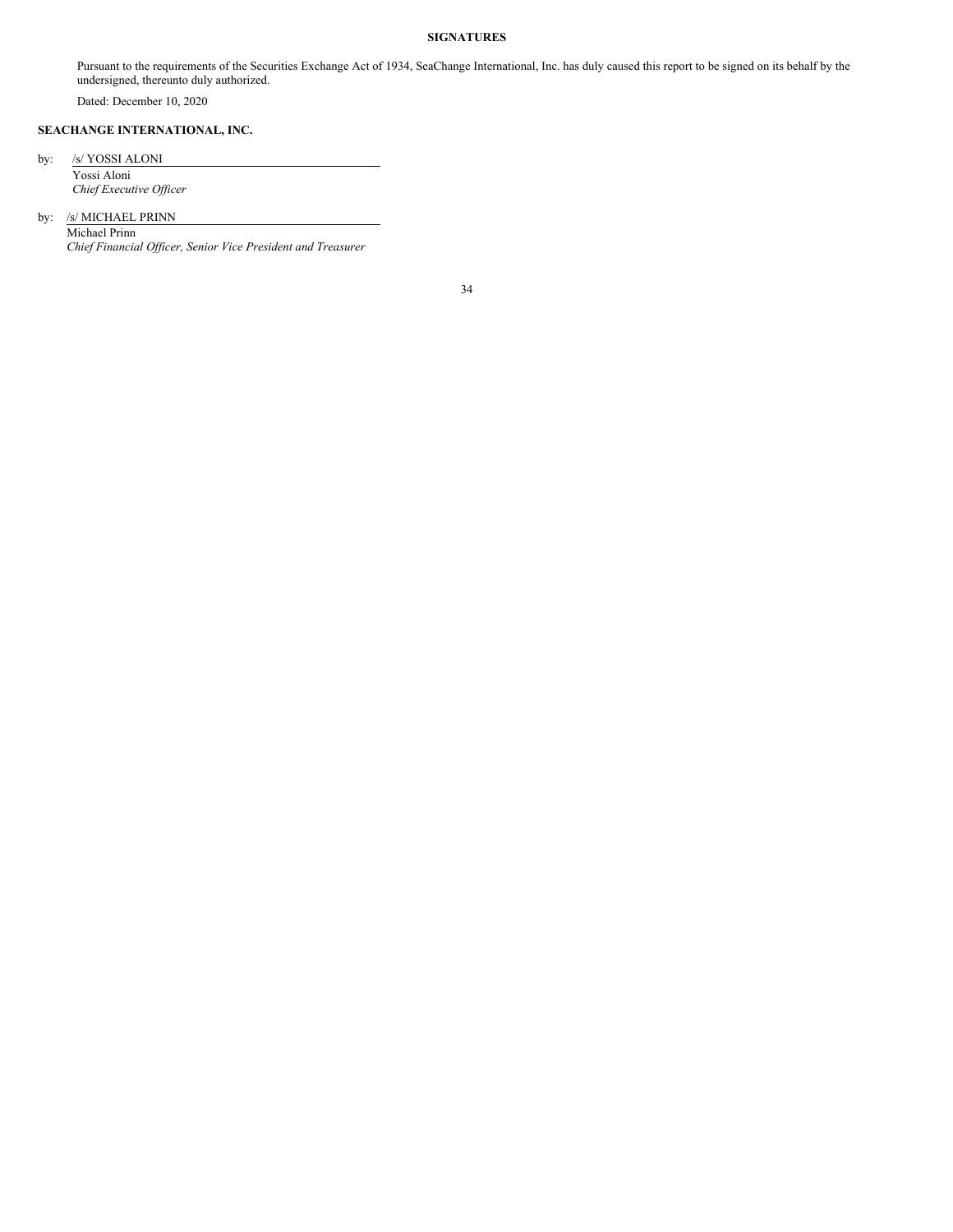#### **SIGNATURES**

<span id="page-34-0"></span>Pursuant to the requirements of the Securities Exchange Act of 1934, SeaChange International, Inc. has duly caused this report to be signed on its behalf by the undersigned, thereunto duly authorized.

Dated: December 10, 2020

# **SEACHANGE INTERNATIONAL, INC.**

by: /s/ YOSSI ALONI

Yossi Aloni *Chief Executive Of icer*

by: /s/ MICHAEL PRINN

Michael Prinn *Chief Financial Of icer, Senior Vice President and Treasurer*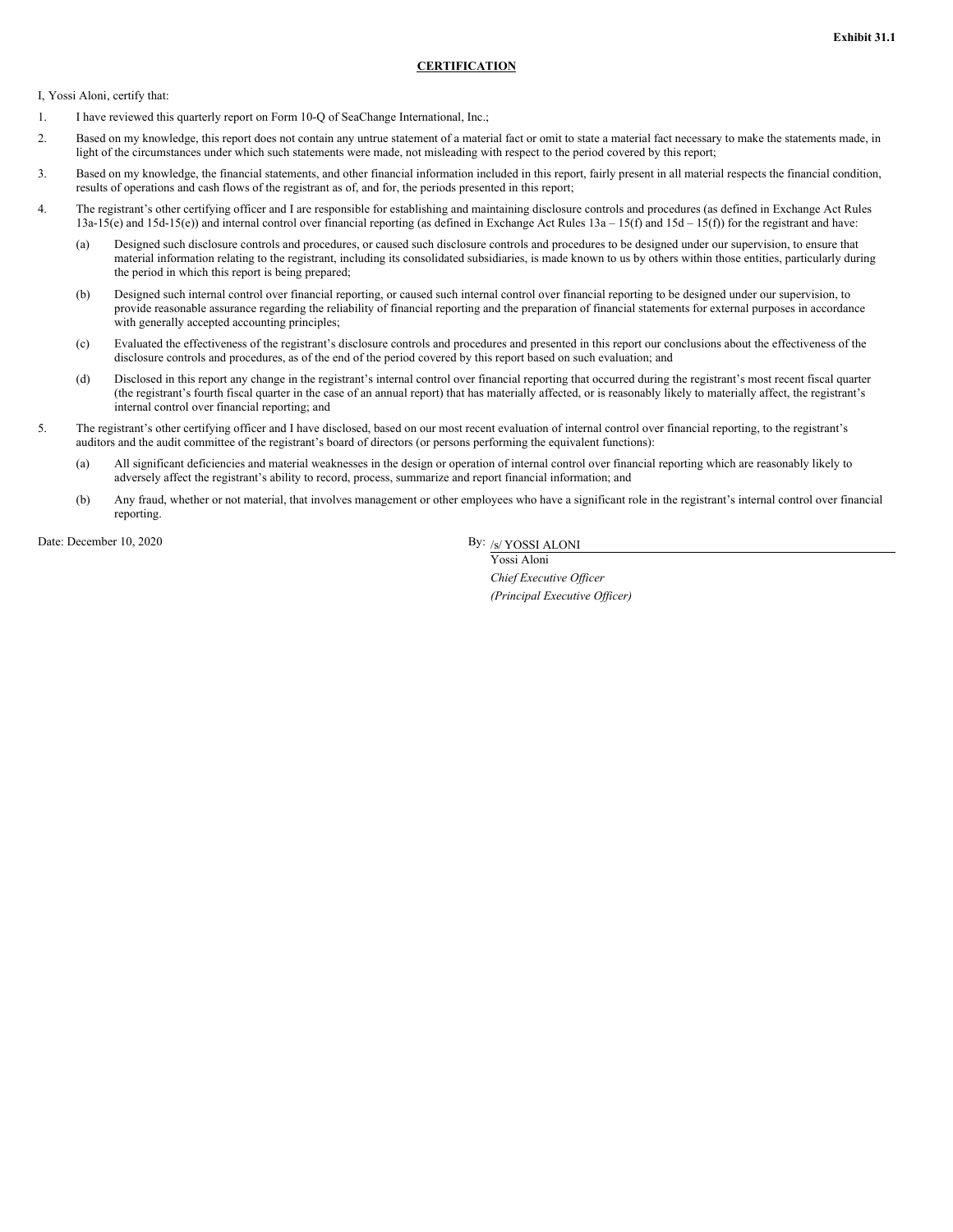#### **CERTIFICATION**

<span id="page-35-0"></span>I, Yossi Aloni, certify that:

- 1. I have reviewed this quarterly report on Form 10-Q of SeaChange International, Inc.;
- 2. Based on my knowledge, this report does not contain any untrue statement of a material fact or omit to state a material fact necessary to make the statements made, in light of the circumstances under which such statements were made, not misleading with respect to the period covered by this report;
- 3. Based on my knowledge, the financial statements, and other financial information included in this report, fairly present in all material respects the financial condition, results of operations and cash flows of the registrant as of, and for, the periods presented in this report;
- 4. The registrant's other certifying officer and I are responsible for establishing and maintaining disclosure controls and procedures (as defined in Exchange Act Rules 13a-15(e) and 15d-15(e)) and internal control over financial reporting (as defined in Exchange Act Rules 13a – 15(f) and 15d – 15(f)) for the registrant and have:
	- (a) Designed such disclosure controls and procedures, or caused such disclosure controls and procedures to be designed under our supervision, to ensure that material information relating to the registrant, including its consolidated subsidiaries, is made known to us by others within those entities, particularly during the period in which this report is being prepared;
	- (b) Designed such internal control over financial reporting, or caused such internal control over financial reporting to be designed under our supervision, to provide reasonable assurance regarding the reliability of financial reporting and the preparation of financial statements for external purposes in accordance with generally accepted accounting principles;
	- (c) Evaluated the effectiveness of the registrant's disclosure controls and procedures and presented in this report our conclusions about the effectiveness of the disclosure controls and procedures, as of the end of the period covered by this report based on such evaluation; and
	- (d) Disclosed in this report any change in the registrant's internal control over financial reporting that occurred during the registrant's most recent fiscal quarter (the registrant's fourth fiscal quarter in the case of an annual report) that has materially affected, or is reasonably likely to materially affect, the registrant's internal control over financial reporting; and
- 5. The registrant's other certifying officer and I have disclosed, based on our most recent evaluation of internal control over financial reporting, to the registrant's auditors and the audit committee of the registrant's board of directors (or persons performing the equivalent functions):
	- (a) All significant deficiencies and material weaknesses in the design or operation of internal control over financial reporting which are reasonably likely to adversely affect the registrant's ability to record, process, summarize and report financial information; and
	- (b) Any fraud, whether or not material, that involves management or other employees who have a significant role in the registrant's internal control over financial reporting.

Date: December 10, 2020

By:  $\frac{1}{s}$  YOSSI ALONI

Yossi Aloni *Chief Executive Of icer (Principal Executive Of icer)*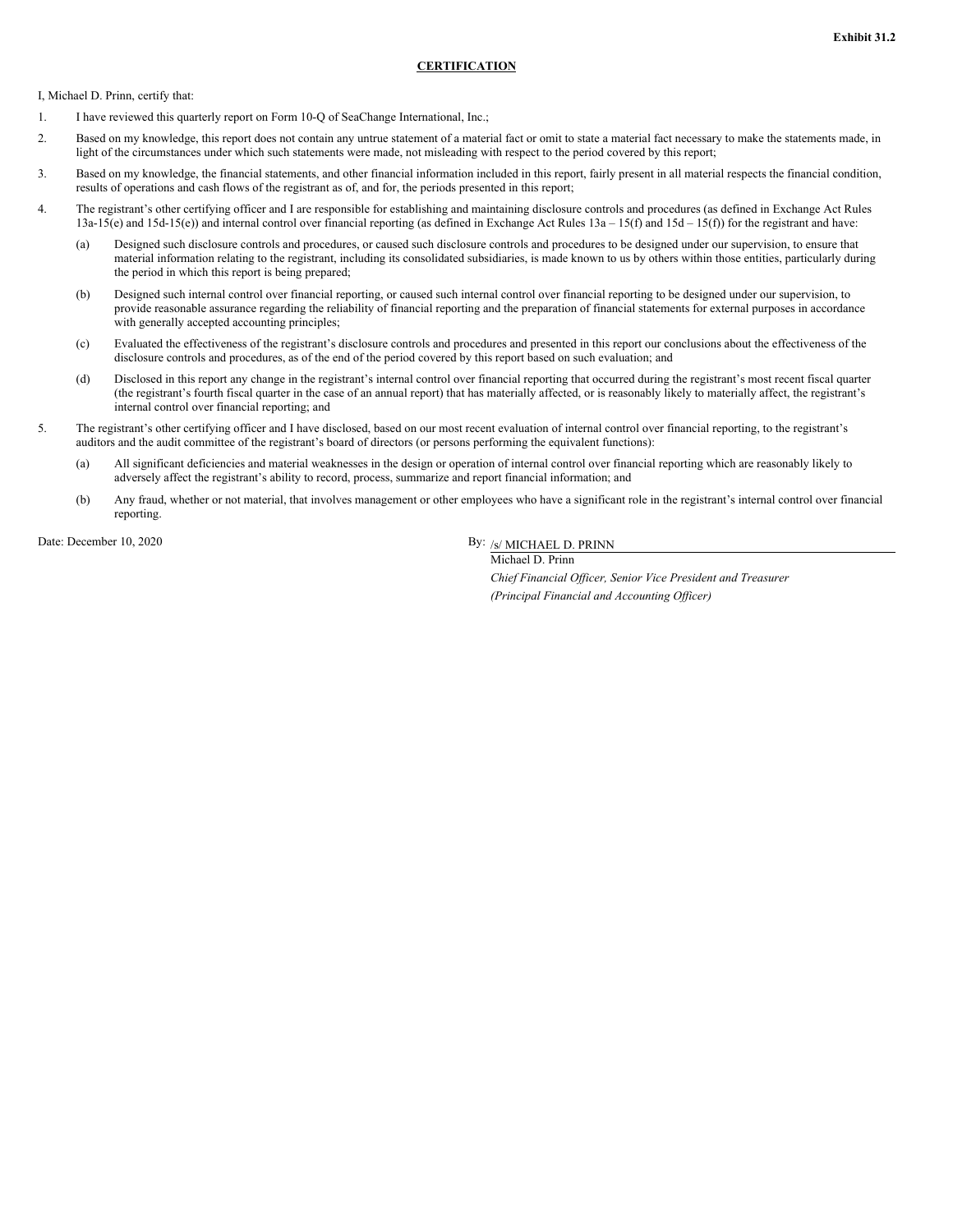#### **CERTIFICATION**

<span id="page-36-0"></span>I, Michael D. Prinn, certify that:

- 1. I have reviewed this quarterly report on Form 10-Q of SeaChange International, Inc.;
- 2. Based on my knowledge, this report does not contain any untrue statement of a material fact or omit to state a material fact necessary to make the statements made, in light of the circumstances under which such statements were made, not misleading with respect to the period covered by this report;
- 3. Based on my knowledge, the financial statements, and other financial information included in this report, fairly present in all material respects the financial condition, results of operations and cash flows of the registrant as of, and for, the periods presented in this report;
- 4. The registrant's other certifying officer and I are responsible for establishing and maintaining disclosure controls and procedures (as defined in Exchange Act Rules 13a-15(e) and 15d-15(e)) and internal control over financial reporting (as defined in Exchange Act Rules 13a – 15(f) and 15d – 15(f)) for the registrant and have:
	- (a) Designed such disclosure controls and procedures, or caused such disclosure controls and procedures to be designed under our supervision, to ensure that material information relating to the registrant, including its consolidated subsidiaries, is made known to us by others within those entities, particularly during the period in which this report is being prepared;
	- (b) Designed such internal control over financial reporting, or caused such internal control over financial reporting to be designed under our supervision, to provide reasonable assurance regarding the reliability of financial reporting and the preparation of financial statements for external purposes in accordance with generally accepted accounting principles;
	- (c) Evaluated the effectiveness of the registrant's disclosure controls and procedures and presented in this report our conclusions about the effectiveness of the disclosure controls and procedures, as of the end of the period covered by this report based on such evaluation; and
	- (d) Disclosed in this report any change in the registrant's internal control over financial reporting that occurred during the registrant's most recent fiscal quarter (the registrant's fourth fiscal quarter in the case of an annual report) that has materially affected, or is reasonably likely to materially affect, the registrant's internal control over financial reporting; and
- 5. The registrant's other certifying officer and I have disclosed, based on our most recent evaluation of internal control over financial reporting, to the registrant's auditors and the audit committee of the registrant's board of directors (or persons performing the equivalent functions):
	- (a) All significant deficiencies and material weaknesses in the design or operation of internal control over financial reporting which are reasonably likely to adversely affect the registrant's ability to record, process, summarize and report financial information; and
	- (b) Any fraud, whether or not material, that involves management or other employees who have a significant role in the registrant's internal control over financial reporting.

Date: December 10, 2020

By: /s/ MICHAEL D. PRINN Michael D. Prinn

> *Chief Financial Of icer, Senior Vice President and Treasurer (Principal Financial and Accounting Of icer)*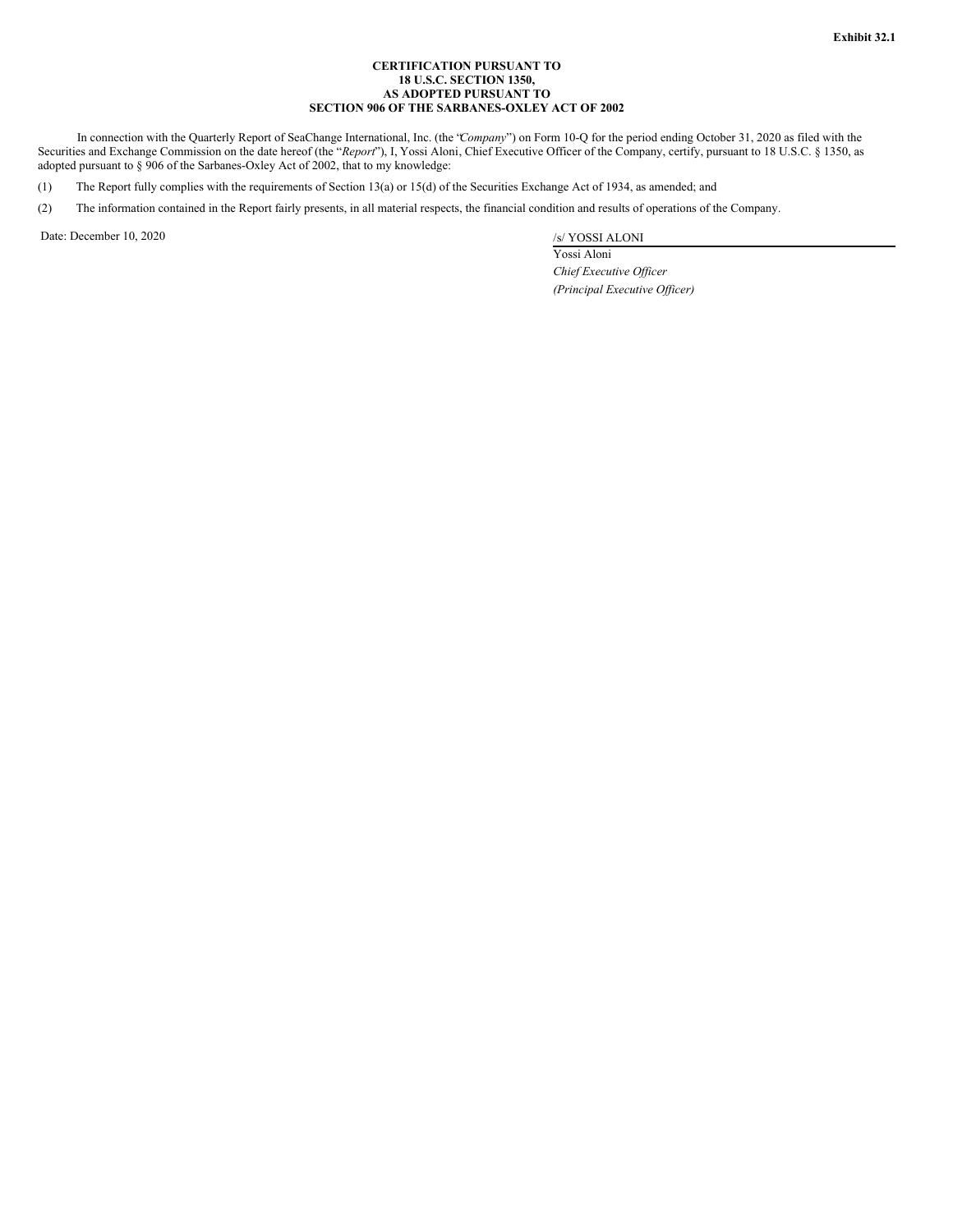#### **CERTIFICATION PURSUANT TO 18 U.S.C. SECTION 1350, AS ADOPTED PURSUANT TO SECTION 906 OF THE SARBANES-OXLEY ACT OF 2002**

<span id="page-37-0"></span>In connection with the Quarterly Report of SeaChange International, Inc. (the "*Company*") on Form 10-Q for the period ending October 31, 2020 as filed with the Securities and Exchange Commission on the date hereof (the "*Report*"), I, Yossi Aloni, Chief Executive Officer of the Company, certify, pursuant to 18 U.S.C. § 1350, as adopted pursuant to § 906 of the Sarbanes-Oxley Act of 2002, that to my knowledge:

(1) The Report fully complies with the requirements of Section 13(a) or 15(d) of the Securities Exchange Act of 1934, as amended; and

(2) The information contained in the Report fairly presents, in all material respects, the financial condition and results of operations of the Company.

Date: December 10, 2020 /s/ YOSSI ALONI

Yossi Aloni *Chief Executive Of icer (Principal Executive Of icer)*